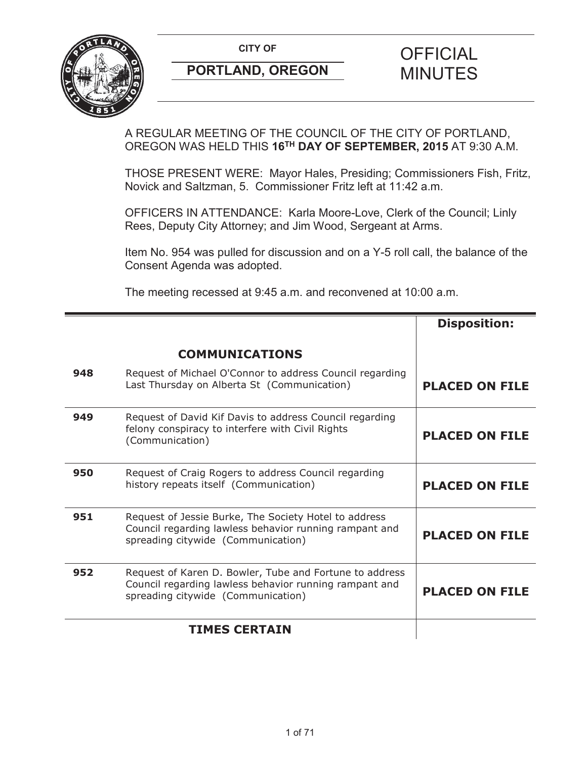

A REGULAR MEETING OF THE COUNCIL OF THE CITY OF PORTLAND, OREGON WAS HELD THIS **16TH DAY OF SEPTEMBER, 2015** AT 9:30 A.M.

THOSE PRESENT WERE: Mayor Hales, Presiding; Commissioners Fish, Fritz, Novick and Saltzman, 5. Commissioner Fritz left at 11:42 a.m.

OFFICERS IN ATTENDANCE: Karla Moore-Love, Clerk of the Council; Linly Rees, Deputy City Attorney; and Jim Wood, Sergeant at Arms.

Item No. 954 was pulled for discussion and on a Y-5 roll call, the balance of the Consent Agenda was adopted.

The meeting recessed at 9:45 a.m. and reconvened at 10:00 a.m.

|     |                                                                                                                                                         | <b>Disposition:</b>   |
|-----|---------------------------------------------------------------------------------------------------------------------------------------------------------|-----------------------|
|     | <b>COMMUNICATIONS</b>                                                                                                                                   |                       |
| 948 | Request of Michael O'Connor to address Council regarding<br>Last Thursday on Alberta St (Communication)                                                 | <b>PLACED ON FILE</b> |
| 949 | Request of David Kif Davis to address Council regarding<br>felony conspiracy to interfere with Civil Rights<br>(Communication)                          | <b>PLACED ON FILE</b> |
| 950 | Request of Craig Rogers to address Council regarding<br>history repeats itself (Communication)                                                          | <b>PLACED ON FILE</b> |
| 951 | Request of Jessie Burke, The Society Hotel to address<br>Council regarding lawless behavior running rampant and<br>spreading citywide (Communication)   | <b>PLACED ON FILE</b> |
| 952 | Request of Karen D. Bowler, Tube and Fortune to address<br>Council regarding lawless behavior running rampant and<br>spreading citywide (Communication) | <b>PLACED ON FILE</b> |
|     | <b>TIMES CERTAIN</b>                                                                                                                                    |                       |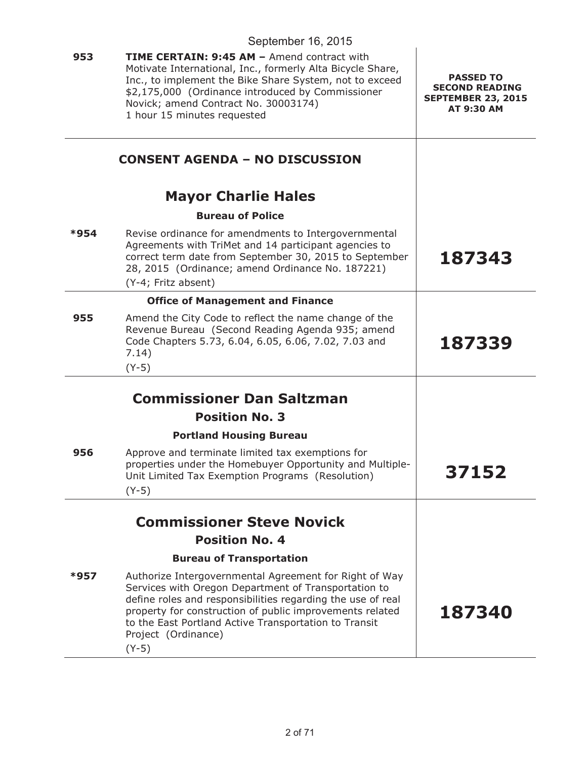|      | September 16, 2015                                                                                                                                                                                                                                                                                                                   |                                                                                      |
|------|--------------------------------------------------------------------------------------------------------------------------------------------------------------------------------------------------------------------------------------------------------------------------------------------------------------------------------------|--------------------------------------------------------------------------------------|
| 953  | <b>TIME CERTAIN: 9:45 AM - Amend contract with</b><br>Motivate International, Inc., formerly Alta Bicycle Share,<br>Inc., to implement the Bike Share System, not to exceed<br>\$2,175,000 (Ordinance introduced by Commissioner<br>Novick; amend Contract No. 30003174)<br>1 hour 15 minutes requested                              | <b>PASSED TO</b><br><b>SECOND READING</b><br><b>SEPTEMBER 23, 2015</b><br>AT 9:30 AM |
|      | <b>CONSENT AGENDA - NO DISCUSSION</b>                                                                                                                                                                                                                                                                                                |                                                                                      |
|      | <b>Mayor Charlie Hales</b>                                                                                                                                                                                                                                                                                                           |                                                                                      |
|      | <b>Bureau of Police</b>                                                                                                                                                                                                                                                                                                              |                                                                                      |
| *954 | Revise ordinance for amendments to Intergovernmental<br>Agreements with TriMet and 14 participant agencies to<br>correct term date from September 30, 2015 to September<br>28, 2015 (Ordinance; amend Ordinance No. 187221)<br>(Y-4; Fritz absent)                                                                                   | 187343                                                                               |
|      | <b>Office of Management and Finance</b>                                                                                                                                                                                                                                                                                              |                                                                                      |
| 955  | Amend the City Code to reflect the name change of the<br>Revenue Bureau (Second Reading Agenda 935; amend<br>Code Chapters 5.73, 6.04, 6.05, 6.06, 7.02, 7.03 and<br>7.14)<br>$(Y-5)$                                                                                                                                                | 187339                                                                               |
|      |                                                                                                                                                                                                                                                                                                                                      |                                                                                      |
|      | <b>Commissioner Dan Saltzman</b><br><b>Position No. 3</b>                                                                                                                                                                                                                                                                            |                                                                                      |
|      |                                                                                                                                                                                                                                                                                                                                      |                                                                                      |
| 956  | <b>Portland Housing Bureau</b><br>Approve and terminate limited tax exemptions for<br>properties under the Homebuyer Opportunity and Multiple-<br>Unit Limited Tax Exemption Programs (Resolution)<br>$(Y-5)$                                                                                                                        | 37152                                                                                |
|      | <b>Commissioner Steve Novick</b>                                                                                                                                                                                                                                                                                                     |                                                                                      |
|      | <b>Position No. 4</b>                                                                                                                                                                                                                                                                                                                |                                                                                      |
|      | <b>Bureau of Transportation</b>                                                                                                                                                                                                                                                                                                      |                                                                                      |
| *957 | Authorize Intergovernmental Agreement for Right of Way<br>Services with Oregon Department of Transportation to<br>define roles and responsibilities regarding the use of real<br>property for construction of public improvements related<br>to the East Portland Active Transportation to Transit<br>Project (Ordinance)<br>$(Y-5)$ | 187340                                                                               |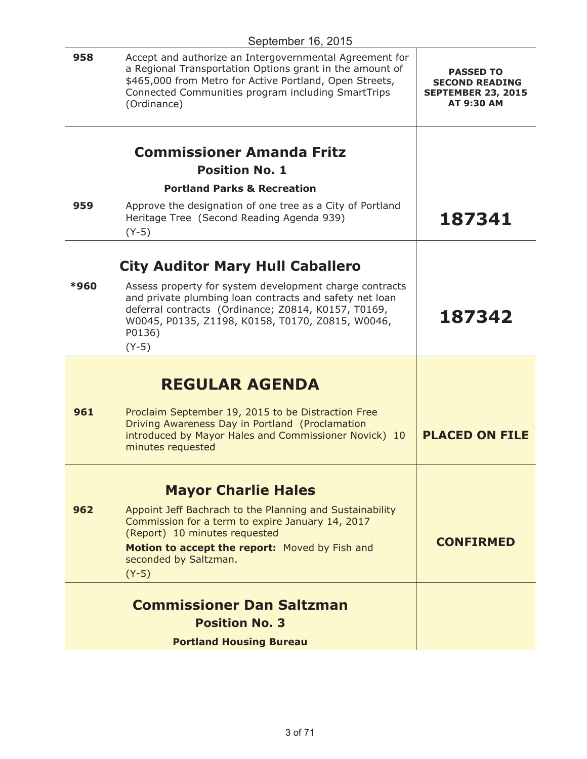| 958  | Accept and authorize an Intergovernmental Agreement for<br>a Regional Transportation Options grant in the amount of<br>\$465,000 from Metro for Active Portland, Open Streets,<br>Connected Communities program including SmartTrips<br>(Ordinance) | <b>PASSED TO</b><br><b>SECOND READING</b><br><b>SEPTEMBER 23, 2015</b><br><b>AT 9:30 AM</b> |
|------|-----------------------------------------------------------------------------------------------------------------------------------------------------------------------------------------------------------------------------------------------------|---------------------------------------------------------------------------------------------|
|      | <b>Commissioner Amanda Fritz</b>                                                                                                                                                                                                                    |                                                                                             |
|      | <b>Position No. 1</b><br><b>Portland Parks &amp; Recreation</b>                                                                                                                                                                                     |                                                                                             |
| 959  | Approve the designation of one tree as a City of Portland<br>Heritage Tree (Second Reading Agenda 939)<br>$(Y-5)$                                                                                                                                   | 187341                                                                                      |
|      | <b>City Auditor Mary Hull Caballero</b>                                                                                                                                                                                                             |                                                                                             |
| *960 | Assess property for system development charge contracts<br>and private plumbing loan contracts and safety net loan<br>deferral contracts (Ordinance; Z0814, K0157, T0169,<br>W0045, P0135, Z1198, K0158, T0170, Z0815, W0046,<br>P0136)<br>$(Y-5)$  | 187342                                                                                      |
|      | <b>REGULAR AGENDA</b>                                                                                                                                                                                                                               |                                                                                             |
| 961  | Proclaim September 19, 2015 to be Distraction Free<br>Driving Awareness Day in Portland (Proclamation<br>introduced by Mayor Hales and Commissioner Novick) 10<br>minutes requested                                                                 | <b>PLACED ON FILE</b>                                                                       |
|      | <b>Mayor Charlie Hales</b>                                                                                                                                                                                                                          |                                                                                             |
| 962  | Appoint Jeff Bachrach to the Planning and Sustainability<br>Commission for a term to expire January 14, 2017<br>(Report) 10 minutes requested<br>Motion to accept the report: Moved by Fish and<br>seconded by Saltzman.<br>$(Y-5)$                 | <b>CONFIRMED</b>                                                                            |
|      | <b>Commissioner Dan Saltzman</b>                                                                                                                                                                                                                    |                                                                                             |
|      | <b>Position No. 3</b>                                                                                                                                                                                                                               |                                                                                             |
|      | <b>Portland Housing Bureau</b>                                                                                                                                                                                                                      |                                                                                             |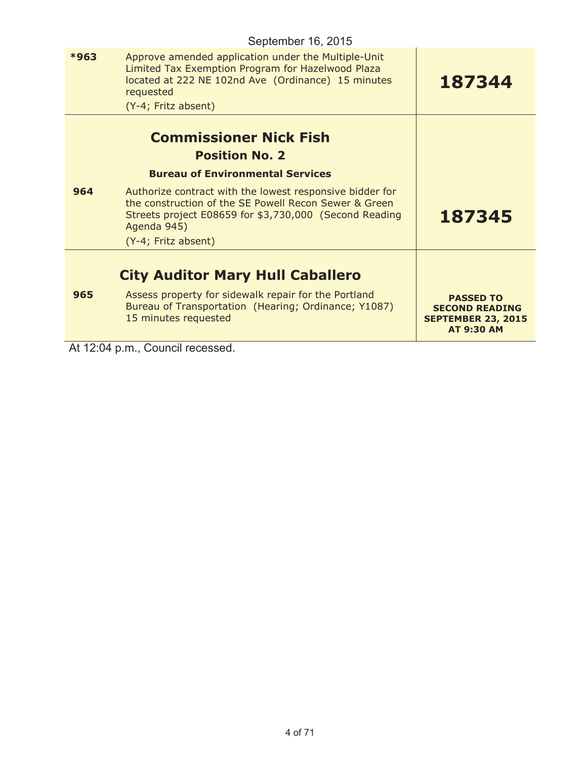|      | September 16, 2015                                                                                                                                                                                 |                                                                                             |
|------|----------------------------------------------------------------------------------------------------------------------------------------------------------------------------------------------------|---------------------------------------------------------------------------------------------|
| *963 | Approve amended application under the Multiple-Unit<br>Limited Tax Exemption Program for Hazelwood Plaza<br>located at 222 NE 102nd Ave (Ordinance) 15 minutes<br>requested<br>(Y-4; Fritz absent) | 187344                                                                                      |
|      | <b>Commissioner Nick Fish</b><br><b>Position No. 2</b>                                                                                                                                             |                                                                                             |
|      | <b>Bureau of Environmental Services</b>                                                                                                                                                            |                                                                                             |
| 964  | Authorize contract with the lowest responsive bidder for<br>the construction of the SE Powell Recon Sewer & Green<br>Streets project E08659 for \$3,730,000 (Second Reading<br>Agenda 945)         | 187345                                                                                      |
|      | (Y-4; Fritz absent)                                                                                                                                                                                |                                                                                             |
|      | <b>City Auditor Mary Hull Caballero</b>                                                                                                                                                            |                                                                                             |
| 965  | Assess property for sidewalk repair for the Portland<br>Bureau of Transportation (Hearing; Ordinance; Y1087)<br>15 minutes requested                                                               | <b>PASSED TO</b><br><b>SECOND READING</b><br><b>SEPTEMBER 23, 2015</b><br><b>AT 9:30 AM</b> |

At 12:04 p.m., Council recessed.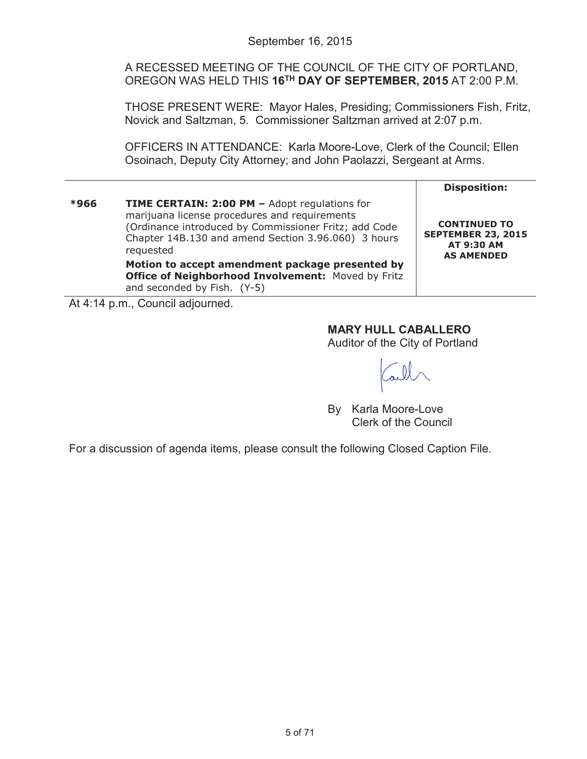A RECESSED MEETING OF THE COUNCIL OF THE CITY OF PORTLAND, OREGON WAS HELD THIS **16TH DAY OF SEPTEMBER, 2015** AT 2:00 P.M.

THOSE PRESENT WERE: Mayor Hales, Presiding; Commissioners Fish, Fritz, Novick and Saltzman, 5. Commissioner Saltzman arrived at 2:07 p.m.

OFFICERS IN ATTENDANCE: Karla Moore-Love, Clerk of the Council; Ellen Osoinach, Deputy City Attorney; and John Paolazzi, Sergeant at Arms.

|      |                                                                                                                                                                                                                                                                                                                                                                                   | <b>Disposition:</b>                                                                 |
|------|-----------------------------------------------------------------------------------------------------------------------------------------------------------------------------------------------------------------------------------------------------------------------------------------------------------------------------------------------------------------------------------|-------------------------------------------------------------------------------------|
| *966 | <b>TIME CERTAIN: 2:00 PM - Adopt regulations for</b><br>marijuana license procedures and requirements<br>(Ordinance introduced by Commissioner Fritz; add Code<br>Chapter 14B.130 and amend Section 3.96.060) 3 hours<br>requested<br>Motion to accept amendment package presented by<br><b>Office of Neighborhood Involvement: Moved by Fritz</b><br>and seconded by Fish. (Y-5) | <b>CONTINUED TO</b><br><b>SEPTEMBER 23, 2015</b><br>AT 9:30 AM<br><b>AS AMENDED</b> |

At 4:14 p.m., Council adjourned.

# **MARY HULL CABALLERO**

Auditor of the City of Portland

By Karla Moore-Love Clerk of the Council

For a discussion of agenda items, please consult the following Closed Caption File.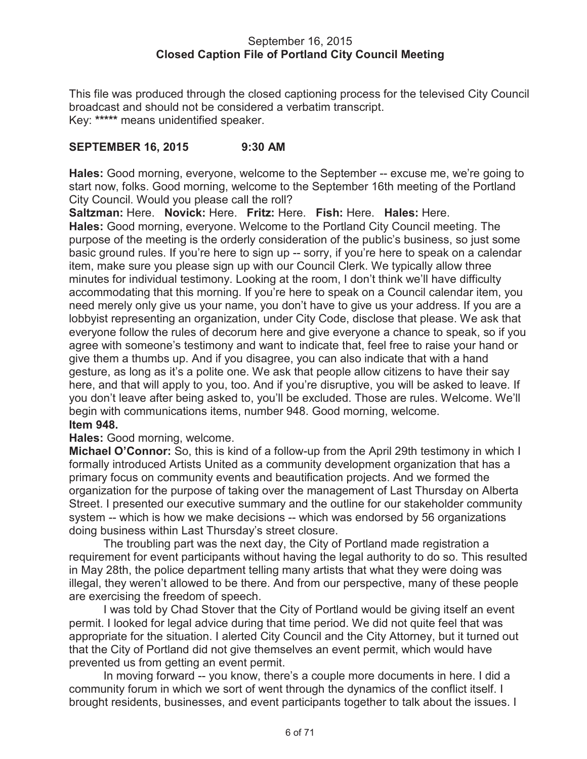### September 16, 2015 **Closed Caption File of Portland City Council Meeting**

This file was produced through the closed captioning process for the televised City Council broadcast and should not be considered a verbatim transcript. Key: **\*\*\*\*\*** means unidentified speaker.

## **SEPTEMBER 16, 2015 9:30 AM**

**Hales:** Good morning, everyone, welcome to the September -- excuse me, we're going to start now, folks. Good morning, welcome to the September 16th meeting of the Portland City Council. Would you please call the roll?

**Saltzman:** Here. **Novick:** Here. **Fritz:** Here. **Fish:** Here. **Hales:** Here.

**Hales:** Good morning, everyone. Welcome to the Portland City Council meeting. The purpose of the meeting is the orderly consideration of the public's business, so just some basic ground rules. If you're here to sign up -- sorry, if you're here to speak on a calendar item, make sure you please sign up with our Council Clerk. We typically allow three minutes for individual testimony. Looking at the room, I don't think we'll have difficulty accommodating that this morning. If you're here to speak on a Council calendar item, you need merely only give us your name, you don't have to give us your address. If you are a lobbyist representing an organization, under City Code, disclose that please. We ask that everyone follow the rules of decorum here and give everyone a chance to speak, so if you agree with someone's testimony and want to indicate that, feel free to raise your hand or give them a thumbs up. And if you disagree, you can also indicate that with a hand gesture, as long as it's a polite one. We ask that people allow citizens to have their say here, and that will apply to you, too. And if you're disruptive, you will be asked to leave. If you don't leave after being asked to, you'll be excluded. Those are rules. Welcome. We'll begin with communications items, number 948. Good morning, welcome. **Item 948.**

## **Hales:** Good morning, welcome.

**Michael O'Connor:** So, this is kind of a follow-up from the April 29th testimony in which I formally introduced Artists United as a community development organization that has a primary focus on community events and beautification projects. And we formed the organization for the purpose of taking over the management of Last Thursday on Alberta Street. I presented our executive summary and the outline for our stakeholder community system -- which is how we make decisions -- which was endorsed by 56 organizations doing business within Last Thursday's street closure.

The troubling part was the next day, the City of Portland made registration a requirement for event participants without having the legal authority to do so. This resulted in May 28th, the police department telling many artists that what they were doing was illegal, they weren't allowed to be there. And from our perspective, many of these people are exercising the freedom of speech.

I was told by Chad Stover that the City of Portland would be giving itself an event permit. I looked for legal advice during that time period. We did not quite feel that was appropriate for the situation. I alerted City Council and the City Attorney, but it turned out that the City of Portland did not give themselves an event permit, which would have prevented us from getting an event permit.

In moving forward -- you know, there's a couple more documents in here. I did a community forum in which we sort of went through the dynamics of the conflict itself. I brought residents, businesses, and event participants together to talk about the issues. I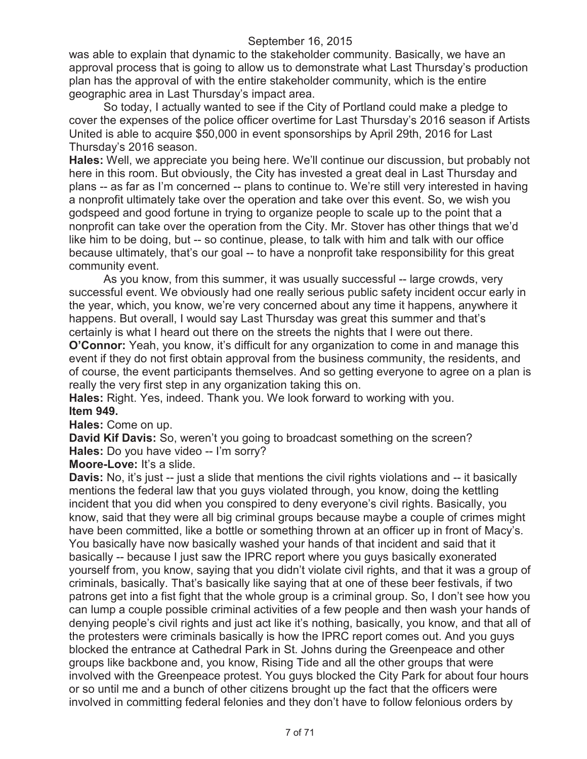was able to explain that dynamic to the stakeholder community. Basically, we have an approval process that is going to allow us to demonstrate what Last Thursday's production plan has the approval of with the entire stakeholder community, which is the entire geographic area in Last Thursday's impact area.

So today, I actually wanted to see if the City of Portland could make a pledge to cover the expenses of the police officer overtime for Last Thursday's 2016 season if Artists United is able to acquire \$50,000 in event sponsorships by April 29th, 2016 for Last Thursday's 2016 season.

**Hales:** Well, we appreciate you being here. We'll continue our discussion, but probably not here in this room. But obviously, the City has invested a great deal in Last Thursday and plans -- as far as I'm concerned -- plans to continue to. We're still very interested in having a nonprofit ultimately take over the operation and take over this event. So, we wish you godspeed and good fortune in trying to organize people to scale up to the point that a nonprofit can take over the operation from the City. Mr. Stover has other things that we'd like him to be doing, but -- so continue, please, to talk with him and talk with our office because ultimately, that's our goal -- to have a nonprofit take responsibility for this great community event.

As you know, from this summer, it was usually successful -- large crowds, very successful event. We obviously had one really serious public safety incident occur early in the year, which, you know, we're very concerned about any time it happens, anywhere it happens. But overall, I would say Last Thursday was great this summer and that's certainly is what I heard out there on the streets the nights that I were out there.

**O'Connor:** Yeah, you know, it's difficult for any organization to come in and manage this event if they do not first obtain approval from the business community, the residents, and of course, the event participants themselves. And so getting everyone to agree on a plan is really the very first step in any organization taking this on.

**Hales:** Right. Yes, indeed. Thank you. We look forward to working with you. **Item 949.**

**Hales:** Come on up.

**David Kif Davis:** So, weren't you going to broadcast something on the screen? **Hales:** Do you have video -- I'm sorry?

**Moore-Love:** It's a slide.

**Davis:** No, it's just -- just a slide that mentions the civil rights violations and -- it basically mentions the federal law that you guys violated through, you know, doing the kettling incident that you did when you conspired to deny everyone's civil rights. Basically, you know, said that they were all big criminal groups because maybe a couple of crimes might have been committed, like a bottle or something thrown at an officer up in front of Macy's. You basically have now basically washed your hands of that incident and said that it basically -- because I just saw the IPRC report where you guys basically exonerated yourself from, you know, saying that you didn't violate civil rights, and that it was a group of criminals, basically. That's basically like saying that at one of these beer festivals, if two patrons get into a fist fight that the whole group is a criminal group. So, I don't see how you can lump a couple possible criminal activities of a few people and then wash your hands of denying people's civil rights and just act like it's nothing, basically, you know, and that all of the protesters were criminals basically is how the IPRC report comes out. And you guys blocked the entrance at Cathedral Park in St. Johns during the Greenpeace and other groups like backbone and, you know, Rising Tide and all the other groups that were involved with the Greenpeace protest. You guys blocked the City Park for about four hours or so until me and a bunch of other citizens brought up the fact that the officers were involved in committing federal felonies and they don't have to follow felonious orders by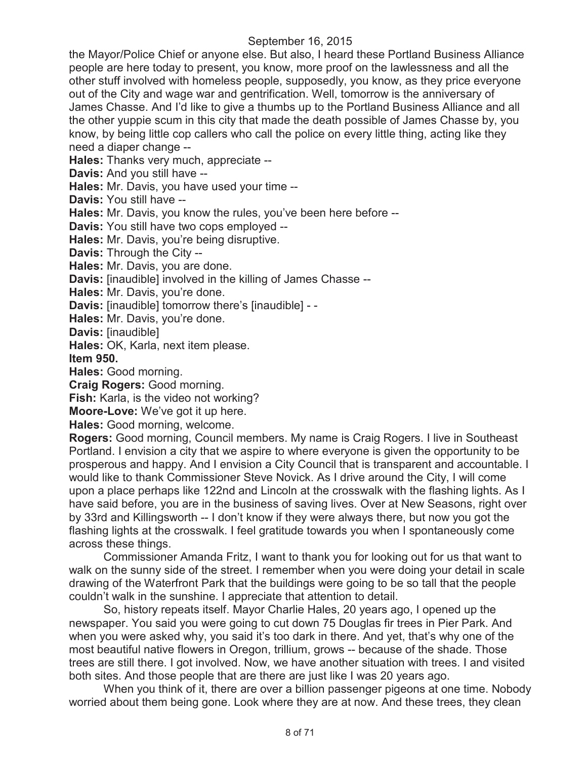the Mayor/Police Chief or anyone else. But also, I heard these Portland Business Alliance people are here today to present, you know, more proof on the lawlessness and all the other stuff involved with homeless people, supposedly, you know, as they price everyone out of the City and wage war and gentrification. Well, tomorrow is the anniversary of James Chasse. And I'd like to give a thumbs up to the Portland Business Alliance and all the other yuppie scum in this city that made the death possible of James Chasse by, you know, by being little cop callers who call the police on every little thing, acting like they need a diaper change --

**Hales:** Thanks very much, appreciate --

**Davis:** And you still have --

**Hales:** Mr. Davis, you have used your time --

**Davis:** You still have --

**Hales:** Mr. Davis, you know the rules, you've been here before --

**Davis:** You still have two cops employed --

**Hales:** Mr. Davis, you're being disruptive.

**Davis:** Through the City --

**Hales:** Mr. Davis, you are done.

**Davis:** [inaudible] involved in the killing of James Chasse --

**Hales:** Mr. Davis, you're done.

**Davis:** [inaudible] tomorrow there's [inaudible] - -

**Hales:** Mr. Davis, you're done.

**Davis:** [inaudible]

**Hales:** OK, Karla, next item please.

**Item 950.**

**Hales:** Good morning.

**Craig Rogers:** Good morning.

**Fish:** Karla, is the video not working?

**Moore-Love:** We've got it up here.

**Hales:** Good morning, welcome.

**Rogers:** Good morning, Council members. My name is Craig Rogers. I live in Southeast Portland. I envision a city that we aspire to where everyone is given the opportunity to be prosperous and happy. And I envision a City Council that is transparent and accountable. I would like to thank Commissioner Steve Novick. As I drive around the City, I will come upon a place perhaps like 122nd and Lincoln at the crosswalk with the flashing lights. As I have said before, you are in the business of saving lives. Over at New Seasons, right over by 33rd and Killingsworth -- I don't know if they were always there, but now you got the flashing lights at the crosswalk. I feel gratitude towards you when I spontaneously come across these things.

Commissioner Amanda Fritz, I want to thank you for looking out for us that want to walk on the sunny side of the street. I remember when you were doing your detail in scale drawing of the Waterfront Park that the buildings were going to be so tall that the people couldn't walk in the sunshine. I appreciate that attention to detail.

So, history repeats itself. Mayor Charlie Hales, 20 years ago, I opened up the newspaper. You said you were going to cut down 75 Douglas fir trees in Pier Park. And when you were asked why, you said it's too dark in there. And yet, that's why one of the most beautiful native flowers in Oregon, trillium, grows -- because of the shade. Those trees are still there. I got involved. Now, we have another situation with trees. I and visited both sites. And those people that are there are just like I was 20 years ago.

When you think of it, there are over a billion passenger pigeons at one time. Nobody worried about them being gone. Look where they are at now. And these trees, they clean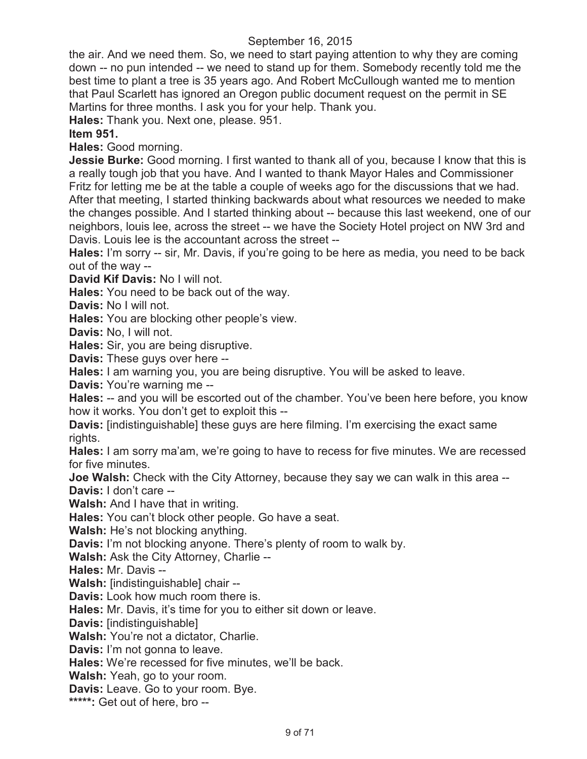the air. And we need them. So, we need to start paying attention to why they are coming down -- no pun intended -- we need to stand up for them. Somebody recently told me the best time to plant a tree is 35 years ago. And Robert McCullough wanted me to mention that Paul Scarlett has ignored an Oregon public document request on the permit in SE Martins for three months. I ask you for your help. Thank you.

**Hales:** Thank you. Next one, please. 951.

# **Item 951.**

**Hales:** Good morning.

**Jessie Burke:** Good morning. I first wanted to thank all of you, because I know that this is a really tough job that you have. And I wanted to thank Mayor Hales and Commissioner Fritz for letting me be at the table a couple of weeks ago for the discussions that we had. After that meeting, I started thinking backwards about what resources we needed to make the changes possible. And I started thinking about -- because this last weekend, one of our neighbors, louis lee, across the street -- we have the Society Hotel project on NW 3rd and Davis. Louis lee is the accountant across the street --

**Hales:** I'm sorry -- sir, Mr. Davis, if you're going to be here as media, you need to be back out of the way --

**David Kif Davis:** No I will not.

**Hales:** You need to be back out of the way.

**Davis:** No I will not.

**Hales:** You are blocking other people's view.

**Davis:** No, I will not.

**Hales:** Sir, you are being disruptive.

**Davis:** These guys over here --

**Hales:** I am warning you, you are being disruptive. You will be asked to leave.

**Davis:** You're warning me --

**Hales:** -- and you will be escorted out of the chamber. You've been here before, you know how it works. You don't get to exploit this --

**Davis:** [indistinguishable] these guys are here filming. I'm exercising the exact same rights.

**Hales:** I am sorry ma'am, we're going to have to recess for five minutes. We are recessed for five minutes.

**Joe Walsh:** Check with the City Attorney, because they say we can walk in this area -- **Davis:** I don't care --

**Walsh:** And I have that in writing.

**Hales:** You can't block other people. Go have a seat.

**Walsh:** He's not blocking anything.

**Davis:** I'm not blocking anyone. There's plenty of room to walk by.

**Walsh:** Ask the City Attorney, Charlie --

**Hales:** Mr. Davis --

**Walsh:** [indistinguishable] chair --

**Davis:** Look how much room there is.

**Hales:** Mr. Davis, it's time for you to either sit down or leave.

**Davis:** [indistinguishable]

**Walsh:** You're not a dictator, Charlie.

**Davis:** I'm not gonna to leave.

**Hales:** We're recessed for five minutes, we'll be back.

**Walsh:** Yeah, go to your room.

**Davis:** Leave. Go to your room. Bye.

**\*\*\*\*\*:** Get out of here, bro --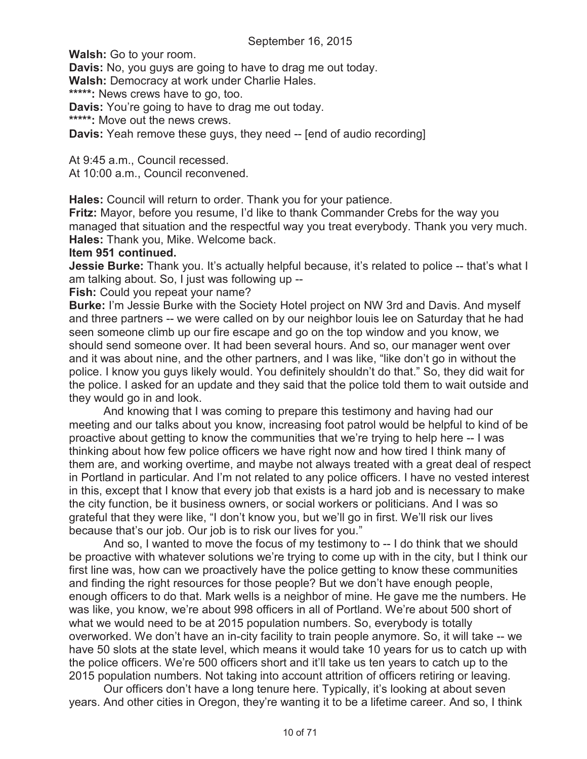**Walsh:** Go to your room.

**Davis:** No, you guys are going to have to drag me out today.

**Walsh:** Democracy at work under Charlie Hales.

**\*\*\*\*\*:** News crews have to go, too.

**Davis:** You're going to have to drag me out today.

**\*\*\*\*\*:** Move out the news crews.

**Davis:** Yeah remove these guys, they need -- [end of audio recording]

At 9:45 a.m., Council recessed.

At 10:00 a.m., Council reconvened.

**Hales:** Council will return to order. Thank you for your patience.

**Fritz:** Mayor, before you resume, I'd like to thank Commander Crebs for the way you managed that situation and the respectful way you treat everybody. Thank you very much. **Hales:** Thank you, Mike. Welcome back.

## **Item 951 continued.**

**Jessie Burke:** Thank you. It's actually helpful because, it's related to police -- that's what I am talking about. So, I just was following up --

**Fish:** Could you repeat your name?

**Burke:** I'm Jessie Burke with the Society Hotel project on NW 3rd and Davis. And myself and three partners -- we were called on by our neighbor louis lee on Saturday that he had seen someone climb up our fire escape and go on the top window and you know, we should send someone over. It had been several hours. And so, our manager went over and it was about nine, and the other partners, and I was like, "like don't go in without the police. I know you guys likely would. You definitely shouldn't do that." So, they did wait for the police. I asked for an update and they said that the police told them to wait outside and they would go in and look.

And knowing that I was coming to prepare this testimony and having had our meeting and our talks about you know, increasing foot patrol would be helpful to kind of be proactive about getting to know the communities that we're trying to help here -- I was thinking about how few police officers we have right now and how tired I think many of them are, and working overtime, and maybe not always treated with a great deal of respect in Portland in particular. And I'm not related to any police officers. I have no vested interest in this, except that I know that every job that exists is a hard job and is necessary to make the city function, be it business owners, or social workers or politicians. And I was so grateful that they were like, "I don't know you, but we'll go in first. We'll risk our lives because that's our job. Our job is to risk our lives for you."

And so, I wanted to move the focus of my testimony to -- I do think that we should be proactive with whatever solutions we're trying to come up with in the city, but I think our first line was, how can we proactively have the police getting to know these communities and finding the right resources for those people? But we don't have enough people, enough officers to do that. Mark wells is a neighbor of mine. He gave me the numbers. He was like, you know, we're about 998 officers in all of Portland. We're about 500 short of what we would need to be at 2015 population numbers. So, everybody is totally overworked. We don't have an in-city facility to train people anymore. So, it will take -- we have 50 slots at the state level, which means it would take 10 years for us to catch up with the police officers. We're 500 officers short and it'll take us ten years to catch up to the 2015 population numbers. Not taking into account attrition of officers retiring or leaving.

Our officers don't have a long tenure here. Typically, it's looking at about seven years. And other cities in Oregon, they're wanting it to be a lifetime career. And so, I think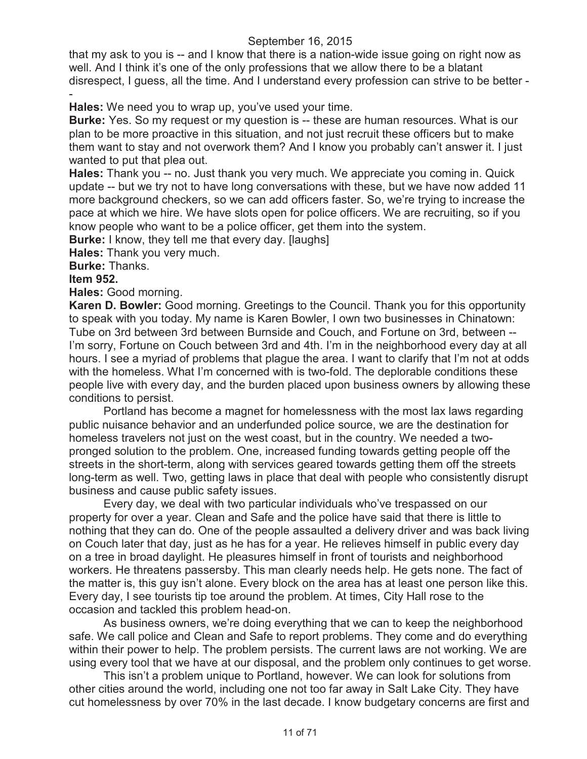that my ask to you is -- and I know that there is a nation-wide issue going on right now as well. And I think it's one of the only professions that we allow there to be a blatant disrespect, I guess, all the time. And I understand every profession can strive to be better - -

**Hales:** We need you to wrap up, you've used your time.

**Burke:** Yes. So my request or my question is -- these are human resources. What is our plan to be more proactive in this situation, and not just recruit these officers but to make them want to stay and not overwork them? And I know you probably can't answer it. I just wanted to put that plea out.

**Hales:** Thank you -- no. Just thank you very much. We appreciate you coming in. Quick update -- but we try not to have long conversations with these, but we have now added 11 more background checkers, so we can add officers faster. So, we're trying to increase the pace at which we hire. We have slots open for police officers. We are recruiting, so if you know people who want to be a police officer, get them into the system.

**Burke:** I know, they tell me that every day. [laughs]

**Hales:** Thank you very much.

**Burke:** Thanks.

**Item 952.**

**Hales:** Good morning.

**Karen D. Bowler:** Good morning. Greetings to the Council. Thank you for this opportunity to speak with you today. My name is Karen Bowler, I own two businesses in Chinatown: Tube on 3rd between 3rd between Burnside and Couch, and Fortune on 3rd, between -- I'm sorry, Fortune on Couch between 3rd and 4th. I'm in the neighborhood every day at all hours. I see a myriad of problems that plague the area. I want to clarify that I'm not at odds with the homeless. What I'm concerned with is two-fold. The deplorable conditions these people live with every day, and the burden placed upon business owners by allowing these conditions to persist.

Portland has become a magnet for homelessness with the most lax laws regarding public nuisance behavior and an underfunded police source, we are the destination for homeless travelers not just on the west coast, but in the country. We needed a twopronged solution to the problem. One, increased funding towards getting people off the streets in the short-term, along with services geared towards getting them off the streets long-term as well. Two, getting laws in place that deal with people who consistently disrupt business and cause public safety issues.

Every day, we deal with two particular individuals who've trespassed on our property for over a year. Clean and Safe and the police have said that there is little to nothing that they can do. One of the people assaulted a delivery driver and was back living on Couch later that day, just as he has for a year. He relieves himself in public every day on a tree in broad daylight. He pleasures himself in front of tourists and neighborhood workers. He threatens passersby. This man clearly needs help. He gets none. The fact of the matter is, this guy isn't alone. Every block on the area has at least one person like this. Every day, I see tourists tip toe around the problem. At times, City Hall rose to the occasion and tackled this problem head-on.

As business owners, we're doing everything that we can to keep the neighborhood safe. We call police and Clean and Safe to report problems. They come and do everything within their power to help. The problem persists. The current laws are not working. We are using every tool that we have at our disposal, and the problem only continues to get worse.

This isn't a problem unique to Portland, however. We can look for solutions from other cities around the world, including one not too far away in Salt Lake City. They have cut homelessness by over 70% in the last decade. I know budgetary concerns are first and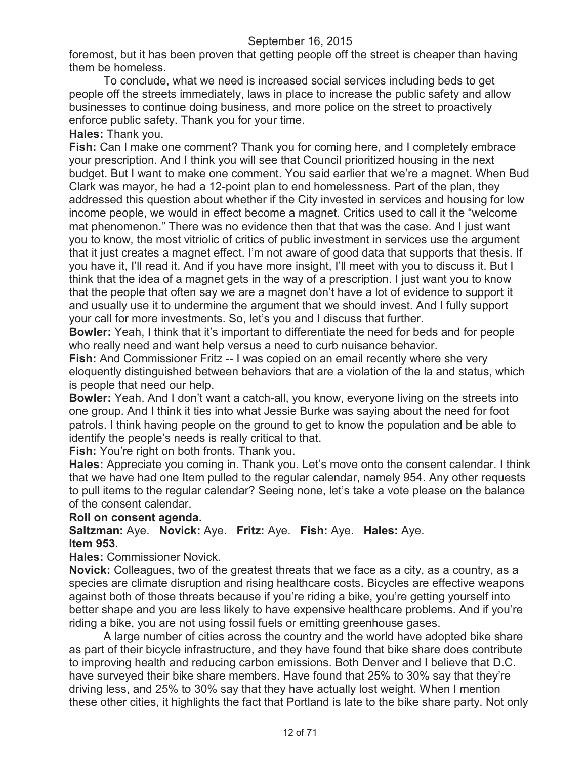foremost, but it has been proven that getting people off the street is cheaper than having them be homeless.

To conclude, what we need is increased social services including beds to get people off the streets immediately, laws in place to increase the public safety and allow businesses to continue doing business, and more police on the street to proactively enforce public safety. Thank you for your time.

**Hales:** Thank you.

**Fish:** Can I make one comment? Thank you for coming here, and I completely embrace your prescription. And I think you will see that Council prioritized housing in the next budget. But I want to make one comment. You said earlier that we're a magnet. When Bud Clark was mayor, he had a 12-point plan to end homelessness. Part of the plan, they addressed this question about whether if the City invested in services and housing for low income people, we would in effect become a magnet. Critics used to call it the "welcome mat phenomenon." There was no evidence then that that was the case. And I just want you to know, the most vitriolic of critics of public investment in services use the argument that it just creates a magnet effect. I'm not aware of good data that supports that thesis. If you have it, I'll read it. And if you have more insight, I'll meet with you to discuss it. But I think that the idea of a magnet gets in the way of a prescription. I just want you to know that the people that often say we are a magnet don't have a lot of evidence to support it and usually use it to undermine the argument that we should invest. And I fully support your call for more investments. So, let's you and I discuss that further.

**Bowler:** Yeah, I think that it's important to differentiate the need for beds and for people who really need and want help versus a need to curb nuisance behavior.

**Fish:** And Commissioner Fritz -- I was copied on an email recently where she very eloquently distinguished between behaviors that are a violation of the la and status, which is people that need our help.

**Bowler:** Yeah. And I don't want a catch-all, you know, everyone living on the streets into one group. And I think it ties into what Jessie Burke was saying about the need for foot patrols. I think having people on the ground to get to know the population and be able to identify the people's needs is really critical to that.

**Fish:** You're right on both fronts. Thank you.

**Hales:** Appreciate you coming in. Thank you. Let's move onto the consent calendar. I think that we have had one Item pulled to the regular calendar, namely 954. Any other requests to pull items to the regular calendar? Seeing none, let's take a vote please on the balance of the consent calendar.

## **Roll on consent agenda.**

# **Saltzman:** Aye. **Novick:** Aye. **Fritz:** Aye. **Fish:** Aye. **Hales:** Aye. **Item 953.**

**Hales:** Commissioner Novick.

**Novick:** Colleagues, two of the greatest threats that we face as a city, as a country, as a species are climate disruption and rising healthcare costs. Bicycles are effective weapons against both of those threats because if you're riding a bike, you're getting yourself into better shape and you are less likely to have expensive healthcare problems. And if you're riding a bike, you are not using fossil fuels or emitting greenhouse gases.

A large number of cities across the country and the world have adopted bike share as part of their bicycle infrastructure, and they have found that bike share does contribute to improving health and reducing carbon emissions. Both Denver and I believe that D.C. have surveyed their bike share members. Have found that 25% to 30% say that they're driving less, and 25% to 30% say that they have actually lost weight. When I mention these other cities, it highlights the fact that Portland is late to the bike share party. Not only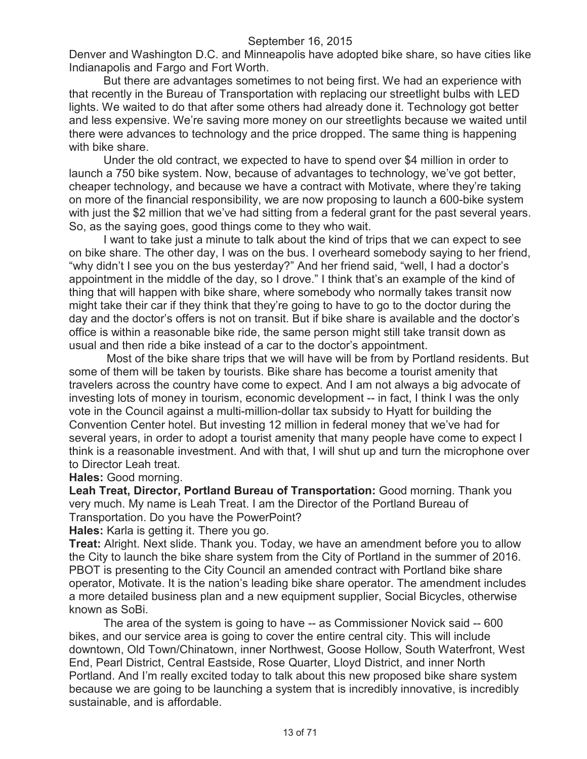Denver and Washington D.C. and Minneapolis have adopted bike share, so have cities like Indianapolis and Fargo and Fort Worth.

But there are advantages sometimes to not being first. We had an experience with that recently in the Bureau of Transportation with replacing our streetlight bulbs with LED lights. We waited to do that after some others had already done it. Technology got better and less expensive. We're saving more money on our streetlights because we waited until there were advances to technology and the price dropped. The same thing is happening with bike share.

Under the old contract, we expected to have to spend over \$4 million in order to launch a 750 bike system. Now, because of advantages to technology, we've got better, cheaper technology, and because we have a contract with Motivate, where they're taking on more of the financial responsibility, we are now proposing to launch a 600-bike system with just the \$2 million that we've had sitting from a federal grant for the past several years. So, as the saying goes, good things come to they who wait.

I want to take just a minute to talk about the kind of trips that we can expect to see on bike share. The other day, I was on the bus. I overheard somebody saying to her friend, "why didn't I see you on the bus yesterday?" And her friend said, "well, I had a doctor's appointment in the middle of the day, so I drove." I think that's an example of the kind of thing that will happen with bike share, where somebody who normally takes transit now might take their car if they think that they're going to have to go to the doctor during the day and the doctor's offers is not on transit. But if bike share is available and the doctor's office is within a reasonable bike ride, the same person might still take transit down as usual and then ride a bike instead of a car to the doctor's appointment.

Most of the bike share trips that we will have will be from by Portland residents. But some of them will be taken by tourists. Bike share has become a tourist amenity that travelers across the country have come to expect. And I am not always a big advocate of investing lots of money in tourism, economic development -- in fact, I think I was the only vote in the Council against a multi-million-dollar tax subsidy to Hyatt for building the Convention Center hotel. But investing 12 million in federal money that we've had for several years, in order to adopt a tourist amenity that many people have come to expect I think is a reasonable investment. And with that, I will shut up and turn the microphone over to Director Leah treat.

**Hales:** Good morning.

**Leah Treat, Director, Portland Bureau of Transportation:** Good morning. Thank you very much. My name is Leah Treat. I am the Director of the Portland Bureau of Transportation. Do you have the PowerPoint?

**Hales:** Karla is getting it. There you go.

**Treat:** Alright. Next slide. Thank you. Today, we have an amendment before you to allow the City to launch the bike share system from the City of Portland in the summer of 2016. PBOT is presenting to the City Council an amended contract with Portland bike share operator, Motivate. It is the nation's leading bike share operator. The amendment includes a more detailed business plan and a new equipment supplier, Social Bicycles, otherwise known as SoBi.

The area of the system is going to have -- as Commissioner Novick said -- 600 bikes, and our service area is going to cover the entire central city. This will include downtown, Old Town/Chinatown, inner Northwest, Goose Hollow, South Waterfront, West End, Pearl District, Central Eastside, Rose Quarter, Lloyd District, and inner North Portland. And I'm really excited today to talk about this new proposed bike share system because we are going to be launching a system that is incredibly innovative, is incredibly sustainable, and is affordable.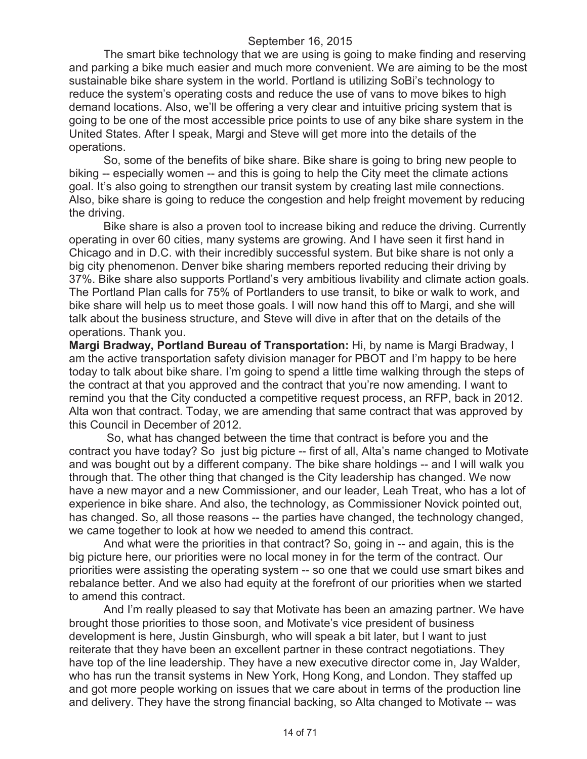The smart bike technology that we are using is going to make finding and reserving and parking a bike much easier and much more convenient. We are aiming to be the most sustainable bike share system in the world. Portland is utilizing SoBi's technology to reduce the system's operating costs and reduce the use of vans to move bikes to high demand locations. Also, we'll be offering a very clear and intuitive pricing system that is going to be one of the most accessible price points to use of any bike share system in the United States. After I speak, Margi and Steve will get more into the details of the operations.

So, some of the benefits of bike share. Bike share is going to bring new people to biking -- especially women -- and this is going to help the City meet the climate actions goal. It's also going to strengthen our transit system by creating last mile connections. Also, bike share is going to reduce the congestion and help freight movement by reducing the driving.

Bike share is also a proven tool to increase biking and reduce the driving. Currently operating in over 60 cities, many systems are growing. And I have seen it first hand in Chicago and in D.C. with their incredibly successful system. But bike share is not only a big city phenomenon. Denver bike sharing members reported reducing their driving by 37%. Bike share also supports Portland's very ambitious livability and climate action goals. The Portland Plan calls for 75% of Portlanders to use transit, to bike or walk to work, and bike share will help us to meet those goals. I will now hand this off to Margi, and she will talk about the business structure, and Steve will dive in after that on the details of the operations. Thank you.

**Margi Bradway, Portland Bureau of Transportation:** Hi, by name is Margi Bradway, I am the active transportation safety division manager for PBOT and I'm happy to be here today to talk about bike share. I'm going to spend a little time walking through the steps of the contract at that you approved and the contract that you're now amending. I want to remind you that the City conducted a competitive request process, an RFP, back in 2012. Alta won that contract. Today, we are amending that same contract that was approved by this Council in December of 2012.

So, what has changed between the time that contract is before you and the contract you have today? So just big picture -- first of all, Alta's name changed to Motivate and was bought out by a different company. The bike share holdings -- and I will walk you through that. The other thing that changed is the City leadership has changed. We now have a new mayor and a new Commissioner, and our leader, Leah Treat, who has a lot of experience in bike share. And also, the technology, as Commissioner Novick pointed out, has changed. So, all those reasons -- the parties have changed, the technology changed, we came together to look at how we needed to amend this contract.

And what were the priorities in that contract? So, going in -- and again, this is the big picture here, our priorities were no local money in for the term of the contract. Our priorities were assisting the operating system -- so one that we could use smart bikes and rebalance better. And we also had equity at the forefront of our priorities when we started to amend this contract.

And I'm really pleased to say that Motivate has been an amazing partner. We have brought those priorities to those soon, and Motivate's vice president of business development is here, Justin Ginsburgh, who will speak a bit later, but I want to just reiterate that they have been an excellent partner in these contract negotiations. They have top of the line leadership. They have a new executive director come in, Jay Walder, who has run the transit systems in New York, Hong Kong, and London. They staffed up and got more people working on issues that we care about in terms of the production line and delivery. They have the strong financial backing, so Alta changed to Motivate -- was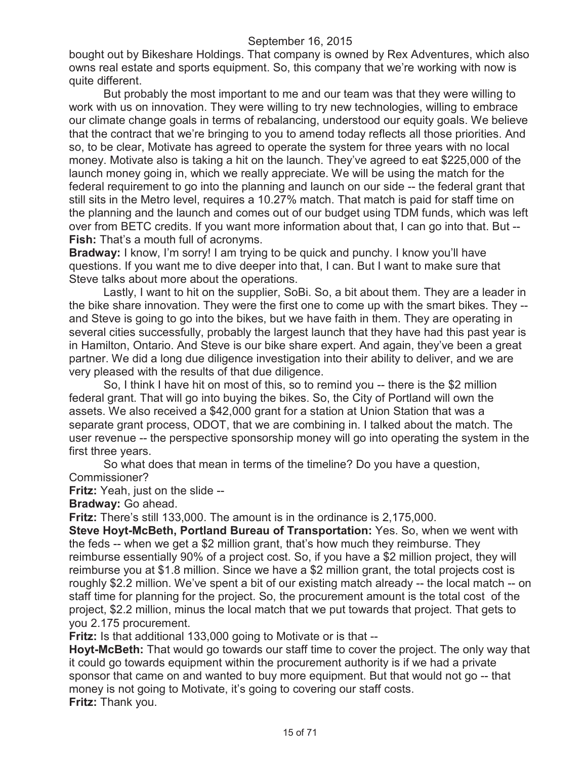bought out by Bikeshare Holdings. That company is owned by Rex Adventures, which also owns real estate and sports equipment. So, this company that we're working with now is quite different.

But probably the most important to me and our team was that they were willing to work with us on innovation. They were willing to try new technologies, willing to embrace our climate change goals in terms of rebalancing, understood our equity goals. We believe that the contract that we're bringing to you to amend today reflects all those priorities. And so, to be clear, Motivate has agreed to operate the system for three years with no local money. Motivate also is taking a hit on the launch. They've agreed to eat \$225,000 of the launch money going in, which we really appreciate. We will be using the match for the federal requirement to go into the planning and launch on our side -- the federal grant that still sits in the Metro level, requires a 10.27% match. That match is paid for staff time on the planning and the launch and comes out of our budget using TDM funds, which was left over from BETC credits. If you want more information about that, I can go into that. But -- **Fish:** That's a mouth full of acronyms.

**Bradway:** I know, I'm sorry! I am trying to be quick and punchy. I know you'll have questions. If you want me to dive deeper into that, I can. But I want to make sure that Steve talks about more about the operations.

Lastly, I want to hit on the supplier, SoBi. So, a bit about them. They are a leader in the bike share innovation. They were the first one to come up with the smart bikes. They - and Steve is going to go into the bikes, but we have faith in them. They are operating in several cities successfully, probably the largest launch that they have had this past year is in Hamilton, Ontario. And Steve is our bike share expert. And again, they've been a great partner. We did a long due diligence investigation into their ability to deliver, and we are very pleased with the results of that due diligence.

So, I think I have hit on most of this, so to remind you -- there is the \$2 million federal grant. That will go into buying the bikes. So, the City of Portland will own the assets. We also received a \$42,000 grant for a station at Union Station that was a separate grant process, ODOT, that we are combining in. I talked about the match. The user revenue -- the perspective sponsorship money will go into operating the system in the first three years.

So what does that mean in terms of the timeline? Do you have a question,

Commissioner?

**Fritz:** Yeah, just on the slide --

**Bradway:** Go ahead.

**Fritz:** There's still 133,000. The amount is in the ordinance is 2,175,000.

**Steve Hoyt-McBeth, Portland Bureau of Transportation:** Yes. So, when we went with the feds -- when we get a \$2 million grant, that's how much they reimburse. They reimburse essentially 90% of a project cost. So, if you have a \$2 million project, they will reimburse you at \$1.8 million. Since we have a \$2 million grant, the total projects cost is roughly \$2.2 million. We've spent a bit of our existing match already -- the local match -- on staff time for planning for the project. So, the procurement amount is the total cost of the project, \$2.2 million, minus the local match that we put towards that project. That gets to you 2.175 procurement.

**Fritz:** Is that additional 133,000 going to Motivate or is that --

**Hoyt-McBeth:** That would go towards our staff time to cover the project. The only way that it could go towards equipment within the procurement authority is if we had a private sponsor that came on and wanted to buy more equipment. But that would not go -- that money is not going to Motivate, it's going to covering our staff costs. **Fritz:** Thank you.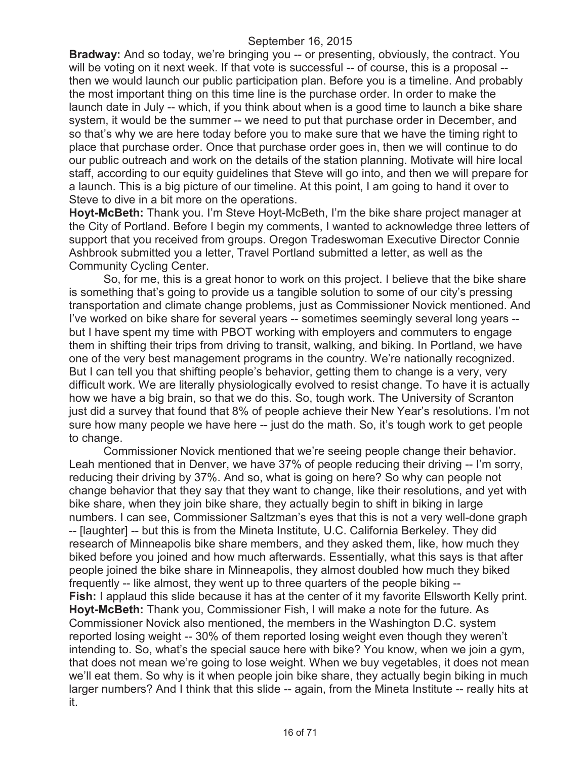**Bradway:** And so today, we're bringing you -- or presenting, obviously, the contract. You will be voting on it next week. If that vote is successful -- of course, this is a proposal -then we would launch our public participation plan. Before you is a timeline. And probably the most important thing on this time line is the purchase order. In order to make the launch date in July -- which, if you think about when is a good time to launch a bike share system, it would be the summer -- we need to put that purchase order in December, and so that's why we are here today before you to make sure that we have the timing right to place that purchase order. Once that purchase order goes in, then we will continue to do our public outreach and work on the details of the station planning. Motivate will hire local staff, according to our equity guidelines that Steve will go into, and then we will prepare for a launch. This is a big picture of our timeline. At this point, I am going to hand it over to Steve to dive in a bit more on the operations.

**Hoyt-McBeth:** Thank you. I'm Steve Hoyt-McBeth, I'm the bike share project manager at the City of Portland. Before I begin my comments, I wanted to acknowledge three letters of support that you received from groups. Oregon Tradeswoman Executive Director Connie Ashbrook submitted you a letter, Travel Portland submitted a letter, as well as the Community Cycling Center.

So, for me, this is a great honor to work on this project. I believe that the bike share is something that's going to provide us a tangible solution to some of our city's pressing transportation and climate change problems, just as Commissioner Novick mentioned. And I've worked on bike share for several years -- sometimes seemingly several long years - but I have spent my time with PBOT working with employers and commuters to engage them in shifting their trips from driving to transit, walking, and biking. In Portland, we have one of the very best management programs in the country. We're nationally recognized. But I can tell you that shifting people's behavior, getting them to change is a very, very difficult work. We are literally physiologically evolved to resist change. To have it is actually how we have a big brain, so that we do this. So, tough work. The University of Scranton just did a survey that found that 8% of people achieve their New Year's resolutions. I'm not sure how many people we have here -- just do the math. So, it's tough work to get people to change.

Commissioner Novick mentioned that we're seeing people change their behavior. Leah mentioned that in Denver, we have 37% of people reducing their driving -- I'm sorry, reducing their driving by 37%. And so, what is going on here? So why can people not change behavior that they say that they want to change, like their resolutions, and yet with bike share, when they join bike share, they actually begin to shift in biking in large numbers. I can see, Commissioner Saltzman's eyes that this is not a very well-done graph -- [laughter] -- but this is from the Mineta Institute, U.C. California Berkeley. They did research of Minneapolis bike share members, and they asked them, like, how much they biked before you joined and how much afterwards. Essentially, what this says is that after people joined the bike share in Minneapolis, they almost doubled how much they biked frequently -- like almost, they went up to three quarters of the people biking -- **Fish:** I applaud this slide because it has at the center of it my favorite Ellsworth Kelly print. **Hoyt-McBeth:** Thank you, Commissioner Fish, I will make a note for the future. As Commissioner Novick also mentioned, the members in the Washington D.C. system reported losing weight -- 30% of them reported losing weight even though they weren't intending to. So, what's the special sauce here with bike? You know, when we join a gym, that does not mean we're going to lose weight. When we buy vegetables, it does not mean we'll eat them. So why is it when people join bike share, they actually begin biking in much larger numbers? And I think that this slide -- again, from the Mineta Institute -- really hits at it.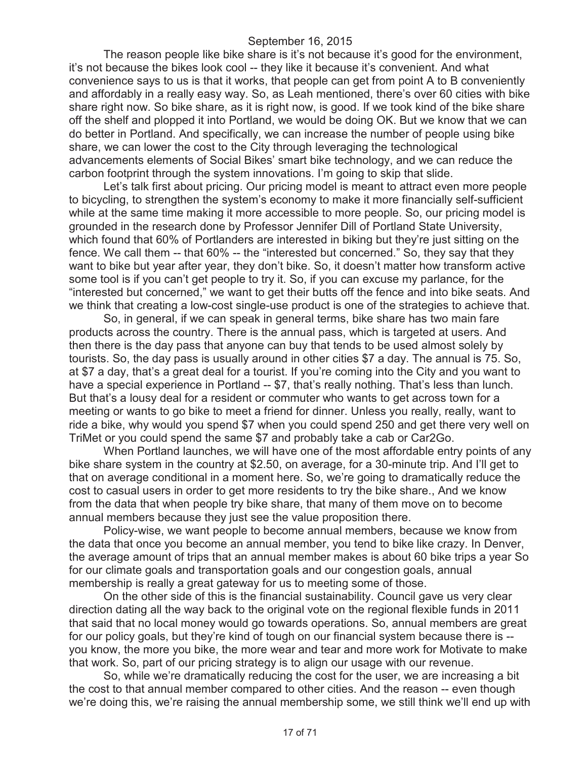The reason people like bike share is it's not because it's good for the environment, it's not because the bikes look cool -- they like it because it's convenient. And what convenience says to us is that it works, that people can get from point A to B conveniently and affordably in a really easy way. So, as Leah mentioned, there's over 60 cities with bike share right now. So bike share, as it is right now, is good. If we took kind of the bike share off the shelf and plopped it into Portland, we would be doing OK. But we know that we can do better in Portland. And specifically, we can increase the number of people using bike share, we can lower the cost to the City through leveraging the technological advancements elements of Social Bikes' smart bike technology, and we can reduce the carbon footprint through the system innovations. I'm going to skip that slide.

Let's talk first about pricing. Our pricing model is meant to attract even more people to bicycling, to strengthen the system's economy to make it more financially self-sufficient while at the same time making it more accessible to more people. So, our pricing model is grounded in the research done by Professor Jennifer Dill of Portland State University, which found that 60% of Portlanders are interested in biking but they're just sitting on the fence. We call them -- that 60% -- the "interested but concerned." So, they say that they want to bike but year after year, they don't bike. So, it doesn't matter how transform active some tool is if you can't get people to try it. So, if you can excuse my parlance, for the "interested but concerned," we want to get their butts off the fence and into bike seats. And we think that creating a low-cost single-use product is one of the strategies to achieve that.

So, in general, if we can speak in general terms, bike share has two main fare products across the country. There is the annual pass, which is targeted at users. And then there is the day pass that anyone can buy that tends to be used almost solely by tourists. So, the day pass is usually around in other cities \$7 a day. The annual is 75. So, at \$7 a day, that's a great deal for a tourist. If you're coming into the City and you want to have a special experience in Portland -- \$7, that's really nothing. That's less than lunch. But that's a lousy deal for a resident or commuter who wants to get across town for a meeting or wants to go bike to meet a friend for dinner. Unless you really, really, want to ride a bike, why would you spend \$7 when you could spend 250 and get there very well on TriMet or you could spend the same \$7 and probably take a cab or Car2Go.

When Portland launches, we will have one of the most affordable entry points of any bike share system in the country at \$2.50, on average, for a 30-minute trip. And I'll get to that on average conditional in a moment here. So, we're going to dramatically reduce the cost to casual users in order to get more residents to try the bike share., And we know from the data that when people try bike share, that many of them move on to become annual members because they just see the value proposition there.

Policy-wise, we want people to become annual members, because we know from the data that once you become an annual member, you tend to bike like crazy. In Denver, the average amount of trips that an annual member makes is about 60 bike trips a year So for our climate goals and transportation goals and our congestion goals, annual membership is really a great gateway for us to meeting some of those.

On the other side of this is the financial sustainability. Council gave us very clear direction dating all the way back to the original vote on the regional flexible funds in 2011 that said that no local money would go towards operations. So, annual members are great for our policy goals, but they're kind of tough on our financial system because there is - you know, the more you bike, the more wear and tear and more work for Motivate to make that work. So, part of our pricing strategy is to align our usage with our revenue.

So, while we're dramatically reducing the cost for the user, we are increasing a bit the cost to that annual member compared to other cities. And the reason -- even though we're doing this, we're raising the annual membership some, we still think we'll end up with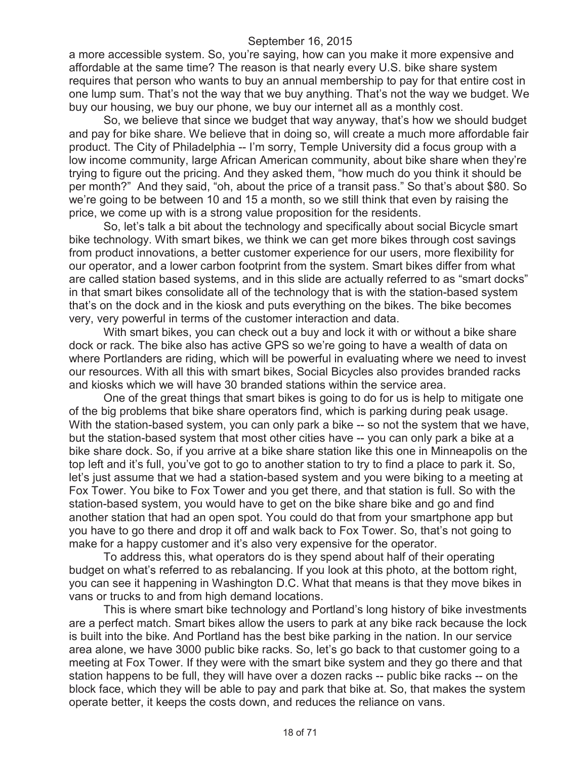a more accessible system. So, you're saying, how can you make it more expensive and affordable at the same time? The reason is that nearly every U.S. bike share system requires that person who wants to buy an annual membership to pay for that entire cost in one lump sum. That's not the way that we buy anything. That's not the way we budget. We buy our housing, we buy our phone, we buy our internet all as a monthly cost.

So, we believe that since we budget that way anyway, that's how we should budget and pay for bike share. We believe that in doing so, will create a much more affordable fair product. The City of Philadelphia -- I'm sorry, Temple University did a focus group with a low income community, large African American community, about bike share when they're trying to figure out the pricing. And they asked them, "how much do you think it should be per month?" And they said, "oh, about the price of a transit pass." So that's about \$80. So we're going to be between 10 and 15 a month, so we still think that even by raising the price, we come up with is a strong value proposition for the residents.

So, let's talk a bit about the technology and specifically about social Bicycle smart bike technology. With smart bikes, we think we can get more bikes through cost savings from product innovations, a better customer experience for our users, more flexibility for our operator, and a lower carbon footprint from the system. Smart bikes differ from what are called station based systems, and in this slide are actually referred to as "smart docks" in that smart bikes consolidate all of the technology that is with the station-based system that's on the dock and in the kiosk and puts everything on the bikes. The bike becomes very, very powerful in terms of the customer interaction and data.

With smart bikes, you can check out a buy and lock it with or without a bike share dock or rack. The bike also has active GPS so we're going to have a wealth of data on where Portlanders are riding, which will be powerful in evaluating where we need to invest our resources. With all this with smart bikes, Social Bicycles also provides branded racks and kiosks which we will have 30 branded stations within the service area.

One of the great things that smart bikes is going to do for us is help to mitigate one of the big problems that bike share operators find, which is parking during peak usage. With the station-based system, you can only park a bike -- so not the system that we have, but the station-based system that most other cities have -- you can only park a bike at a bike share dock. So, if you arrive at a bike share station like this one in Minneapolis on the top left and it's full, you've got to go to another station to try to find a place to park it. So, let's just assume that we had a station-based system and you were biking to a meeting at Fox Tower. You bike to Fox Tower and you get there, and that station is full. So with the station-based system, you would have to get on the bike share bike and go and find another station that had an open spot. You could do that from your smartphone app but you have to go there and drop it off and walk back to Fox Tower. So, that's not going to make for a happy customer and it's also very expensive for the operator.

To address this, what operators do is they spend about half of their operating budget on what's referred to as rebalancing. If you look at this photo, at the bottom right, you can see it happening in Washington D.C. What that means is that they move bikes in vans or trucks to and from high demand locations.

This is where smart bike technology and Portland's long history of bike investments are a perfect match. Smart bikes allow the users to park at any bike rack because the lock is built into the bike. And Portland has the best bike parking in the nation. In our service area alone, we have 3000 public bike racks. So, let's go back to that customer going to a meeting at Fox Tower. If they were with the smart bike system and they go there and that station happens to be full, they will have over a dozen racks -- public bike racks -- on the block face, which they will be able to pay and park that bike at. So, that makes the system operate better, it keeps the costs down, and reduces the reliance on vans.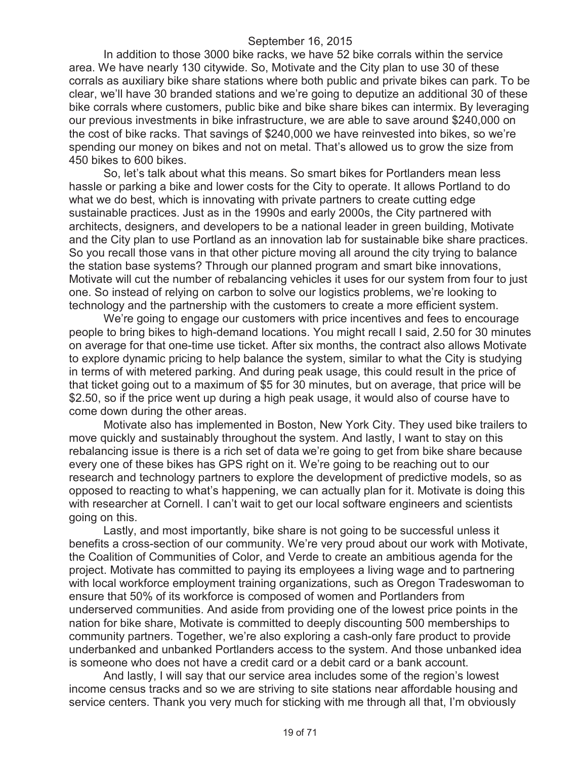In addition to those 3000 bike racks, we have 52 bike corrals within the service area. We have nearly 130 citywide. So, Motivate and the City plan to use 30 of these corrals as auxiliary bike share stations where both public and private bikes can park. To be clear, we'll have 30 branded stations and we're going to deputize an additional 30 of these bike corrals where customers, public bike and bike share bikes can intermix. By leveraging our previous investments in bike infrastructure, we are able to save around \$240,000 on the cost of bike racks. That savings of \$240,000 we have reinvested into bikes, so we're spending our money on bikes and not on metal. That's allowed us to grow the size from 450 bikes to 600 bikes.

So, let's talk about what this means. So smart bikes for Portlanders mean less hassle or parking a bike and lower costs for the City to operate. It allows Portland to do what we do best, which is innovating with private partners to create cutting edge sustainable practices. Just as in the 1990s and early 2000s, the City partnered with architects, designers, and developers to be a national leader in green building, Motivate and the City plan to use Portland as an innovation lab for sustainable bike share practices. So you recall those vans in that other picture moving all around the city trying to balance the station base systems? Through our planned program and smart bike innovations, Motivate will cut the number of rebalancing vehicles it uses for our system from four to just one. So instead of relying on carbon to solve our logistics problems, we're looking to technology and the partnership with the customers to create a more efficient system.

We're going to engage our customers with price incentives and fees to encourage people to bring bikes to high-demand locations. You might recall I said, 2.50 for 30 minutes on average for that one-time use ticket. After six months, the contract also allows Motivate to explore dynamic pricing to help balance the system, similar to what the City is studying in terms of with metered parking. And during peak usage, this could result in the price of that ticket going out to a maximum of \$5 for 30 minutes, but on average, that price will be \$2.50, so if the price went up during a high peak usage, it would also of course have to come down during the other areas.

Motivate also has implemented in Boston, New York City. They used bike trailers to move quickly and sustainably throughout the system. And lastly, I want to stay on this rebalancing issue is there is a rich set of data we're going to get from bike share because every one of these bikes has GPS right on it. We're going to be reaching out to our research and technology partners to explore the development of predictive models, so as opposed to reacting to what's happening, we can actually plan for it. Motivate is doing this with researcher at Cornell. I can't wait to get our local software engineers and scientists going on this.

Lastly, and most importantly, bike share is not going to be successful unless it benefits a cross-section of our community. We're very proud about our work with Motivate, the Coalition of Communities of Color, and Verde to create an ambitious agenda for the project. Motivate has committed to paying its employees a living wage and to partnering with local workforce employment training organizations, such as Oregon Tradeswoman to ensure that 50% of its workforce is composed of women and Portlanders from underserved communities. And aside from providing one of the lowest price points in the nation for bike share, Motivate is committed to deeply discounting 500 memberships to community partners. Together, we're also exploring a cash-only fare product to provide underbanked and unbanked Portlanders access to the system. And those unbanked idea is someone who does not have a credit card or a debit card or a bank account.

And lastly, I will say that our service area includes some of the region's lowest income census tracks and so we are striving to site stations near affordable housing and service centers. Thank you very much for sticking with me through all that, I'm obviously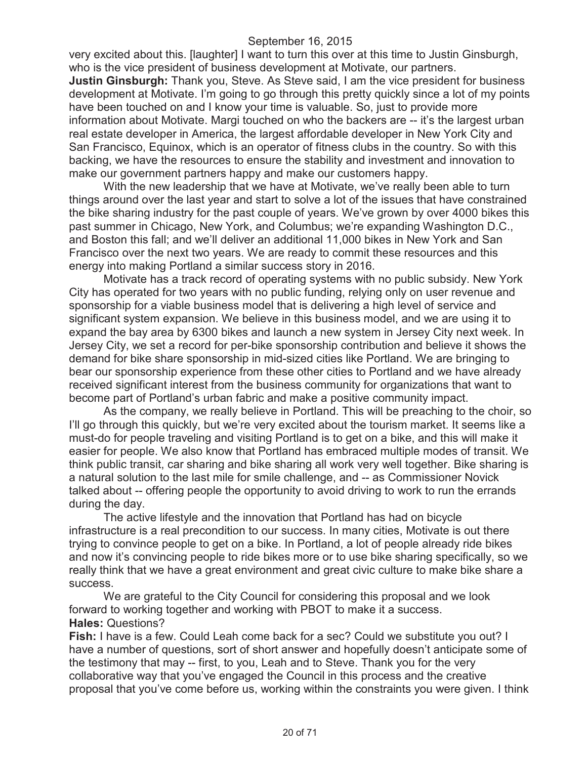very excited about this. [laughter] I want to turn this over at this time to Justin Ginsburgh, who is the vice president of business development at Motivate, our partners. **Justin Ginsburgh:** Thank you, Steve. As Steve said, I am the vice president for business development at Motivate. I'm going to go through this pretty quickly since a lot of my points have been touched on and I know your time is valuable. So, just to provide more information about Motivate. Margi touched on who the backers are -- it's the largest urban real estate developer in America, the largest affordable developer in New York City and San Francisco, Equinox, which is an operator of fitness clubs in the country. So with this backing, we have the resources to ensure the stability and investment and innovation to make our government partners happy and make our customers happy.

With the new leadership that we have at Motivate, we've really been able to turn things around over the last year and start to solve a lot of the issues that have constrained the bike sharing industry for the past couple of years. We've grown by over 4000 bikes this past summer in Chicago, New York, and Columbus; we're expanding Washington D.C., and Boston this fall; and we'll deliver an additional 11,000 bikes in New York and San Francisco over the next two years. We are ready to commit these resources and this energy into making Portland a similar success story in 2016.

Motivate has a track record of operating systems with no public subsidy. New York City has operated for two years with no public funding, relying only on user revenue and sponsorship for a viable business model that is delivering a high level of service and significant system expansion. We believe in this business model, and we are using it to expand the bay area by 6300 bikes and launch a new system in Jersey City next week. In Jersey City, we set a record for per-bike sponsorship contribution and believe it shows the demand for bike share sponsorship in mid-sized cities like Portland. We are bringing to bear our sponsorship experience from these other cities to Portland and we have already received significant interest from the business community for organizations that want to become part of Portland's urban fabric and make a positive community impact.

As the company, we really believe in Portland. This will be preaching to the choir, so I'll go through this quickly, but we're very excited about the tourism market. It seems like a must-do for people traveling and visiting Portland is to get on a bike, and this will make it easier for people. We also know that Portland has embraced multiple modes of transit. We think public transit, car sharing and bike sharing all work very well together. Bike sharing is a natural solution to the last mile for smile challenge, and -- as Commissioner Novick talked about -- offering people the opportunity to avoid driving to work to run the errands during the day.

The active lifestyle and the innovation that Portland has had on bicycle infrastructure is a real precondition to our success. In many cities, Motivate is out there trying to convince people to get on a bike. In Portland, a lot of people already ride bikes and now it's convincing people to ride bikes more or to use bike sharing specifically, so we really think that we have a great environment and great civic culture to make bike share a success.

We are grateful to the City Council for considering this proposal and we look forward to working together and working with PBOT to make it a success. **Hales:** Questions?

**Fish:** I have is a few. Could Leah come back for a sec? Could we substitute you out? I have a number of questions, sort of short answer and hopefully doesn't anticipate some of the testimony that may -- first, to you, Leah and to Steve. Thank you for the very collaborative way that you've engaged the Council in this process and the creative proposal that you've come before us, working within the constraints you were given. I think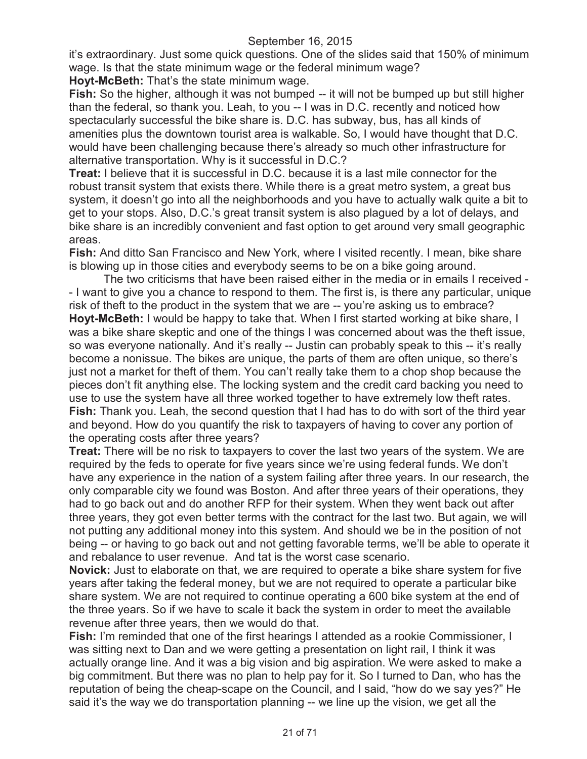it's extraordinary. Just some quick questions. One of the slides said that 150% of minimum wage. Is that the state minimum wage or the federal minimum wage?

**Hoyt-McBeth:** That's the state minimum wage.

Fish: So the higher, although it was not bumped -- it will not be bumped up but still higher than the federal, so thank you. Leah, to you -- I was in D.C. recently and noticed how spectacularly successful the bike share is. D.C. has subway, bus, has all kinds of amenities plus the downtown tourist area is walkable. So, I would have thought that D.C. would have been challenging because there's already so much other infrastructure for alternative transportation. Why is it successful in D.C.?

**Treat:** I believe that it is successful in D.C. because it is a last mile connector for the robust transit system that exists there. While there is a great metro system, a great bus system, it doesn't go into all the neighborhoods and you have to actually walk quite a bit to get to your stops. Also, D.C.'s great transit system is also plagued by a lot of delays, and bike share is an incredibly convenient and fast option to get around very small geographic areas.

**Fish:** And ditto San Francisco and New York, where I visited recently. I mean, bike share is blowing up in those cities and everybody seems to be on a bike going around.

The two criticisms that have been raised either in the media or in emails I received - - I want to give you a chance to respond to them. The first is, is there any particular, unique risk of theft to the product in the system that we are -- you're asking us to embrace? **Hoyt-McBeth:** I would be happy to take that. When I first started working at bike share, I was a bike share skeptic and one of the things I was concerned about was the theft issue, so was everyone nationally. And it's really -- Justin can probably speak to this -- it's really become a nonissue. The bikes are unique, the parts of them are often unique, so there's just not a market for theft of them. You can't really take them to a chop shop because the pieces don't fit anything else. The locking system and the credit card backing you need to use to use the system have all three worked together to have extremely low theft rates. **Fish:** Thank you. Leah, the second question that I had has to do with sort of the third year and beyond. How do you quantify the risk to taxpayers of having to cover any portion of the operating costs after three years?

**Treat:** There will be no risk to taxpayers to cover the last two years of the system. We are required by the feds to operate for five years since we're using federal funds. We don't have any experience in the nation of a system failing after three years. In our research, the only comparable city we found was Boston. And after three years of their operations, they had to go back out and do another RFP for their system. When they went back out after three years, they got even better terms with the contract for the last two. But again, we will not putting any additional money into this system. And should we be in the position of not being -- or having to go back out and not getting favorable terms, we'll be able to operate it and rebalance to user revenue. And tat is the worst case scenario.

**Novick:** Just to elaborate on that, we are required to operate a bike share system for five years after taking the federal money, but we are not required to operate a particular bike share system. We are not required to continue operating a 600 bike system at the end of the three years. So if we have to scale it back the system in order to meet the available revenue after three years, then we would do that.

**Fish:** I'm reminded that one of the first hearings I attended as a rookie Commissioner, I was sitting next to Dan and we were getting a presentation on light rail, I think it was actually orange line. And it was a big vision and big aspiration. We were asked to make a big commitment. But there was no plan to help pay for it. So I turned to Dan, who has the reputation of being the cheap-scape on the Council, and I said, "how do we say yes?" He said it's the way we do transportation planning -- we line up the vision, we get all the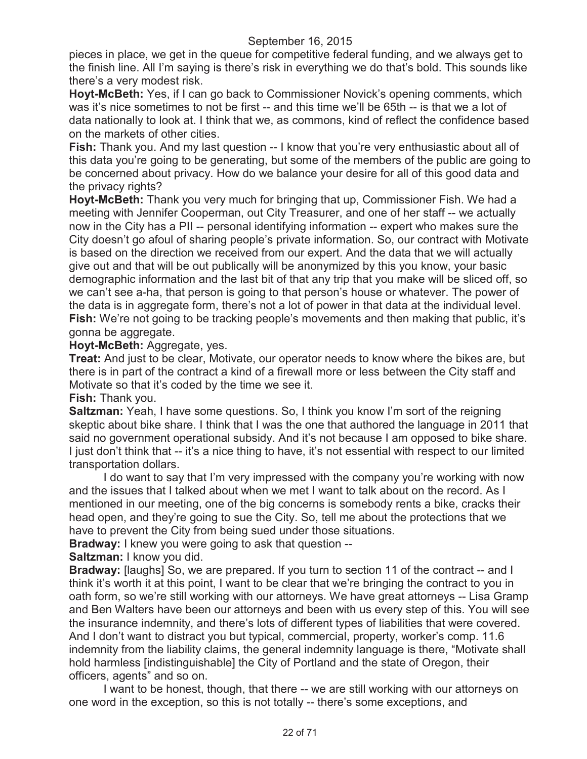pieces in place, we get in the queue for competitive federal funding, and we always get to the finish line. All I'm saying is there's risk in everything we do that's bold. This sounds like there's a very modest risk.

**Hoyt-McBeth:** Yes, if I can go back to Commissioner Novick's opening comments, which was it's nice sometimes to not be first -- and this time we'll be 65th -- is that we a lot of data nationally to look at. I think that we, as commons, kind of reflect the confidence based on the markets of other cities.

**Fish:** Thank you. And my last question -- I know that you're very enthusiastic about all of this data you're going to be generating, but some of the members of the public are going to be concerned about privacy. How do we balance your desire for all of this good data and the privacy rights?

**Hoyt-McBeth:** Thank you very much for bringing that up, Commissioner Fish. We had a meeting with Jennifer Cooperman, out City Treasurer, and one of her staff -- we actually now in the City has a PII -- personal identifying information -- expert who makes sure the City doesn't go afoul of sharing people's private information. So, our contract with Motivate is based on the direction we received from our expert. And the data that we will actually give out and that will be out publically will be anonymized by this you know, your basic demographic information and the last bit of that any trip that you make will be sliced off, so we can't see a-ha, that person is going to that person's house or whatever. The power of the data is in aggregate form, there's not a lot of power in that data at the individual level. **Fish:** We're not going to be tracking people's movements and then making that public, it's gonna be aggregate.

### **Hoyt-McBeth:** Aggregate, yes.

**Treat:** And just to be clear, Motivate, our operator needs to know where the bikes are, but there is in part of the contract a kind of a firewall more or less between the City staff and Motivate so that it's coded by the time we see it.

## **Fish:** Thank you.

**Saltzman:** Yeah, I have some questions. So, I think you know I'm sort of the reigning skeptic about bike share. I think that I was the one that authored the language in 2011 that said no government operational subsidy. And it's not because I am opposed to bike share. I just don't think that -- it's a nice thing to have, it's not essential with respect to our limited transportation dollars.

I do want to say that I'm very impressed with the company you're working with now and the issues that I talked about when we met I want to talk about on the record. As I mentioned in our meeting, one of the big concerns is somebody rents a bike, cracks their head open, and they're going to sue the City. So, tell me about the protections that we have to prevent the City from being sued under those situations.

**Bradway:** I knew you were going to ask that question --

**Saltzman:** I know you did.

**Bradway:** [laughs] So, we are prepared. If you turn to section 11 of the contract -- and I think it's worth it at this point, I want to be clear that we're bringing the contract to you in oath form, so we're still working with our attorneys. We have great attorneys -- Lisa Gramp and Ben Walters have been our attorneys and been with us every step of this. You will see the insurance indemnity, and there's lots of different types of liabilities that were covered. And I don't want to distract you but typical, commercial, property, worker's comp. 11.6 indemnity from the liability claims, the general indemnity language is there, "Motivate shall hold harmless [indistinguishable] the City of Portland and the state of Oregon, their officers, agents" and so on.

I want to be honest, though, that there -- we are still working with our attorneys on one word in the exception, so this is not totally -- there's some exceptions, and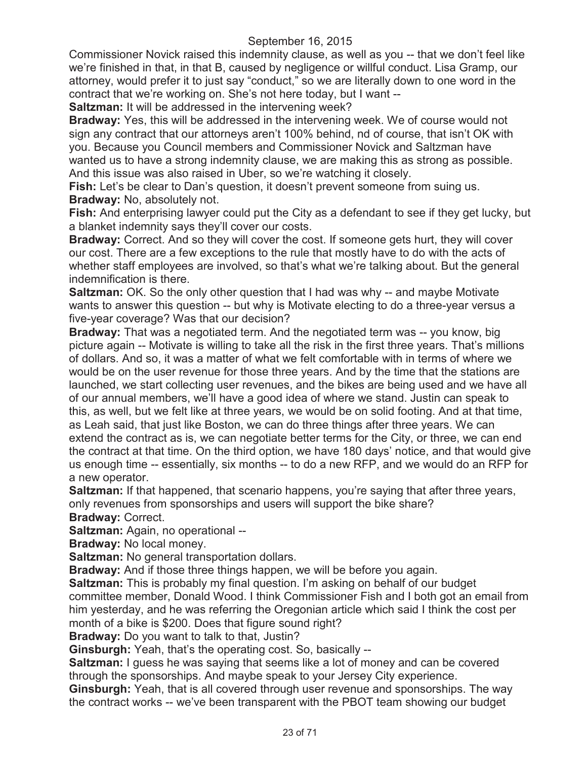Commissioner Novick raised this indemnity clause, as well as you -- that we don't feel like we're finished in that, in that B, caused by negligence or willful conduct. Lisa Gramp, our attorney, would prefer it to just say "conduct," so we are literally down to one word in the contract that we're working on. She's not here today, but I want --

**Saltzman:** It will be addressed in the intervening week?

**Bradway:** Yes, this will be addressed in the intervening week. We of course would not sign any contract that our attorneys aren't 100% behind, nd of course, that isn't OK with you. Because you Council members and Commissioner Novick and Saltzman have wanted us to have a strong indemnity clause, we are making this as strong as possible. And this issue was also raised in Uber, so we're watching it closely.

**Fish:** Let's be clear to Dan's question, it doesn't prevent someone from suing us. **Bradway:** No, absolutely not.

**Fish:** And enterprising lawyer could put the City as a defendant to see if they get lucky, but a blanket indemnity says they'll cover our costs.

**Bradway:** Correct. And so they will cover the cost. If someone gets hurt, they will cover our cost. There are a few exceptions to the rule that mostly have to do with the acts of whether staff employees are involved, so that's what we're talking about. But the general indemnification is there.

**Saltzman:** OK. So the only other question that I had was why -- and maybe Motivate wants to answer this question -- but why is Motivate electing to do a three-year versus a five-year coverage? Was that our decision?

**Bradway:** That was a negotiated term. And the negotiated term was -- you know, big picture again -- Motivate is willing to take all the risk in the first three years. That's millions of dollars. And so, it was a matter of what we felt comfortable with in terms of where we would be on the user revenue for those three years. And by the time that the stations are launched, we start collecting user revenues, and the bikes are being used and we have all of our annual members, we'll have a good idea of where we stand. Justin can speak to this, as well, but we felt like at three years, we would be on solid footing. And at that time, as Leah said, that just like Boston, we can do three things after three years. We can extend the contract as is, we can negotiate better terms for the City, or three, we can end the contract at that time. On the third option, we have 180 days' notice, and that would give us enough time -- essentially, six months -- to do a new RFP, and we would do an RFP for a new operator.

**Saltzman:** If that happened, that scenario happens, you're saying that after three years, only revenues from sponsorships and users will support the bike share?

**Bradway:** Correct.

**Saltzman:** Again, no operational --

**Bradway:** No local money.

**Saltzman:** No general transportation dollars.

**Bradway:** And if those three things happen, we will be before you again.

**Saltzman:** This is probably my final question. I'm asking on behalf of our budget committee member, Donald Wood. I think Commissioner Fish and I both got an email from him yesterday, and he was referring the Oregonian article which said I think the cost per month of a bike is \$200. Does that figure sound right?

**Bradway:** Do you want to talk to that, Justin?

**Ginsburgh:** Yeah, that's the operating cost. So, basically --

**Saltzman:** I guess he was saying that seems like a lot of money and can be covered through the sponsorships. And maybe speak to your Jersey City experience.

**Ginsburgh:** Yeah, that is all covered through user revenue and sponsorships. The way the contract works -- we've been transparent with the PBOT team showing our budget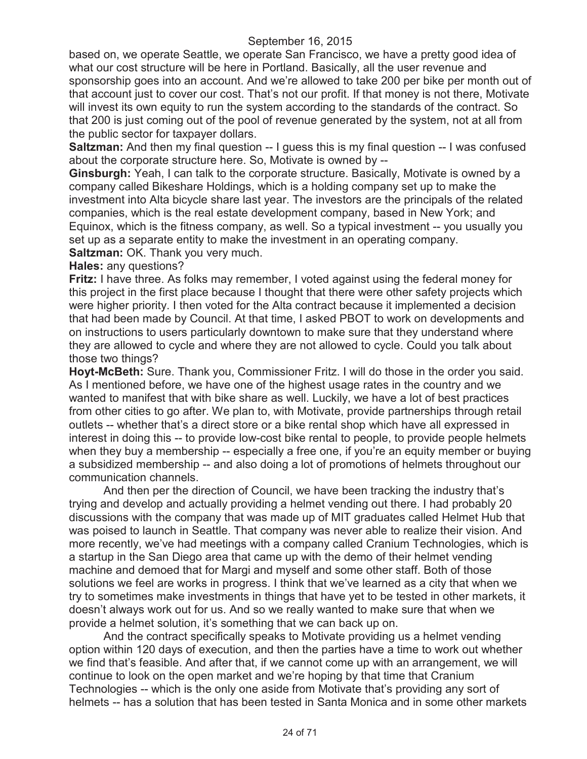based on, we operate Seattle, we operate San Francisco, we have a pretty good idea of what our cost structure will be here in Portland. Basically, all the user revenue and sponsorship goes into an account. And we're allowed to take 200 per bike per month out of that account just to cover our cost. That's not our profit. If that money is not there, Motivate will invest its own equity to run the system according to the standards of the contract. So that 200 is just coming out of the pool of revenue generated by the system, not at all from the public sector for taxpayer dollars.

**Saltzman:** And then my final question -- I guess this is my final question -- I was confused about the corporate structure here. So, Motivate is owned by --

**Ginsburgh:** Yeah, I can talk to the corporate structure. Basically, Motivate is owned by a company called Bikeshare Holdings, which is a holding company set up to make the investment into Alta bicycle share last year. The investors are the principals of the related companies, which is the real estate development company, based in New York; and Equinox, which is the fitness company, as well. So a typical investment -- you usually you set up as a separate entity to make the investment in an operating company. **Saltzman:** OK. Thank you very much.

**Hales:** any questions?

**Fritz:** I have three. As folks may remember, I voted against using the federal money for this project in the first place because I thought that there were other safety projects which were higher priority. I then voted for the Alta contract because it implemented a decision that had been made by Council. At that time, I asked PBOT to work on developments and on instructions to users particularly downtown to make sure that they understand where they are allowed to cycle and where they are not allowed to cycle. Could you talk about those two things?

**Hoyt-McBeth:** Sure. Thank you, Commissioner Fritz. I will do those in the order you said. As I mentioned before, we have one of the highest usage rates in the country and we wanted to manifest that with bike share as well. Luckily, we have a lot of best practices from other cities to go after. We plan to, with Motivate, provide partnerships through retail outlets -- whether that's a direct store or a bike rental shop which have all expressed in interest in doing this -- to provide low-cost bike rental to people, to provide people helmets when they buy a membership -- especially a free one, if you're an equity member or buying a subsidized membership -- and also doing a lot of promotions of helmets throughout our communication channels.

And then per the direction of Council, we have been tracking the industry that's trying and develop and actually providing a helmet vending out there. I had probably 20 discussions with the company that was made up of MIT graduates called Helmet Hub that was poised to launch in Seattle. That company was never able to realize their vision. And more recently, we've had meetings with a company called Cranium Technologies, which is a startup in the San Diego area that came up with the demo of their helmet vending machine and demoed that for Margi and myself and some other staff. Both of those solutions we feel are works in progress. I think that we've learned as a city that when we try to sometimes make investments in things that have yet to be tested in other markets, it doesn't always work out for us. And so we really wanted to make sure that when we provide a helmet solution, it's something that we can back up on.

And the contract specifically speaks to Motivate providing us a helmet vending option within 120 days of execution, and then the parties have a time to work out whether we find that's feasible. And after that, if we cannot come up with an arrangement, we will continue to look on the open market and we're hoping by that time that Cranium Technologies -- which is the only one aside from Motivate that's providing any sort of helmets -- has a solution that has been tested in Santa Monica and in some other markets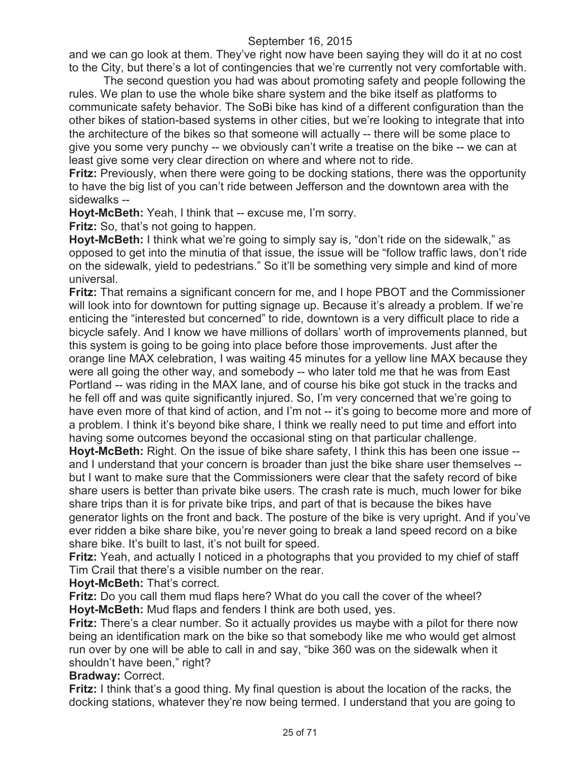and we can go look at them. They've right now have been saying they will do it at no cost to the City, but there's a lot of contingencies that we're currently not very comfortable with.

The second question you had was about promoting safety and people following the rules. We plan to use the whole bike share system and the bike itself as platforms to communicate safety behavior. The SoBi bike has kind of a different configuration than the other bikes of station-based systems in other cities, but we're looking to integrate that into the architecture of the bikes so that someone will actually -- there will be some place to give you some very punchy -- we obviously can't write a treatise on the bike -- we can at least give some very clear direction on where and where not to ride.

**Fritz:** Previously, when there were going to be docking stations, there was the opportunity to have the big list of you can't ride between Jefferson and the downtown area with the sidewalks --

**Hoyt-McBeth:** Yeah, I think that -- excuse me, I'm sorry.

**Fritz:** So, that's not going to happen.

**Hoyt-McBeth:** I think what we're going to simply say is, "don't ride on the sidewalk," as opposed to get into the minutia of that issue, the issue will be "follow traffic laws, don't ride on the sidewalk, yield to pedestrians." So it'll be something very simple and kind of more universal.

**Fritz:** That remains a significant concern for me, and I hope PBOT and the Commissioner will look into for downtown for putting signage up. Because it's already a problem. If we're enticing the "interested but concerned" to ride, downtown is a very difficult place to ride a bicycle safely. And I know we have millions of dollars' worth of improvements planned, but this system is going to be going into place before those improvements. Just after the orange line MAX celebration, I was waiting 45 minutes for a yellow line MAX because they were all going the other way, and somebody -- who later told me that he was from East Portland -- was riding in the MAX lane, and of course his bike got stuck in the tracks and he fell off and was quite significantly injured. So, I'm very concerned that we're going to have even more of that kind of action, and I'm not -- it's going to become more and more of a problem. I think it's beyond bike share, I think we really need to put time and effort into having some outcomes beyond the occasional sting on that particular challenge.

**Hoyt-McBeth:** Right. On the issue of bike share safety, I think this has been one issue - and I understand that your concern is broader than just the bike share user themselves - but I want to make sure that the Commissioners were clear that the safety record of bike share users is better than private bike users. The crash rate is much, much lower for bike share trips than it is for private bike trips, and part of that is because the bikes have generator lights on the front and back. The posture of the bike is very upright. And if you've ever ridden a bike share bike, you're never going to break a land speed record on a bike share bike. It's built to last, it's not built for speed.

**Fritz:** Yeah, and actually I noticed in a photographs that you provided to my chief of staff Tim Crail that there's a visible number on the rear.

**Hoyt-McBeth:** That's correct.

**Fritz:** Do you call them mud flaps here? What do you call the cover of the wheel? **Hoyt-McBeth:** Mud flaps and fenders I think are both used, yes.

**Fritz:** There's a clear number. So it actually provides us maybe with a pilot for there now being an identification mark on the bike so that somebody like me who would get almost run over by one will be able to call in and say, "bike 360 was on the sidewalk when it shouldn't have been," right?

**Bradway:** Correct.

**Fritz:** I think that's a good thing. My final question is about the location of the racks, the docking stations, whatever they're now being termed. I understand that you are going to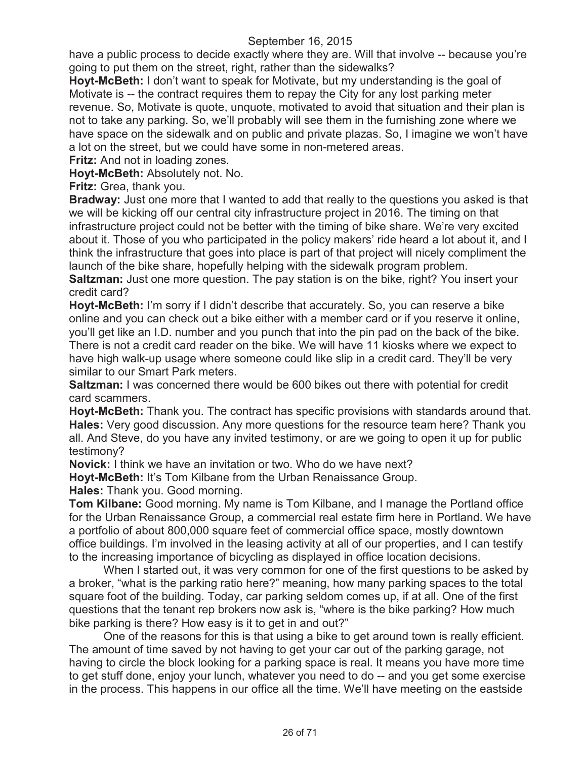have a public process to decide exactly where they are. Will that involve -- because you're going to put them on the street, right, rather than the sidewalks?

**Hoyt-McBeth:** I don't want to speak for Motivate, but my understanding is the goal of Motivate is -- the contract requires them to repay the City for any lost parking meter revenue. So, Motivate is quote, unquote, motivated to avoid that situation and their plan is not to take any parking. So, we'll probably will see them in the furnishing zone where we have space on the sidewalk and on public and private plazas. So, I imagine we won't have a lot on the street, but we could have some in non-metered areas.

**Fritz:** And not in loading zones.

**Hoyt-McBeth:** Absolutely not. No.

**Fritz:** Grea, thank you.

**Bradway:** Just one more that I wanted to add that really to the questions you asked is that we will be kicking off our central city infrastructure project in 2016. The timing on that infrastructure project could not be better with the timing of bike share. We're very excited about it. Those of you who participated in the policy makers' ride heard a lot about it, and I think the infrastructure that goes into place is part of that project will nicely compliment the launch of the bike share, hopefully helping with the sidewalk program problem. **Saltzman:** Just one more question. The pay station is on the bike, right? You insert your credit card?

**Hoyt-McBeth:** I'm sorry if I didn't describe that accurately. So, you can reserve a bike online and you can check out a bike either with a member card or if you reserve it online, you'll get like an I.D. number and you punch that into the pin pad on the back of the bike. There is not a credit card reader on the bike. We will have 11 kiosks where we expect to have high walk-up usage where someone could like slip in a credit card. They'll be very similar to our Smart Park meters.

**Saltzman:** I was concerned there would be 600 bikes out there with potential for credit card scammers.

**Hoyt-McBeth:** Thank you. The contract has specific provisions with standards around that. **Hales:** Very good discussion. Any more questions for the resource team here? Thank you all. And Steve, do you have any invited testimony, or are we going to open it up for public testimony?

**Novick:** I think we have an invitation or two. Who do we have next?

**Hoyt-McBeth:** It's Tom Kilbane from the Urban Renaissance Group.

**Hales:** Thank you. Good morning.

**Tom Kilbane:** Good morning. My name is Tom Kilbane, and I manage the Portland office for the Urban Renaissance Group, a commercial real estate firm here in Portland. We have a portfolio of about 800,000 square feet of commercial office space, mostly downtown office buildings. I'm involved in the leasing activity at all of our properties, and I can testify to the increasing importance of bicycling as displayed in office location decisions.

When I started out, it was very common for one of the first questions to be asked by a broker, "what is the parking ratio here?" meaning, how many parking spaces to the total square foot of the building. Today, car parking seldom comes up, if at all. One of the first questions that the tenant rep brokers now ask is, "where is the bike parking? How much bike parking is there? How easy is it to get in and out?"

One of the reasons for this is that using a bike to get around town is really efficient. The amount of time saved by not having to get your car out of the parking garage, not having to circle the block looking for a parking space is real. It means you have more time to get stuff done, enjoy your lunch, whatever you need to do -- and you get some exercise in the process. This happens in our office all the time. We'll have meeting on the eastside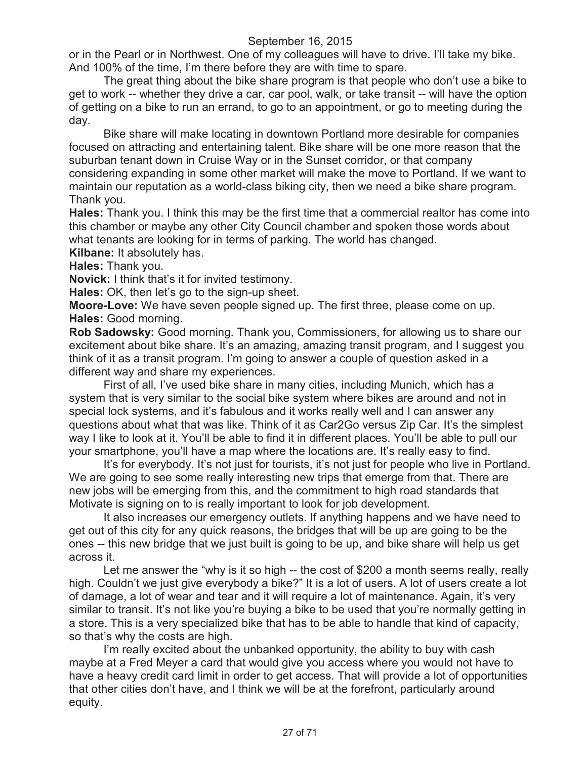or in the Pearl or in Northwest. One of my colleagues will have to drive. I'll take my bike. And 100% of the time, I'm there before they are with time to spare.

The great thing about the bike share program is that people who don't use a bike to get to work -- whether they drive a car, car pool, walk, or take transit -- will have the option of getting on a bike to run an errand, to go to an appointment, or go to meeting during the day.

Bike share will make locating in downtown Portland more desirable for companies focused on attracting and entertaining talent. Bike share will be one more reason that the suburban tenant down in Cruise Way or in the Sunset corridor, or that company considering expanding in some other market will make the move to Portland. If we want to maintain our reputation as a world-class biking city, then we need a bike share program. Thank you.

**Hales:** Thank you. I think this may be the first time that a commercial realtor has come into this chamber or maybe any other City Council chamber and spoken those words about what tenants are looking for in terms of parking. The world has changed.

**Kilbane:** It absolutely has.

**Hales:** Thank you.

**Novick:** I think that's it for invited testimony.

**Hales:** OK, then let's go to the sign-up sheet.

**Moore-Love:** We have seven people signed up. The first three, please come on up. **Hales:** Good morning.

**Rob Sadowsky:** Good morning. Thank you, Commissioners, for allowing us to share our excitement about bike share. It's an amazing, amazing transit program, and I suggest you think of it as a transit program. I'm going to answer a couple of question asked in a different way and share my experiences.

First of all, I've used bike share in many cities, including Munich, which has a system that is very similar to the social bike system where bikes are around and not in special lock systems, and it's fabulous and it works really well and I can answer any questions about what that was like. Think of it as Car2Go versus Zip Car. It's the simplest way I like to look at it. You'll be able to find it in different places. You'll be able to pull our your smartphone, you'll have a map where the locations are. It's really easy to find.

It's for everybody. It's not just for tourists, it's not just for people who live in Portland. We are going to see some really interesting new trips that emerge from that. There are new jobs will be emerging from this, and the commitment to high road standards that Motivate is signing on to is really important to look for job development.

It also increases our emergency outlets. If anything happens and we have need to get out of this city for any quick reasons, the bridges that will be up are going to be the ones -- this new bridge that we just built is going to be up, and bike share will help us get across it.

Let me answer the "why is it so high -- the cost of \$200 a month seems really, really high. Couldn't we just give everybody a bike?" It is a lot of users. A lot of users create a lot of damage, a lot of wear and tear and it will require a lot of maintenance. Again, it's very similar to transit. It's not like you're buying a bike to be used that you're normally getting in a store. This is a very specialized bike that has to be able to handle that kind of capacity, so that's why the costs are high.

I'm really excited about the unbanked opportunity, the ability to buy with cash maybe at a Fred Meyer a card that would give you access where you would not have to have a heavy credit card limit in order to get access. That will provide a lot of opportunities that other cities don't have, and I think we will be at the forefront, particularly around equity.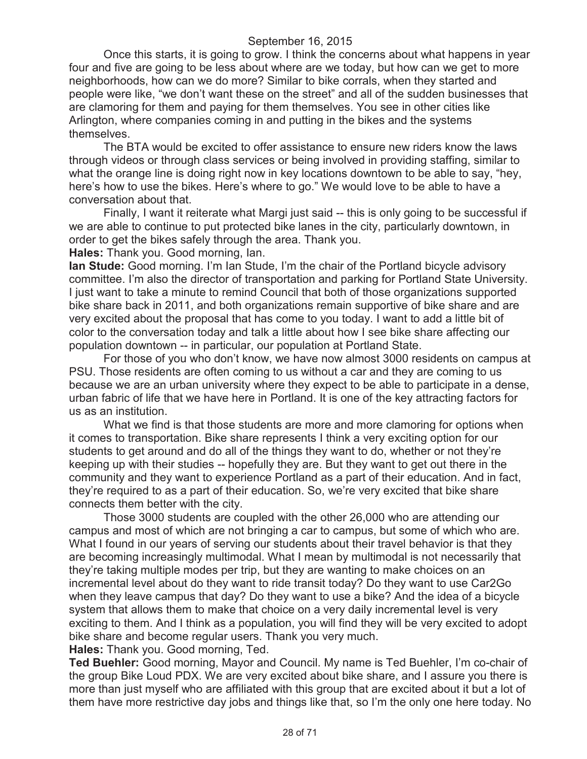Once this starts, it is going to grow. I think the concerns about what happens in year four and five are going to be less about where are we today, but how can we get to more neighborhoods, how can we do more? Similar to bike corrals, when they started and people were like, "we don't want these on the street" and all of the sudden businesses that are clamoring for them and paying for them themselves. You see in other cities like Arlington, where companies coming in and putting in the bikes and the systems themselves.

The BTA would be excited to offer assistance to ensure new riders know the laws through videos or through class services or being involved in providing staffing, similar to what the orange line is doing right now in key locations downtown to be able to say, "hey, here's how to use the bikes. Here's where to go." We would love to be able to have a conversation about that.

Finally, I want it reiterate what Margi just said -- this is only going to be successful if we are able to continue to put protected bike lanes in the city, particularly downtown, in order to get the bikes safely through the area. Thank you.

**Hales:** Thank you. Good morning, Ian.

**Ian Stude:** Good morning. I'm Ian Stude, I'm the chair of the Portland bicycle advisory committee. I'm also the director of transportation and parking for Portland State University. I just want to take a minute to remind Council that both of those organizations supported bike share back in 2011, and both organizations remain supportive of bike share and are very excited about the proposal that has come to you today. I want to add a little bit of color to the conversation today and talk a little about how I see bike share affecting our population downtown -- in particular, our population at Portland State.

For those of you who don't know, we have now almost 3000 residents on campus at PSU. Those residents are often coming to us without a car and they are coming to us because we are an urban university where they expect to be able to participate in a dense, urban fabric of life that we have here in Portland. It is one of the key attracting factors for us as an institution.

What we find is that those students are more and more clamoring for options when it comes to transportation. Bike share represents I think a very exciting option for our students to get around and do all of the things they want to do, whether or not they're keeping up with their studies -- hopefully they are. But they want to get out there in the community and they want to experience Portland as a part of their education. And in fact, they're required to as a part of their education. So, we're very excited that bike share connects them better with the city.

Those 3000 students are coupled with the other 26,000 who are attending our campus and most of which are not bringing a car to campus, but some of which who are. What I found in our years of serving our students about their travel behavior is that they are becoming increasingly multimodal. What I mean by multimodal is not necessarily that they're taking multiple modes per trip, but they are wanting to make choices on an incremental level about do they want to ride transit today? Do they want to use Car2Go when they leave campus that day? Do they want to use a bike? And the idea of a bicycle system that allows them to make that choice on a very daily incremental level is very exciting to them. And I think as a population, you will find they will be very excited to adopt bike share and become regular users. Thank you very much.

**Hales:** Thank you. Good morning, Ted.

**Ted Buehler:** Good morning, Mayor and Council. My name is Ted Buehler, I'm co-chair of the group Bike Loud PDX. We are very excited about bike share, and I assure you there is more than just myself who are affiliated with this group that are excited about it but a lot of them have more restrictive day jobs and things like that, so I'm the only one here today. No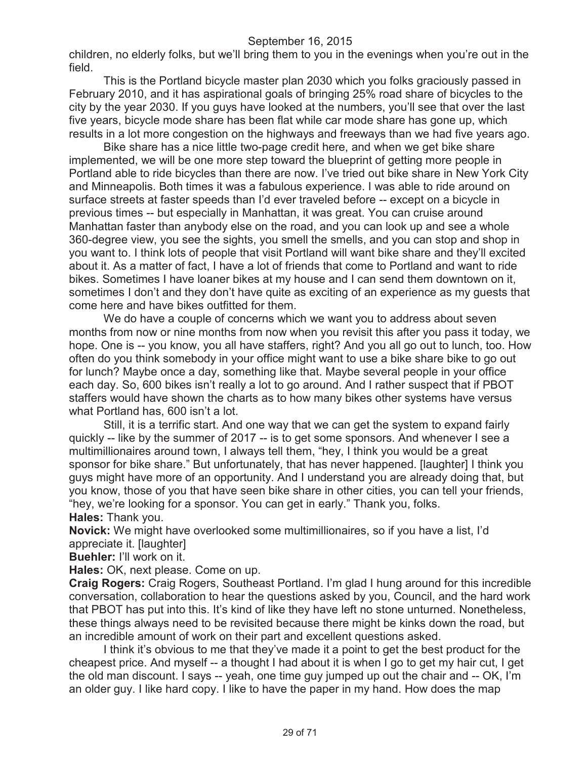children, no elderly folks, but we'll bring them to you in the evenings when you're out in the field.

This is the Portland bicycle master plan 2030 which you folks graciously passed in February 2010, and it has aspirational goals of bringing 25% road share of bicycles to the city by the year 2030. If you guys have looked at the numbers, you'll see that over the last five years, bicycle mode share has been flat while car mode share has gone up, which results in a lot more congestion on the highways and freeways than we had five years ago.

Bike share has a nice little two-page credit here, and when we get bike share implemented, we will be one more step toward the blueprint of getting more people in Portland able to ride bicycles than there are now. I've tried out bike share in New York City and Minneapolis. Both times it was a fabulous experience. I was able to ride around on surface streets at faster speeds than I'd ever traveled before -- except on a bicycle in previous times -- but especially in Manhattan, it was great. You can cruise around Manhattan faster than anybody else on the road, and you can look up and see a whole 360-degree view, you see the sights, you smell the smells, and you can stop and shop in you want to. I think lots of people that visit Portland will want bike share and they'll excited about it. As a matter of fact, I have a lot of friends that come to Portland and want to ride bikes. Sometimes I have loaner bikes at my house and I can send them downtown on it, sometimes I don't and they don't have quite as exciting of an experience as my guests that come here and have bikes outfitted for them.

We do have a couple of concerns which we want you to address about seven months from now or nine months from now when you revisit this after you pass it today, we hope. One is -- you know, you all have staffers, right? And you all go out to lunch, too. How often do you think somebody in your office might want to use a bike share bike to go out for lunch? Maybe once a day, something like that. Maybe several people in your office each day. So, 600 bikes isn't really a lot to go around. And I rather suspect that if PBOT staffers would have shown the charts as to how many bikes other systems have versus what Portland has, 600 isn't a lot.

Still, it is a terrific start. And one way that we can get the system to expand fairly quickly -- like by the summer of 2017 -- is to get some sponsors. And whenever I see a multimillionaires around town, I always tell them, "hey, I think you would be a great sponsor for bike share." But unfortunately, that has never happened. [laughter] I think you guys might have more of an opportunity. And I understand you are already doing that, but you know, those of you that have seen bike share in other cities, you can tell your friends, "hey, we're looking for a sponsor. You can get in early." Thank you, folks. **Hales:** Thank you.

**Novick:** We might have overlooked some multimillionaires, so if you have a list, I'd appreciate it. Ilaughter1

**Buehler:** I'll work on it.

**Hales:** OK, next please. Come on up.

**Craig Rogers:** Craig Rogers, Southeast Portland. I'm glad I hung around for this incredible conversation, collaboration to hear the questions asked by you, Council, and the hard work that PBOT has put into this. It's kind of like they have left no stone unturned. Nonetheless, these things always need to be revisited because there might be kinks down the road, but an incredible amount of work on their part and excellent questions asked.

I think it's obvious to me that they've made it a point to get the best product for the cheapest price. And myself -- a thought I had about it is when I go to get my hair cut, I get the old man discount. I says -- yeah, one time guy jumped up out the chair and -- OK, I'm an older guy. I like hard copy. I like to have the paper in my hand. How does the map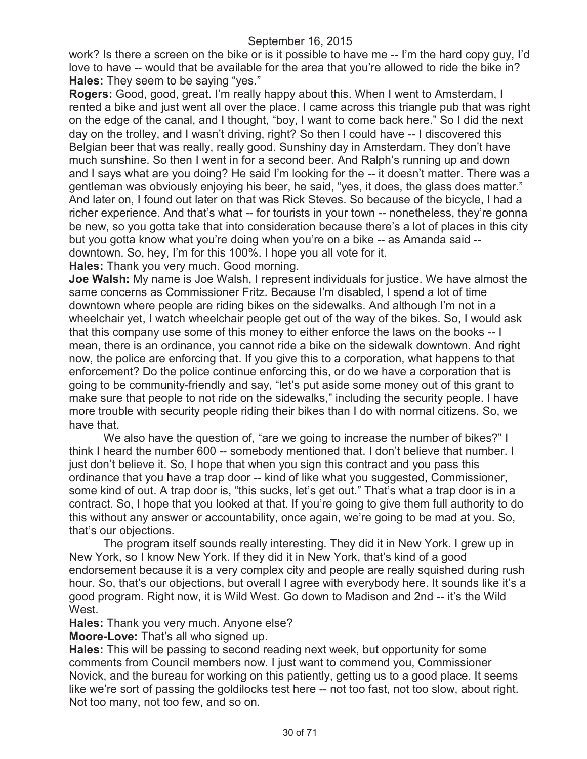work? Is there a screen on the bike or is it possible to have me -- I'm the hard copy guy, I'd love to have -- would that be available for the area that you're allowed to ride the bike in? **Hales:** They seem to be saying "yes."

**Rogers:** Good, good, great. I'm really happy about this. When I went to Amsterdam, I rented a bike and just went all over the place. I came across this triangle pub that was right on the edge of the canal, and I thought, "boy, I want to come back here." So I did the next day on the trolley, and I wasn't driving, right? So then I could have -- I discovered this Belgian beer that was really, really good. Sunshiny day in Amsterdam. They don't have much sunshine. So then I went in for a second beer. And Ralph's running up and down and I says what are you doing? He said I'm looking for the -- it doesn't matter. There was a gentleman was obviously enjoying his beer, he said, "yes, it does, the glass does matter." And later on, I found out later on that was Rick Steves. So because of the bicycle, I had a richer experience. And that's what -- for tourists in your town -- nonetheless, they're gonna be new, so you gotta take that into consideration because there's a lot of places in this city but you gotta know what you're doing when you're on a bike -- as Amanda said - downtown. So, hey, I'm for this 100%. I hope you all vote for it.

**Hales:** Thank you very much. Good morning.

**Joe Walsh:** My name is Joe Walsh, I represent individuals for justice. We have almost the same concerns as Commissioner Fritz. Because I'm disabled, I spend a lot of time downtown where people are riding bikes on the sidewalks. And although I'm not in a wheelchair yet, I watch wheelchair people get out of the way of the bikes. So, I would ask that this company use some of this money to either enforce the laws on the books -- I mean, there is an ordinance, you cannot ride a bike on the sidewalk downtown. And right now, the police are enforcing that. If you give this to a corporation, what happens to that enforcement? Do the police continue enforcing this, or do we have a corporation that is going to be community-friendly and say, "let's put aside some money out of this grant to make sure that people to not ride on the sidewalks," including the security people. I have more trouble with security people riding their bikes than I do with normal citizens. So, we have that.

We also have the question of, "are we going to increase the number of bikes?" I think I heard the number 600 -- somebody mentioned that. I don't believe that number. I just don't believe it. So, I hope that when you sign this contract and you pass this ordinance that you have a trap door -- kind of like what you suggested, Commissioner, some kind of out. A trap door is, "this sucks, let's get out." That's what a trap door is in a contract. So, I hope that you looked at that. If you're going to give them full authority to do this without any answer or accountability, once again, we're going to be mad at you. So, that's our objections.

The program itself sounds really interesting. They did it in New York. I grew up in New York, so I know New York. If they did it in New York, that's kind of a good endorsement because it is a very complex city and people are really squished during rush hour. So, that's our objections, but overall I agree with everybody here. It sounds like it's a good program. Right now, it is Wild West. Go down to Madison and 2nd -- it's the Wild West.

**Hales:** Thank you very much. Anyone else?

**Moore-Love:** That's all who signed up.

**Hales:** This will be passing to second reading next week, but opportunity for some comments from Council members now. I just want to commend you, Commissioner Novick, and the bureau for working on this patiently, getting us to a good place. It seems like we're sort of passing the goldilocks test here -- not too fast, not too slow, about right. Not too many, not too few, and so on.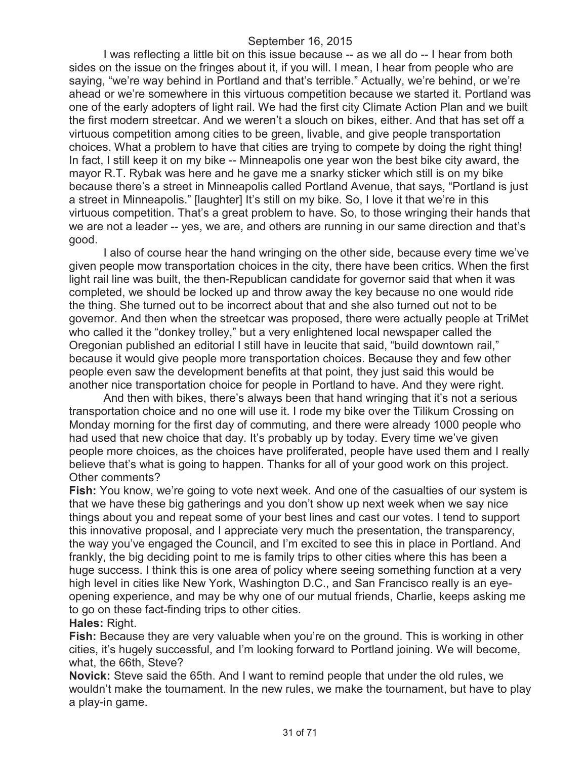I was reflecting a little bit on this issue because -- as we all do -- I hear from both sides on the issue on the fringes about it, if you will. I mean, I hear from people who are saying, "we're way behind in Portland and that's terrible." Actually, we're behind, or we're ahead or we're somewhere in this virtuous competition because we started it. Portland was one of the early adopters of light rail. We had the first city Climate Action Plan and we built the first modern streetcar. And we weren't a slouch on bikes, either. And that has set off a virtuous competition among cities to be green, livable, and give people transportation choices. What a problem to have that cities are trying to compete by doing the right thing! In fact, I still keep it on my bike -- Minneapolis one year won the best bike city award, the mayor R.T. Rybak was here and he gave me a snarky sticker which still is on my bike because there's a street in Minneapolis called Portland Avenue, that says, "Portland is just a street in Minneapolis." [laughter] It's still on my bike. So, I love it that we're in this virtuous competition. That's a great problem to have. So, to those wringing their hands that we are not a leader -- yes, we are, and others are running in our same direction and that's good.

I also of course hear the hand wringing on the other side, because every time we've given people mow transportation choices in the city, there have been critics. When the first light rail line was built, the then-Republican candidate for governor said that when it was completed, we should be locked up and throw away the key because no one would ride the thing. She turned out to be incorrect about that and she also turned out not to be governor. And then when the streetcar was proposed, there were actually people at TriMet who called it the "donkey trolley," but a very enlightened local newspaper called the Oregonian published an editorial I still have in leucite that said, "build downtown rail," because it would give people more transportation choices. Because they and few other people even saw the development benefits at that point, they just said this would be another nice transportation choice for people in Portland to have. And they were right.

And then with bikes, there's always been that hand wringing that it's not a serious transportation choice and no one will use it. I rode my bike over the Tilikum Crossing on Monday morning for the first day of commuting, and there were already 1000 people who had used that new choice that day. It's probably up by today. Every time we've given people more choices, as the choices have proliferated, people have used them and I really believe that's what is going to happen. Thanks for all of your good work on this project. Other comments?

**Fish:** You know, we're going to vote next week. And one of the casualties of our system is that we have these big gatherings and you don't show up next week when we say nice things about you and repeat some of your best lines and cast our votes. I tend to support this innovative proposal, and I appreciate very much the presentation, the transparency, the way you've engaged the Council, and I'm excited to see this in place in Portland. And frankly, the big deciding point to me is family trips to other cities where this has been a huge success. I think this is one area of policy where seeing something function at a very high level in cities like New York, Washington D.C., and San Francisco really is an eyeopening experience, and may be why one of our mutual friends, Charlie, keeps asking me to go on these fact-finding trips to other cities.

## **Hales:** Right.

**Fish:** Because they are very valuable when you're on the ground. This is working in other cities, it's hugely successful, and I'm looking forward to Portland joining. We will become, what, the 66th, Steve?

**Novick:** Steve said the 65th. And I want to remind people that under the old rules, we wouldn't make the tournament. In the new rules, we make the tournament, but have to play a play-in game.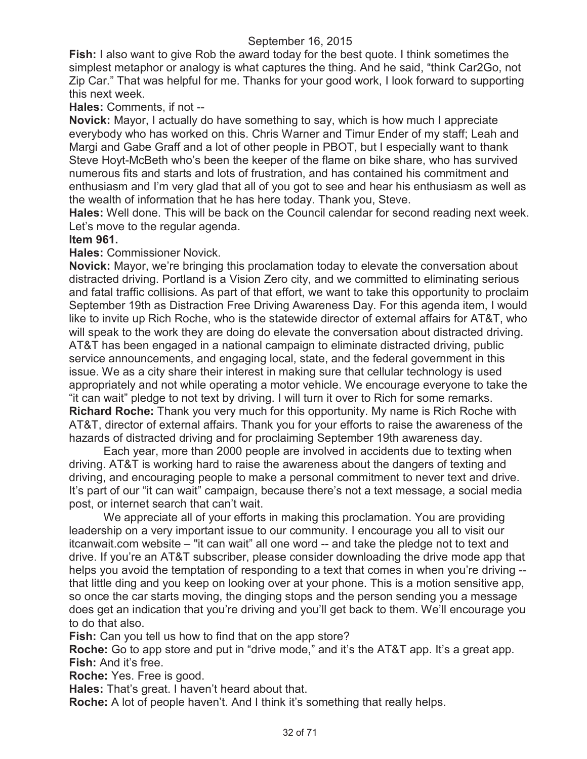**Fish:** I also want to give Rob the award today for the best quote. I think sometimes the simplest metaphor or analogy is what captures the thing. And he said, "think Car2Go, not Zip Car." That was helpful for me. Thanks for your good work, I look forward to supporting this next week.

# **Hales:** Comments, if not --

**Novick:** Mayor, I actually do have something to say, which is how much I appreciate everybody who has worked on this. Chris Warner and Timur Ender of my staff; Leah and Margi and Gabe Graff and a lot of other people in PBOT, but I especially want to thank Steve Hoyt-McBeth who's been the keeper of the flame on bike share, who has survived numerous fits and starts and lots of frustration, and has contained his commitment and enthusiasm and I'm very glad that all of you got to see and hear his enthusiasm as well as the wealth of information that he has here today. Thank you, Steve.

**Hales:** Well done. This will be back on the Council calendar for second reading next week. Let's move to the regular agenda.

## **Item 961.**

**Hales:** Commissioner Novick.

**Novick:** Mayor, we're bringing this proclamation today to elevate the conversation about distracted driving. Portland is a Vision Zero city, and we committed to eliminating serious and fatal traffic collisions. As part of that effort, we want to take this opportunity to proclaim September 19th as Distraction Free Driving Awareness Day. For this agenda item, I would like to invite up Rich Roche, who is the statewide director of external affairs for AT&T, who will speak to the work they are doing do elevate the conversation about distracted driving. AT&T has been engaged in a national campaign to eliminate distracted driving, public service announcements, and engaging local, state, and the federal government in this issue. We as a city share their interest in making sure that cellular technology is used appropriately and not while operating a motor vehicle. We encourage everyone to take the "it can wait" pledge to not text by driving. I will turn it over to Rich for some remarks. **Richard Roche:** Thank you very much for this opportunity. My name is Rich Roche with AT&T, director of external affairs. Thank you for your efforts to raise the awareness of the hazards of distracted driving and for proclaiming September 19th awareness day.

Each year, more than 2000 people are involved in accidents due to texting when driving. AT&T is working hard to raise the awareness about the dangers of texting and driving, and encouraging people to make a personal commitment to never text and drive. It's part of our "it can wait" campaign, because there's not a text message, a social media post, or internet search that can't wait.

We appreciate all of your efforts in making this proclamation. You are providing leadership on a very important issue to our community. I encourage you all to visit our itcanwait.com website – "it can wait" all one word -- and take the pledge not to text and drive. If you're an AT&T subscriber, please consider downloading the drive mode app that helps you avoid the temptation of responding to a text that comes in when you're driving -that little ding and you keep on looking over at your phone. This is a motion sensitive app, so once the car starts moving, the dinging stops and the person sending you a message does get an indication that you're driving and you'll get back to them. We'll encourage you to do that also.

**Fish:** Can you tell us how to find that on the app store?

**Roche:** Go to app store and put in "drive mode," and it's the AT&T app. It's a great app. **Fish:** And it's free.

**Roche:** Yes. Free is good.

**Hales:** That's great. I haven't heard about that.

**Roche:** A lot of people haven't. And I think it's something that really helps.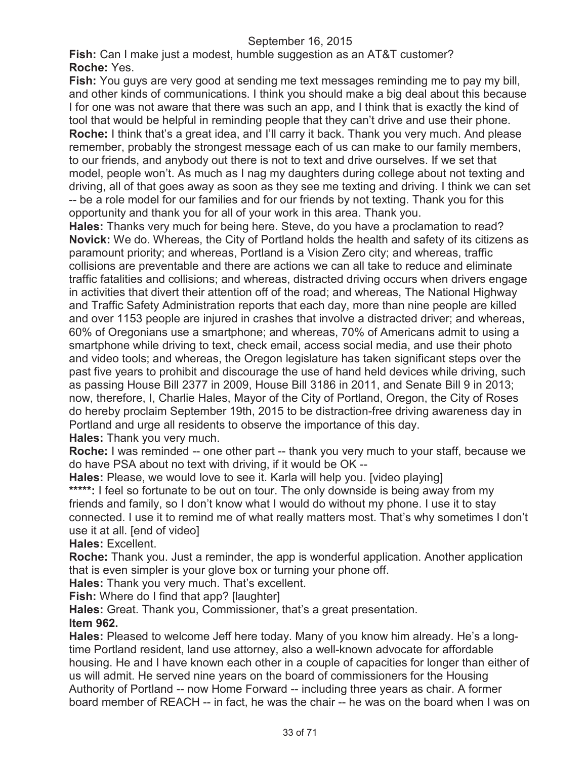**Fish:** Can I make just a modest, humble suggestion as an AT&T customer? **Roche:** Yes.

**Fish:** You guys are very good at sending me text messages reminding me to pay my bill, and other kinds of communications. I think you should make a big deal about this because I for one was not aware that there was such an app, and I think that is exactly the kind of tool that would be helpful in reminding people that they can't drive and use their phone. **Roche:** I think that's a great idea, and I'll carry it back. Thank you very much. And please remember, probably the strongest message each of us can make to our family members, to our friends, and anybody out there is not to text and drive ourselves. If we set that model, people won't. As much as I nag my daughters during college about not texting and driving, all of that goes away as soon as they see me texting and driving. I think we can set -- be a role model for our families and for our friends by not texting. Thank you for this opportunity and thank you for all of your work in this area. Thank you.

**Hales:** Thanks very much for being here. Steve, do you have a proclamation to read? **Novick:** We do. Whereas, the City of Portland holds the health and safety of its citizens as paramount priority; and whereas, Portland is a Vision Zero city; and whereas, traffic collisions are preventable and there are actions we can all take to reduce and eliminate traffic fatalities and collisions; and whereas, distracted driving occurs when drivers engage in activities that divert their attention off of the road; and whereas, The National Highway and Traffic Safety Administration reports that each day, more than nine people are killed and over 1153 people are injured in crashes that involve a distracted driver; and whereas, 60% of Oregonians use a smartphone; and whereas, 70% of Americans admit to using a smartphone while driving to text, check email, access social media, and use their photo and video tools; and whereas, the Oregon legislature has taken significant steps over the past five years to prohibit and discourage the use of hand held devices while driving, such as passing House Bill 2377 in 2009, House Bill 3186 in 2011, and Senate Bill 9 in 2013; now, therefore, I, Charlie Hales, Mayor of the City of Portland, Oregon, the City of Roses do hereby proclaim September 19th, 2015 to be distraction-free driving awareness day in Portland and urge all residents to observe the importance of this day.

**Hales:** Thank you very much.

**Roche:** I was reminded -- one other part -- thank you very much to your staff, because we do have PSA about no text with driving, if it would be OK --

**Hales:** Please, we would love to see it. Karla will help you. [video playing]

\*\*\*\*\*: I feel so fortunate to be out on tour. The only downside is being away from my friends and family, so I don't know what I would do without my phone. I use it to stay connected. I use it to remind me of what really matters most. That's why sometimes I don't use it at all. [end of video]

**Hales:** Excellent.

**Roche:** Thank you. Just a reminder, the app is wonderful application. Another application that is even simpler is your glove box or turning your phone off.

**Hales:** Thank you very much. That's excellent.

**Fish:** Where do I find that app? [laughter]

**Hales:** Great. Thank you, Commissioner, that's a great presentation. **Item 962.**

**Hales:** Pleased to welcome Jeff here today. Many of you know him already. He's a longtime Portland resident, land use attorney, also a well-known advocate for affordable housing. He and I have known each other in a couple of capacities for longer than either of us will admit. He served nine years on the board of commissioners for the Housing Authority of Portland -- now Home Forward -- including three years as chair. A former board member of REACH -- in fact, he was the chair -- he was on the board when I was on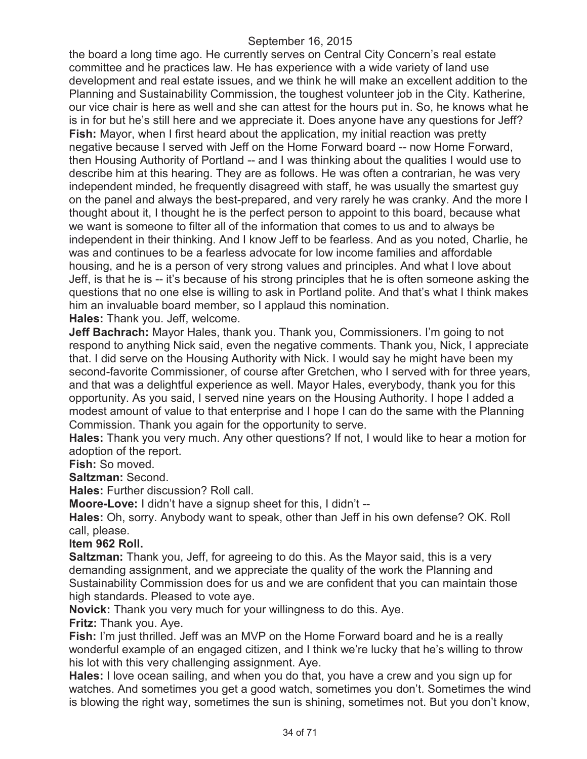the board a long time ago. He currently serves on Central City Concern's real estate committee and he practices law. He has experience with a wide variety of land use development and real estate issues, and we think he will make an excellent addition to the Planning and Sustainability Commission, the toughest volunteer job in the City. Katherine, our vice chair is here as well and she can attest for the hours put in. So, he knows what he is in for but he's still here and we appreciate it. Does anyone have any questions for Jeff? **Fish:** Mayor, when I first heard about the application, my initial reaction was pretty negative because I served with Jeff on the Home Forward board -- now Home Forward, then Housing Authority of Portland -- and I was thinking about the qualities I would use to describe him at this hearing. They are as follows. He was often a contrarian, he was very independent minded, he frequently disagreed with staff, he was usually the smartest guy on the panel and always the best-prepared, and very rarely he was cranky. And the more I thought about it, I thought he is the perfect person to appoint to this board, because what we want is someone to filter all of the information that comes to us and to always be independent in their thinking. And I know Jeff to be fearless. And as you noted, Charlie, he was and continues to be a fearless advocate for low income families and affordable housing, and he is a person of very strong values and principles. And what I love about Jeff, is that he is -- it's because of his strong principles that he is often someone asking the questions that no one else is willing to ask in Portland polite. And that's what I think makes him an invaluable board member, so I applaud this nomination.

**Hales:** Thank you. Jeff, welcome.

**Jeff Bachrach:** Mayor Hales, thank you. Thank you, Commissioners. I'm going to not respond to anything Nick said, even the negative comments. Thank you, Nick, I appreciate that. I did serve on the Housing Authority with Nick. I would say he might have been my second-favorite Commissioner, of course after Gretchen, who I served with for three years, and that was a delightful experience as well. Mayor Hales, everybody, thank you for this opportunity. As you said, I served nine years on the Housing Authority. I hope I added a modest amount of value to that enterprise and I hope I can do the same with the Planning Commission. Thank you again for the opportunity to serve.

**Hales:** Thank you very much. Any other questions? If not, I would like to hear a motion for adoption of the report.

**Fish:** So moved.

**Saltzman:** Second.

**Hales:** Further discussion? Roll call.

**Moore-Love:** I didn't have a signup sheet for this, I didn't --

**Hales:** Oh, sorry. Anybody want to speak, other than Jeff in his own defense? OK. Roll call, please.

#### **Item 962 Roll.**

**Saltzman:** Thank you, Jeff, for agreeing to do this. As the Mayor said, this is a very demanding assignment, and we appreciate the quality of the work the Planning and Sustainability Commission does for us and we are confident that you can maintain those high standards. Pleased to vote aye.

**Novick:** Thank you very much for your willingness to do this. Aye.

**Fritz:** Thank you. Aye.

**Fish:** I'm just thrilled. Jeff was an MVP on the Home Forward board and he is a really wonderful example of an engaged citizen, and I think we're lucky that he's willing to throw his lot with this very challenging assignment. Aye.

**Hales:** I love ocean sailing, and when you do that, you have a crew and you sign up for watches. And sometimes you get a good watch, sometimes you don't. Sometimes the wind is blowing the right way, sometimes the sun is shining, sometimes not. But you don't know,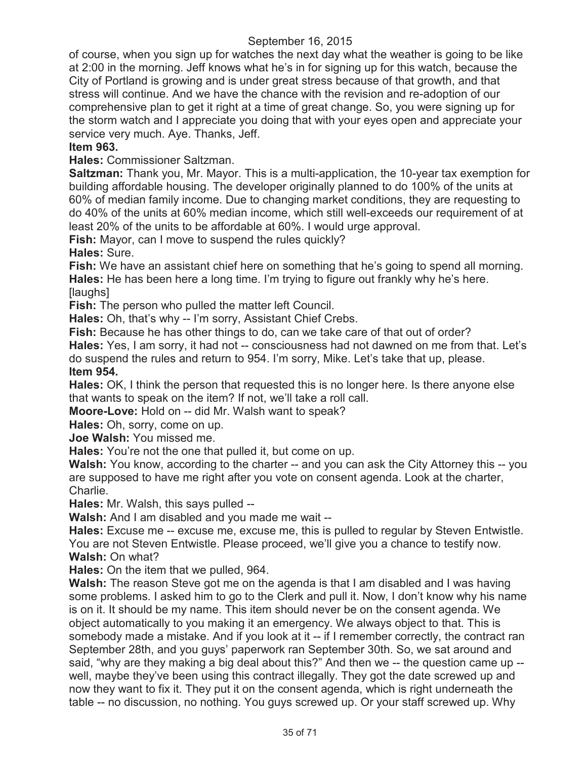of course, when you sign up for watches the next day what the weather is going to be like at 2:00 in the morning. Jeff knows what he's in for signing up for this watch, because the City of Portland is growing and is under great stress because of that growth, and that stress will continue. And we have the chance with the revision and re-adoption of our comprehensive plan to get it right at a time of great change. So, you were signing up for the storm watch and I appreciate you doing that with your eyes open and appreciate your service very much. Aye. Thanks, Jeff.

# **Item 963.**

**Hales:** Commissioner Saltzman.

**Saltzman:** Thank you, Mr. Mayor. This is a multi-application, the 10-year tax exemption for building affordable housing. The developer originally planned to do 100% of the units at 60% of median family income. Due to changing market conditions, they are requesting to do 40% of the units at 60% median income, which still well-exceeds our requirement of at least 20% of the units to be affordable at 60%. I would urge approval.

**Fish:** Mayor, can I move to suspend the rules quickly?

**Hales:** Sure.

**Fish:** We have an assistant chief here on something that he's going to spend all morning. **Hales:** He has been here a long time. I'm trying to figure out frankly why he's here. [laughs]

**Fish:** The person who pulled the matter left Council.

**Hales:** Oh, that's why -- I'm sorry, Assistant Chief Crebs.

**Fish:** Because he has other things to do, can we take care of that out of order? **Hales:** Yes, I am sorry, it had not -- consciousness had not dawned on me from that. Let's do suspend the rules and return to 954. I'm sorry, Mike. Let's take that up, please. **Item 954.**

**Hales:** OK, I think the person that requested this is no longer here. Is there anyone else that wants to speak on the item? If not, we'll take a roll call.

**Moore-Love:** Hold on -- did Mr. Walsh want to speak?

**Hales:** Oh, sorry, come on up.

**Joe Walsh:** You missed me.

**Hales:** You're not the one that pulled it, but come on up.

**Walsh:** You know, according to the charter -- and you can ask the City Attorney this -- you are supposed to have me right after you vote on consent agenda. Look at the charter, Charlie.

**Hales:** Mr. Walsh, this says pulled --

**Walsh:** And I am disabled and you made me wait --

**Hales:** Excuse me -- excuse me, excuse me, this is pulled to regular by Steven Entwistle. You are not Steven Entwistle. Please proceed, we'll give you a chance to testify now. **Walsh:** On what?

**Hales:** On the item that we pulled, 964.

**Walsh:** The reason Steve got me on the agenda is that I am disabled and I was having some problems. I asked him to go to the Clerk and pull it. Now, I don't know why his name is on it. It should be my name. This item should never be on the consent agenda. We object automatically to you making it an emergency. We always object to that. This is somebody made a mistake. And if you look at it -- if I remember correctly, the contract ran September 28th, and you guys' paperwork ran September 30th. So, we sat around and said, "why are they making a big deal about this?" And then we -- the question came up - well, maybe they've been using this contract illegally. They got the date screwed up and now they want to fix it. They put it on the consent agenda, which is right underneath the table -- no discussion, no nothing. You guys screwed up. Or your staff screwed up. Why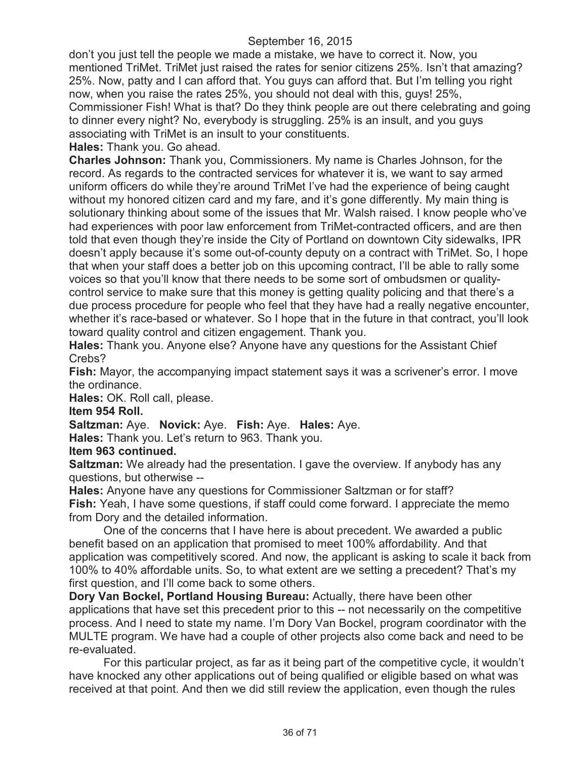don't you just tell the people we made a mistake, we have to correct it. Now, you mentioned TriMet. TriMet just raised the rates for senior citizens 25%. Isn't that amazing? 25%. Now, patty and I can afford that. You guys can afford that. But I'm telling you right now, when you raise the rates 25%, you should not deal with this, guys! 25%, Commissioner Fish! What is that? Do they think people are out there celebrating and going to dinner every night? No, everybody is struggling. 25% is an insult, and you guys associating with TriMet is an insult to your constituents.

**Hales:** Thank you. Go ahead.

**Charles Johnson:** Thank you, Commissioners. My name is Charles Johnson, for the record. As regards to the contracted services for whatever it is, we want to say armed uniform officers do while they're around TriMet I've had the experience of being caught without my honored citizen card and my fare, and it's gone differently. My main thing is solutionary thinking about some of the issues that Mr. Walsh raised. I know people who've had experiences with poor law enforcement from TriMet-contracted officers, and are then told that even though they're inside the City of Portland on downtown City sidewalks, IPR doesn't apply because it's some out-of-county deputy on a contract with TriMet. So, I hope that when your staff does a better job on this upcoming contract, I'll be able to rally some voices so that you'll know that there needs to be some sort of ombudsmen or qualitycontrol service to make sure that this money is getting quality policing and that there's a due process procedure for people who feel that they have had a really negative encounter, whether it's race-based or whatever. So I hope that in the future in that contract, you'll look toward quality control and citizen engagement. Thank you.

**Hales:** Thank you. Anyone else? Anyone have any questions for the Assistant Chief Crebs?

**Fish:** Mayor, the accompanying impact statement says it was a scrivener's error. I move the ordinance.

**Hales:** OK. Roll call, please.

**Item 954 Roll.**

**Saltzman:** Aye. **Novick:** Aye. **Fish:** Aye. **Hales:** Aye.

**Hales:** Thank you. Let's return to 963. Thank you.

## **Item 963 continued.**

**Saltzman:** We already had the presentation. I gave the overview. If anybody has any questions, but otherwise --

**Hales:** Anyone have any questions for Commissioner Saltzman or for staff? **Fish:** Yeah, I have some questions, if staff could come forward. I appreciate the memo from Dory and the detailed information.

One of the concerns that I have here is about precedent. We awarded a public benefit based on an application that promised to meet 100% affordability. And that application was competitively scored. And now, the applicant is asking to scale it back from 100% to 40% affordable units. So, to what extent are we setting a precedent? That's my first question, and I'll come back to some others.

**Dory Van Bockel, Portland Housing Bureau:** Actually, there have been other applications that have set this precedent prior to this -- not necessarily on the competitive process. And I need to state my name. I'm Dory Van Bockel, program coordinator with the MULTE program. We have had a couple of other projects also come back and need to be re-evaluated.

For this particular project, as far as it being part of the competitive cycle, it wouldn't have knocked any other applications out of being qualified or eligible based on what was received at that point. And then we did still review the application, even though the rules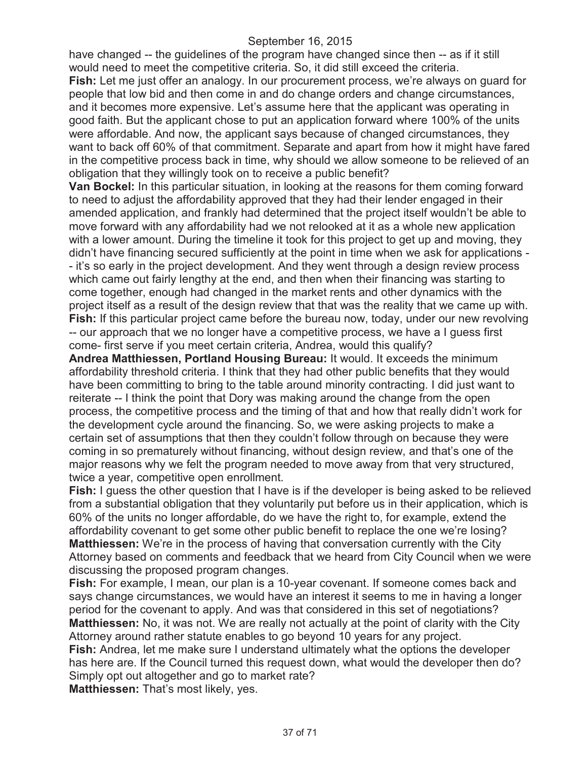have changed -- the guidelines of the program have changed since then -- as if it still would need to meet the competitive criteria. So, it did still exceed the criteria. **Fish:** Let me just offer an analogy. In our procurement process, we're always on guard for people that low bid and then come in and do change orders and change circumstances, and it becomes more expensive. Let's assume here that the applicant was operating in good faith. But the applicant chose to put an application forward where 100% of the units were affordable. And now, the applicant says because of changed circumstances, they want to back off 60% of that commitment. Separate and apart from how it might have fared in the competitive process back in time, why should we allow someone to be relieved of an obligation that they willingly took on to receive a public benefit?

**Van Bockel:** In this particular situation, in looking at the reasons for them coming forward to need to adjust the affordability approved that they had their lender engaged in their amended application, and frankly had determined that the project itself wouldn't be able to move forward with any affordability had we not relooked at it as a whole new application with a lower amount. During the timeline it took for this project to get up and moving, they didn't have financing secured sufficiently at the point in time when we ask for applications - - it's so early in the project development. And they went through a design review process which came out fairly lengthy at the end, and then when their financing was starting to come together, enough had changed in the market rents and other dynamics with the project itself as a result of the design review that that was the reality that we came up with. **Fish:** If this particular project came before the bureau now, today, under our new revolving -- our approach that we no longer have a competitive process, we have a I guess first come- first serve if you meet certain criteria, Andrea, would this qualify?

**Andrea Matthiessen, Portland Housing Bureau:** It would. It exceeds the minimum affordability threshold criteria. I think that they had other public benefits that they would have been committing to bring to the table around minority contracting. I did just want to reiterate -- I think the point that Dory was making around the change from the open process, the competitive process and the timing of that and how that really didn't work for the development cycle around the financing. So, we were asking projects to make a certain set of assumptions that then they couldn't follow through on because they were coming in so prematurely without financing, without design review, and that's one of the major reasons why we felt the program needed to move away from that very structured, twice a year, competitive open enrollment.

**Fish:** I guess the other question that I have is if the developer is being asked to be relieved from a substantial obligation that they voluntarily put before us in their application, which is 60% of the units no longer affordable, do we have the right to, for example, extend the affordability covenant to get some other public benefit to replace the one we're losing? **Matthiessen:** We're in the process of having that conversation currently with the City Attorney based on comments and feedback that we heard from City Council when we were discussing the proposed program changes.

**Fish:** For example, I mean, our plan is a 10-year covenant. If someone comes back and says change circumstances, we would have an interest it seems to me in having a longer period for the covenant to apply. And was that considered in this set of negotiations? **Matthiessen:** No, it was not. We are really not actually at the point of clarity with the City Attorney around rather statute enables to go beyond 10 years for any project.

**Fish:** Andrea, let me make sure I understand ultimately what the options the developer has here are. If the Council turned this request down, what would the developer then do? Simply opt out altogether and go to market rate?

**Matthiessen:** That's most likely, yes.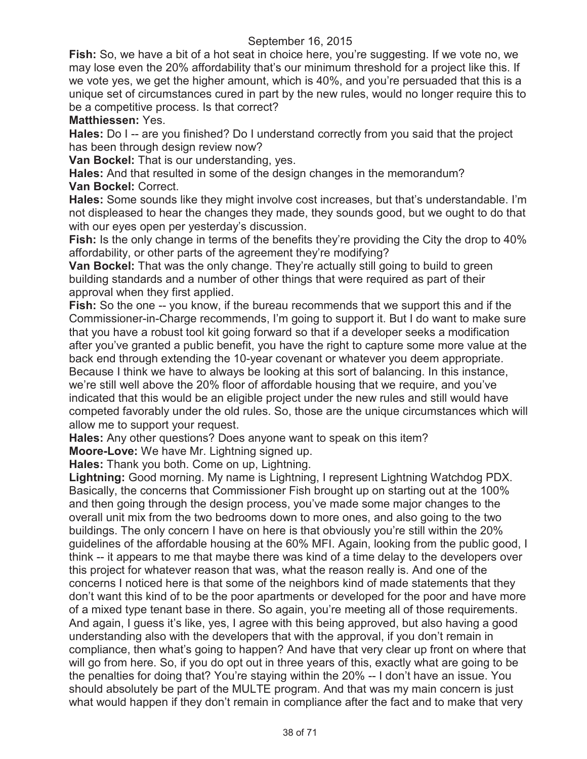**Fish:** So, we have a bit of a hot seat in choice here, you're suggesting. If we vote no, we may lose even the 20% affordability that's our minimum threshold for a project like this. If we vote yes, we get the higher amount, which is 40%, and you're persuaded that this is a unique set of circumstances cured in part by the new rules, would no longer require this to be a competitive process. Is that correct?

**Matthiessen:** Yes.

**Hales:** Do I -- are you finished? Do I understand correctly from you said that the project has been through design review now?

**Van Bockel:** That is our understanding, yes.

**Hales:** And that resulted in some of the design changes in the memorandum? **Van Bockel:** Correct.

**Hales:** Some sounds like they might involve cost increases, but that's understandable. I'm not displeased to hear the changes they made, they sounds good, but we ought to do that with our eyes open per yesterday's discussion.

**Fish:** Is the only change in terms of the benefits they're providing the City the drop to 40% affordability, or other parts of the agreement they're modifying?

**Van Bockel:** That was the only change. They're actually still going to build to green building standards and a number of other things that were required as part of their approval when they first applied.

**Fish:** So the one -- you know, if the bureau recommends that we support this and if the Commissioner-in-Charge recommends, I'm going to support it. But I do want to make sure that you have a robust tool kit going forward so that if a developer seeks a modification after you've granted a public benefit, you have the right to capture some more value at the back end through extending the 10-year covenant or whatever you deem appropriate. Because I think we have to always be looking at this sort of balancing. In this instance, we're still well above the 20% floor of affordable housing that we require, and you've indicated that this would be an eligible project under the new rules and still would have competed favorably under the old rules. So, those are the unique circumstances which will allow me to support your request.

**Hales:** Any other questions? Does anyone want to speak on this item?

**Moore-Love:** We have Mr. Lightning signed up.

**Hales:** Thank you both. Come on up, Lightning.

**Lightning:** Good morning. My name is Lightning, I represent Lightning Watchdog PDX. Basically, the concerns that Commissioner Fish brought up on starting out at the 100% and then going through the design process, you've made some major changes to the overall unit mix from the two bedrooms down to more ones, and also going to the two buildings. The only concern I have on here is that obviously you're still within the 20% guidelines of the affordable housing at the 60% MFI. Again, looking from the public good, I think -- it appears to me that maybe there was kind of a time delay to the developers over this project for whatever reason that was, what the reason really is. And one of the concerns I noticed here is that some of the neighbors kind of made statements that they don't want this kind of to be the poor apartments or developed for the poor and have more of a mixed type tenant base in there. So again, you're meeting all of those requirements. And again, I guess it's like, yes, I agree with this being approved, but also having a good understanding also with the developers that with the approval, if you don't remain in compliance, then what's going to happen? And have that very clear up front on where that will go from here. So, if you do opt out in three years of this, exactly what are going to be the penalties for doing that? You're staying within the 20% -- I don't have an issue. You should absolutely be part of the MULTE program. And that was my main concern is just what would happen if they don't remain in compliance after the fact and to make that very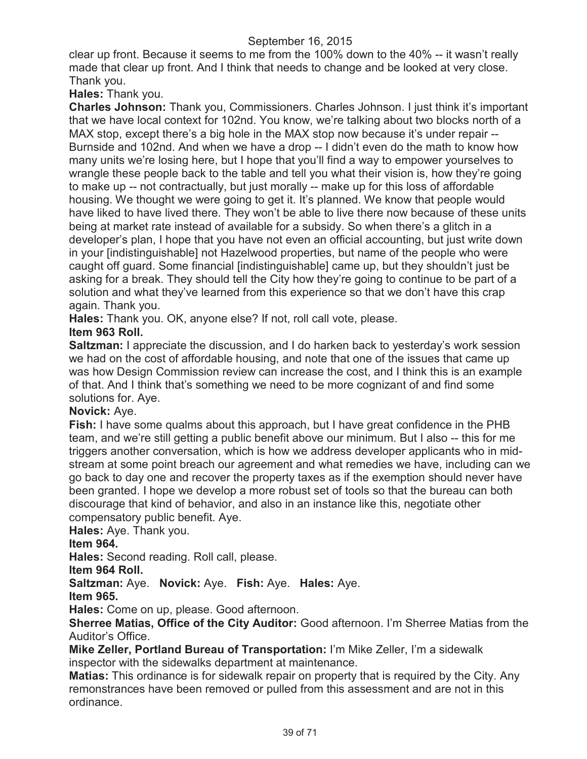clear up front. Because it seems to me from the 100% down to the 40% -- it wasn't really made that clear up front. And I think that needs to change and be looked at very close. Thank you.

**Hales:** Thank you.

**Charles Johnson:** Thank you, Commissioners. Charles Johnson. I just think it's important that we have local context for 102nd. You know, we're talking about two blocks north of a MAX stop, except there's a big hole in the MAX stop now because it's under repair --Burnside and 102nd. And when we have a drop -- I didn't even do the math to know how many units we're losing here, but I hope that you'll find a way to empower yourselves to wrangle these people back to the table and tell you what their vision is, how they're going to make up -- not contractually, but just morally -- make up for this loss of affordable housing. We thought we were going to get it. It's planned. We know that people would have liked to have lived there. They won't be able to live there now because of these units being at market rate instead of available for a subsidy. So when there's a glitch in a developer's plan, I hope that you have not even an official accounting, but just write down in your [indistinguishable] not Hazelwood properties, but name of the people who were caught off guard. Some financial [indistinguishable] came up, but they shouldn't just be asking for a break. They should tell the City how they're going to continue to be part of a solution and what they've learned from this experience so that we don't have this crap again. Thank you.

**Hales:** Thank you. OK, anyone else? If not, roll call vote, please.

# **Item 963 Roll.**

**Saltzman:** I appreciate the discussion, and I do harken back to yesterday's work session we had on the cost of affordable housing, and note that one of the issues that came up was how Design Commission review can increase the cost, and I think this is an example of that. And I think that's something we need to be more cognizant of and find some solutions for. Aye.

## **Novick:** Aye.

**Fish:** I have some qualms about this approach, but I have great confidence in the PHB team, and we're still getting a public benefit above our minimum. But I also -- this for me triggers another conversation, which is how we address developer applicants who in midstream at some point breach our agreement and what remedies we have, including can we go back to day one and recover the property taxes as if the exemption should never have been granted. I hope we develop a more robust set of tools so that the bureau can both discourage that kind of behavior, and also in an instance like this, negotiate other compensatory public benefit. Aye.

**Hales:** Aye. Thank you.

# **Item 964.**

**Hales:** Second reading. Roll call, please.

## **Item 964 Roll.**

**Saltzman:** Aye. **Novick:** Aye. **Fish:** Aye. **Hales:** Aye.

**Item 965.**

**Hales:** Come on up, please. Good afternoon.

**Sherree Matias, Office of the City Auditor:** Good afternoon. I'm Sherree Matias from the Auditor's Office.

**Mike Zeller, Portland Bureau of Transportation:** I'm Mike Zeller, I'm a sidewalk inspector with the sidewalks department at maintenance.

**Matias:** This ordinance is for sidewalk repair on property that is required by the City. Any remonstrances have been removed or pulled from this assessment and are not in this ordinance.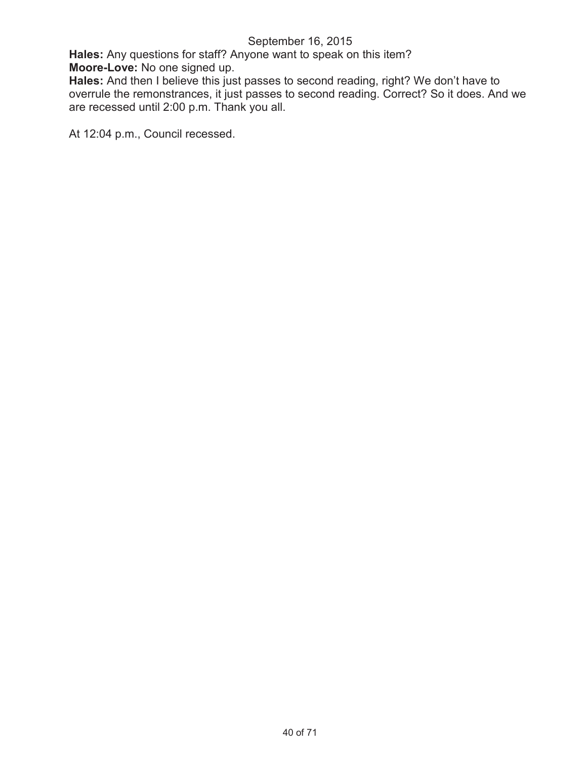**Hales:** Any questions for staff? Anyone want to speak on this item? **Moore-Love:** No one signed up.

**Hales:** And then I believe this just passes to second reading, right? We don't have to overrule the remonstrances, it just passes to second reading. Correct? So it does. And we are recessed until 2:00 p.m. Thank you all.

At 12:04 p.m., Council recessed.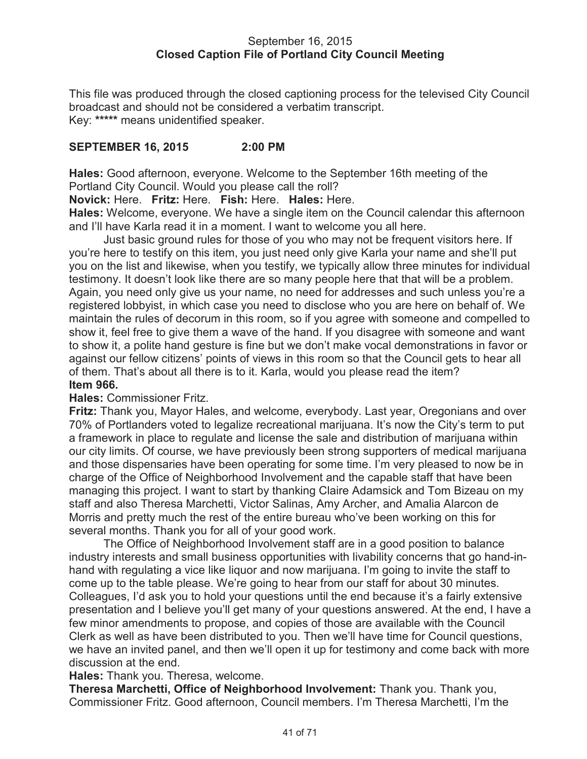### September 16, 2015 **Closed Caption File of Portland City Council Meeting**

This file was produced through the closed captioning process for the televised City Council broadcast and should not be considered a verbatim transcript. Key: **\*\*\*\*\*** means unidentified speaker.

# **SEPTEMBER 16, 2015 2:00 PM**

**Hales:** Good afternoon, everyone. Welcome to the September 16th meeting of the Portland City Council. Would you please call the roll?

**Novick:** Here. **Fritz:** Here. **Fish:** Here. **Hales:** Here.

**Hales:** Welcome, everyone. We have a single item on the Council calendar this afternoon and I'll have Karla read it in a moment. I want to welcome you all here.

Just basic ground rules for those of you who may not be frequent visitors here. If you're here to testify on this item, you just need only give Karla your name and she'll put you on the list and likewise, when you testify, we typically allow three minutes for individual testimony. It doesn't look like there are so many people here that that will be a problem. Again, you need only give us your name, no need for addresses and such unless you're a registered lobbyist, in which case you need to disclose who you are here on behalf of. We maintain the rules of decorum in this room, so if you agree with someone and compelled to show it, feel free to give them a wave of the hand. If you disagree with someone and want to show it, a polite hand gesture is fine but we don't make vocal demonstrations in favor or against our fellow citizens' points of views in this room so that the Council gets to hear all of them. That's about all there is to it. Karla, would you please read the item? **Item 966.**

## **Hales:** Commissioner Fritz.

**Fritz:** Thank you, Mayor Hales, and welcome, everybody. Last year, Oregonians and over 70% of Portlanders voted to legalize recreational marijuana. It's now the City's term to put a framework in place to regulate and license the sale and distribution of marijuana within our city limits. Of course, we have previously been strong supporters of medical marijuana and those dispensaries have been operating for some time. I'm very pleased to now be in charge of the Office of Neighborhood Involvement and the capable staff that have been managing this project. I want to start by thanking Claire Adamsick and Tom Bizeau on my staff and also Theresa Marchetti, Victor Salinas, Amy Archer, and Amalia Alarcon de Morris and pretty much the rest of the entire bureau who've been working on this for several months. Thank you for all of your good work.

The Office of Neighborhood Involvement staff are in a good position to balance industry interests and small business opportunities with livability concerns that go hand-inhand with regulating a vice like liquor and now marijuana. I'm going to invite the staff to come up to the table please. We're going to hear from our staff for about 30 minutes. Colleagues, I'd ask you to hold your questions until the end because it's a fairly extensive presentation and I believe you'll get many of your questions answered. At the end, I have a few minor amendments to propose, and copies of those are available with the Council Clerk as well as have been distributed to you. Then we'll have time for Council questions, we have an invited panel, and then we'll open it up for testimony and come back with more discussion at the end.

#### **Hales:** Thank you. Theresa, welcome.

**Theresa Marchetti, Office of Neighborhood Involvement:** Thank you. Thank you, Commissioner Fritz. Good afternoon, Council members. I'm Theresa Marchetti, I'm the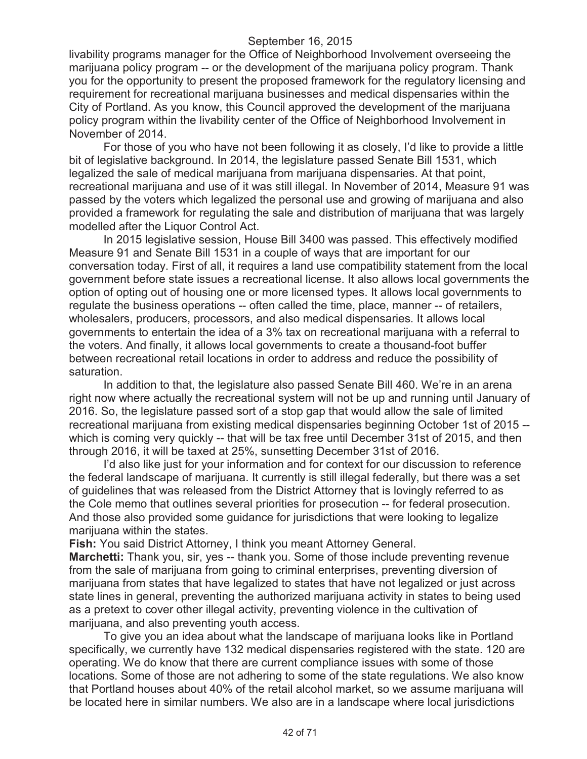livability programs manager for the Office of Neighborhood Involvement overseeing the marijuana policy program -- or the development of the marijuana policy program. Thank you for the opportunity to present the proposed framework for the regulatory licensing and requirement for recreational marijuana businesses and medical dispensaries within the City of Portland. As you know, this Council approved the development of the marijuana policy program within the livability center of the Office of Neighborhood Involvement in November of 2014.

For those of you who have not been following it as closely, I'd like to provide a little bit of legislative background. In 2014, the legislature passed Senate Bill 1531, which legalized the sale of medical marijuana from marijuana dispensaries. At that point, recreational marijuana and use of it was still illegal. In November of 2014, Measure 91 was passed by the voters which legalized the personal use and growing of marijuana and also provided a framework for regulating the sale and distribution of marijuana that was largely modelled after the Liquor Control Act.

In 2015 legislative session, House Bill 3400 was passed. This effectively modified Measure 91 and Senate Bill 1531 in a couple of ways that are important for our conversation today. First of all, it requires a land use compatibility statement from the local government before state issues a recreational license. It also allows local governments the option of opting out of housing one or more licensed types. It allows local governments to regulate the business operations -- often called the time, place, manner -- of retailers, wholesalers, producers, processors, and also medical dispensaries. It allows local governments to entertain the idea of a 3% tax on recreational marijuana with a referral to the voters. And finally, it allows local governments to create a thousand-foot buffer between recreational retail locations in order to address and reduce the possibility of saturation.

In addition to that, the legislature also passed Senate Bill 460. We're in an arena right now where actually the recreational system will not be up and running until January of 2016. So, the legislature passed sort of a stop gap that would allow the sale of limited recreational marijuana from existing medical dispensaries beginning October 1st of 2015 - which is coming very quickly -- that will be tax free until December 31st of 2015, and then through 2016, it will be taxed at 25%, sunsetting December 31st of 2016.

I'd also like just for your information and for context for our discussion to reference the federal landscape of marijuana. It currently is still illegal federally, but there was a set of guidelines that was released from the District Attorney that is lovingly referred to as the Cole memo that outlines several priorities for prosecution -- for federal prosecution. And those also provided some guidance for jurisdictions that were looking to legalize marijuana within the states.

**Fish:** You said District Attorney, I think you meant Attorney General.

**Marchetti:** Thank you, sir, yes -- thank you. Some of those include preventing revenue from the sale of marijuana from going to criminal enterprises, preventing diversion of marijuana from states that have legalized to states that have not legalized or just across state lines in general, preventing the authorized marijuana activity in states to being used as a pretext to cover other illegal activity, preventing violence in the cultivation of marijuana, and also preventing youth access.

To give you an idea about what the landscape of marijuana looks like in Portland specifically, we currently have 132 medical dispensaries registered with the state. 120 are operating. We do know that there are current compliance issues with some of those locations. Some of those are not adhering to some of the state regulations. We also know that Portland houses about 40% of the retail alcohol market, so we assume marijuana will be located here in similar numbers. We also are in a landscape where local jurisdictions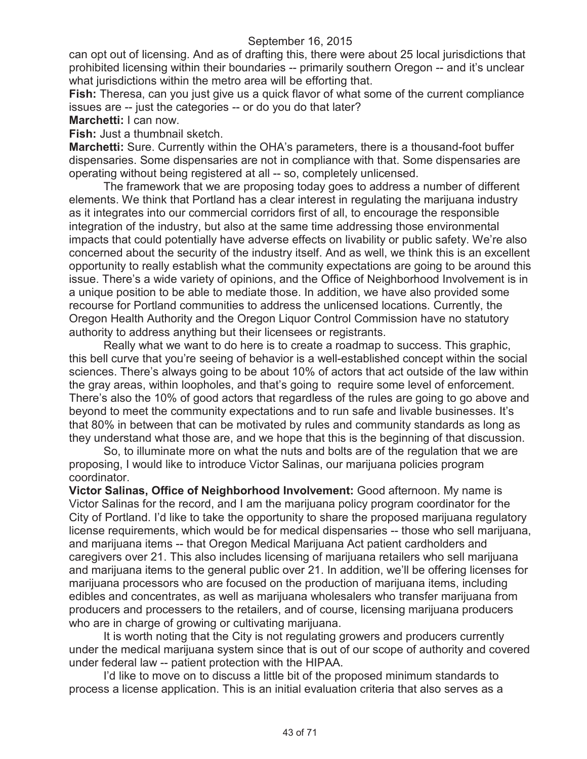can opt out of licensing. And as of drafting this, there were about 25 local jurisdictions that prohibited licensing within their boundaries -- primarily southern Oregon -- and it's unclear what jurisdictions within the metro area will be efforting that.

**Fish:** Theresa, can you just give us a quick flavor of what some of the current compliance issues are -- just the categories -- or do you do that later?

**Marchetti:** I can now.

**Fish:** Just a thumbnail sketch.

**Marchetti:** Sure. Currently within the OHA's parameters, there is a thousand-foot buffer dispensaries. Some dispensaries are not in compliance with that. Some dispensaries are operating without being registered at all -- so, completely unlicensed.

The framework that we are proposing today goes to address a number of different elements. We think that Portland has a clear interest in regulating the marijuana industry as it integrates into our commercial corridors first of all, to encourage the responsible integration of the industry, but also at the same time addressing those environmental impacts that could potentially have adverse effects on livability or public safety. We're also concerned about the security of the industry itself. And as well, we think this is an excellent opportunity to really establish what the community expectations are going to be around this issue. There's a wide variety of opinions, and the Office of Neighborhood Involvement is in a unique position to be able to mediate those. In addition, we have also provided some recourse for Portland communities to address the unlicensed locations. Currently, the Oregon Health Authority and the Oregon Liquor Control Commission have no statutory authority to address anything but their licensees or registrants.

Really what we want to do here is to create a roadmap to success. This graphic, this bell curve that you're seeing of behavior is a well-established concept within the social sciences. There's always going to be about 10% of actors that act outside of the law within the gray areas, within loopholes, and that's going to require some level of enforcement. There's also the 10% of good actors that regardless of the rules are going to go above and beyond to meet the community expectations and to run safe and livable businesses. It's that 80% in between that can be motivated by rules and community standards as long as they understand what those are, and we hope that this is the beginning of that discussion.

So, to illuminate more on what the nuts and bolts are of the regulation that we are proposing, I would like to introduce Victor Salinas, our marijuana policies program coordinator.

**Victor Salinas, Office of Neighborhood Involvement:** Good afternoon. My name is Victor Salinas for the record, and I am the marijuana policy program coordinator for the City of Portland. I'd like to take the opportunity to share the proposed marijuana regulatory license requirements, which would be for medical dispensaries -- those who sell marijuana, and marijuana items -- that Oregon Medical Marijuana Act patient cardholders and caregivers over 21. This also includes licensing of marijuana retailers who sell marijuana and marijuana items to the general public over 21. In addition, we'll be offering licenses for marijuana processors who are focused on the production of marijuana items, including edibles and concentrates, as well as marijuana wholesalers who transfer marijuana from producers and processers to the retailers, and of course, licensing marijuana producers who are in charge of growing or cultivating marijuana.

It is worth noting that the City is not regulating growers and producers currently under the medical marijuana system since that is out of our scope of authority and covered under federal law -- patient protection with the HIPAA.

I'd like to move on to discuss a little bit of the proposed minimum standards to process a license application. This is an initial evaluation criteria that also serves as a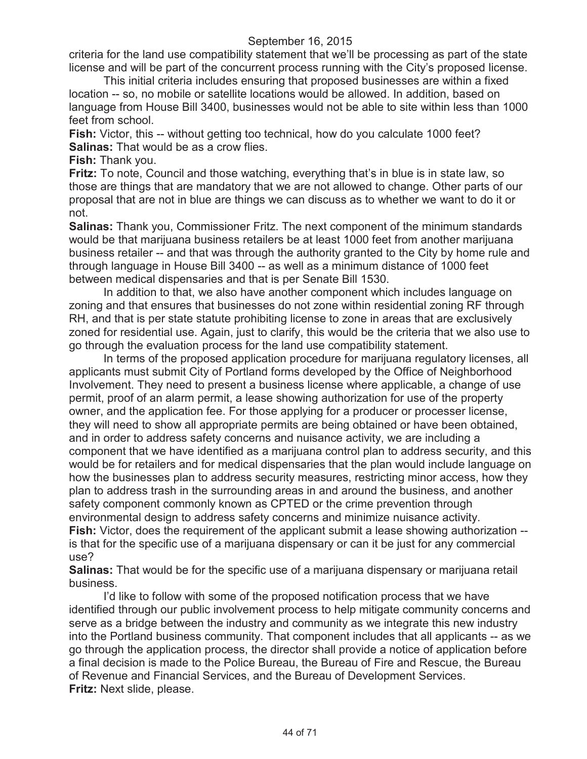criteria for the land use compatibility statement that we'll be processing as part of the state license and will be part of the concurrent process running with the City's proposed license.

This initial criteria includes ensuring that proposed businesses are within a fixed location -- so, no mobile or satellite locations would be allowed. In addition, based on language from House Bill 3400, businesses would not be able to site within less than 1000 feet from school.

**Fish:** Victor, this -- without getting too technical, how do you calculate 1000 feet? **Salinas:** That would be as a crow flies.

**Fish:** Thank you.

**Fritz:** To note, Council and those watching, everything that's in blue is in state law, so those are things that are mandatory that we are not allowed to change. Other parts of our proposal that are not in blue are things we can discuss as to whether we want to do it or not.

**Salinas:** Thank you, Commissioner Fritz. The next component of the minimum standards would be that marijuana business retailers be at least 1000 feet from another marijuana business retailer -- and that was through the authority granted to the City by home rule and through language in House Bill 3400 -- as well as a minimum distance of 1000 feet between medical dispensaries and that is per Senate Bill 1530.

In addition to that, we also have another component which includes language on zoning and that ensures that businesses do not zone within residential zoning RF through RH, and that is per state statute prohibiting license to zone in areas that are exclusively zoned for residential use. Again, just to clarify, this would be the criteria that we also use to go through the evaluation process for the land use compatibility statement.

In terms of the proposed application procedure for marijuana regulatory licenses, all applicants must submit City of Portland forms developed by the Office of Neighborhood Involvement. They need to present a business license where applicable, a change of use permit, proof of an alarm permit, a lease showing authorization for use of the property owner, and the application fee. For those applying for a producer or processer license, they will need to show all appropriate permits are being obtained or have been obtained, and in order to address safety concerns and nuisance activity, we are including a component that we have identified as a marijuana control plan to address security, and this would be for retailers and for medical dispensaries that the plan would include language on how the businesses plan to address security measures, restricting minor access, how they plan to address trash in the surrounding areas in and around the business, and another safety component commonly known as CPTED or the crime prevention through environmental design to address safety concerns and minimize nuisance activity. **Fish:** Victor, does the requirement of the applicant submit a lease showing authorization -is that for the specific use of a marijuana dispensary or can it be just for any commercial use?

**Salinas:** That would be for the specific use of a marijuana dispensary or marijuana retail business.

I'd like to follow with some of the proposed notification process that we have identified through our public involvement process to help mitigate community concerns and serve as a bridge between the industry and community as we integrate this new industry into the Portland business community. That component includes that all applicants -- as we go through the application process, the director shall provide a notice of application before a final decision is made to the Police Bureau, the Bureau of Fire and Rescue, the Bureau of Revenue and Financial Services, and the Bureau of Development Services. **Fritz:** Next slide, please.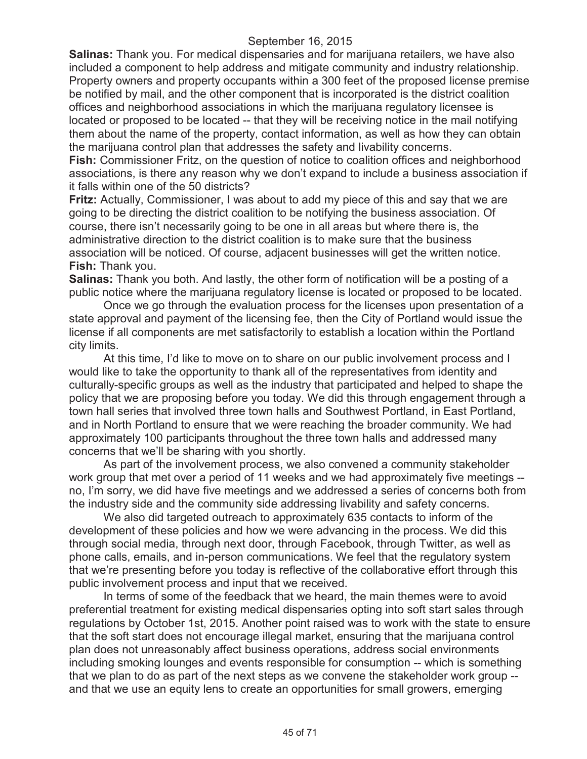**Salinas:** Thank you. For medical dispensaries and for marijuana retailers, we have also included a component to help address and mitigate community and industry relationship. Property owners and property occupants within a 300 feet of the proposed license premise be notified by mail, and the other component that is incorporated is the district coalition offices and neighborhood associations in which the marijuana regulatory licensee is located or proposed to be located -- that they will be receiving notice in the mail notifying them about the name of the property, contact information, as well as how they can obtain the marijuana control plan that addresses the safety and livability concerns.

**Fish:** Commissioner Fritz, on the question of notice to coalition offices and neighborhood associations, is there any reason why we don't expand to include a business association if it falls within one of the 50 districts?

**Fritz:** Actually, Commissioner, I was about to add my piece of this and say that we are going to be directing the district coalition to be notifying the business association. Of course, there isn't necessarily going to be one in all areas but where there is, the administrative direction to the district coalition is to make sure that the business association will be noticed. Of course, adjacent businesses will get the written notice. **Fish:** Thank you.

**Salinas:** Thank you both. And lastly, the other form of notification will be a posting of a public notice where the marijuana regulatory license is located or proposed to be located.

Once we go through the evaluation process for the licenses upon presentation of a state approval and payment of the licensing fee, then the City of Portland would issue the license if all components are met satisfactorily to establish a location within the Portland city limits.

At this time, I'd like to move on to share on our public involvement process and I would like to take the opportunity to thank all of the representatives from identity and culturally-specific groups as well as the industry that participated and helped to shape the policy that we are proposing before you today. We did this through engagement through a town hall series that involved three town halls and Southwest Portland, in East Portland, and in North Portland to ensure that we were reaching the broader community. We had approximately 100 participants throughout the three town halls and addressed many concerns that we'll be sharing with you shortly.

As part of the involvement process, we also convened a community stakeholder work group that met over a period of 11 weeks and we had approximately five meetings - no, I'm sorry, we did have five meetings and we addressed a series of concerns both from the industry side and the community side addressing livability and safety concerns.

We also did targeted outreach to approximately 635 contacts to inform of the development of these policies and how we were advancing in the process. We did this through social media, through next door, through Facebook, through Twitter, as well as phone calls, emails, and in-person communications. We feel that the regulatory system that we're presenting before you today is reflective of the collaborative effort through this public involvement process and input that we received.

In terms of some of the feedback that we heard, the main themes were to avoid preferential treatment for existing medical dispensaries opting into soft start sales through regulations by October 1st, 2015. Another point raised was to work with the state to ensure that the soft start does not encourage illegal market, ensuring that the marijuana control plan does not unreasonably affect business operations, address social environments including smoking lounges and events responsible for consumption -- which is something that we plan to do as part of the next steps as we convene the stakeholder work group - and that we use an equity lens to create an opportunities for small growers, emerging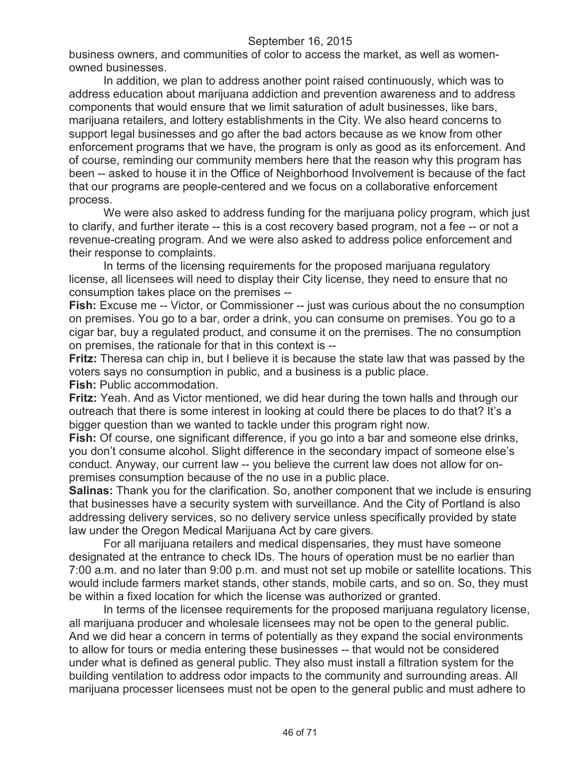business owners, and communities of color to access the market, as well as womenowned businesses.

In addition, we plan to address another point raised continuously, which was to address education about marijuana addiction and prevention awareness and to address components that would ensure that we limit saturation of adult businesses, like bars, marijuana retailers, and lottery establishments in the City. We also heard concerns to support legal businesses and go after the bad actors because as we know from other enforcement programs that we have, the program is only as good as its enforcement. And of course, reminding our community members here that the reason why this program has been -- asked to house it in the Office of Neighborhood Involvement is because of the fact that our programs are people-centered and we focus on a collaborative enforcement process.

We were also asked to address funding for the marijuana policy program, which just to clarify, and further iterate -- this is a cost recovery based program, not a fee -- or not a revenue-creating program. And we were also asked to address police enforcement and their response to complaints.

In terms of the licensing requirements for the proposed marijuana regulatory license, all licensees will need to display their City license, they need to ensure that no consumption takes place on the premises --

**Fish:** Excuse me -- Victor, or Commissioner -- just was curious about the no consumption on premises. You go to a bar, order a drink, you can consume on premises. You go to a cigar bar, buy a regulated product, and consume it on the premises. The no consumption on premises, the rationale for that in this context is --

**Fritz:** Theresa can chip in, but I believe it is because the state law that was passed by the voters says no consumption in public, and a business is a public place. **Fish:** Public accommodation.

**Fritz:** Yeah. And as Victor mentioned, we did hear during the town halls and through our outreach that there is some interest in looking at could there be places to do that? It's a bigger question than we wanted to tackle under this program right now.

**Fish:** Of course, one significant difference, if you go into a bar and someone else drinks, you don't consume alcohol. Slight difference in the secondary impact of someone else's conduct. Anyway, our current law -- you believe the current law does not allow for onpremises consumption because of the no use in a public place.

**Salinas:** Thank you for the clarification. So, another component that we include is ensuring that businesses have a security system with surveillance. And the City of Portland is also addressing delivery services, so no delivery service unless specifically provided by state law under the Oregon Medical Marijuana Act by care givers.

For all marijuana retailers and medical dispensaries, they must have someone designated at the entrance to check IDs. The hours of operation must be no earlier than 7:00 a.m. and no later than 9:00 p.m. and must not set up mobile or satellite locations. This would include farmers market stands, other stands, mobile carts, and so on. So, they must be within a fixed location for which the license was authorized or granted.

In terms of the licensee requirements for the proposed marijuana regulatory license, all marijuana producer and wholesale licensees may not be open to the general public. And we did hear a concern in terms of potentially as they expand the social environments to allow for tours or media entering these businesses -- that would not be considered under what is defined as general public. They also must install a filtration system for the building ventilation to address odor impacts to the community and surrounding areas. All marijuana processer licensees must not be open to the general public and must adhere to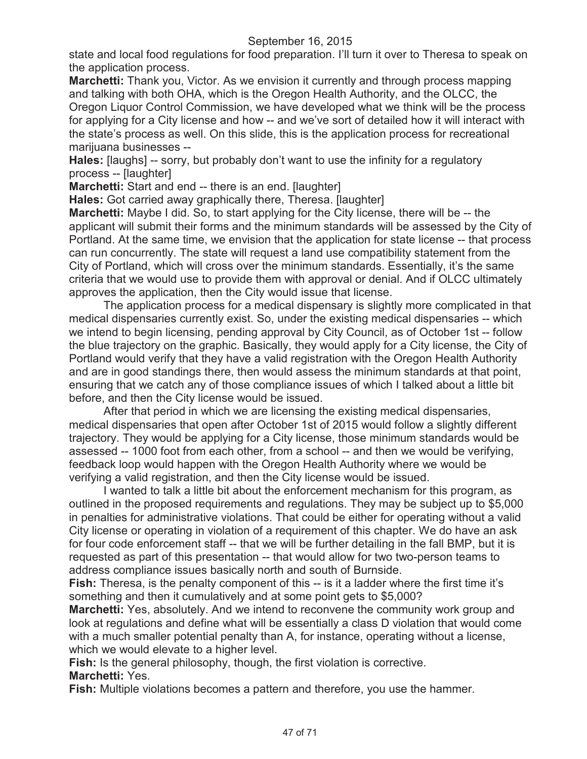state and local food regulations for food preparation. I'll turn it over to Theresa to speak on the application process.

**Marchetti:** Thank you, Victor. As we envision it currently and through process mapping and talking with both OHA, which is the Oregon Health Authority, and the OLCC, the Oregon Liquor Control Commission, we have developed what we think will be the process for applying for a City license and how -- and we've sort of detailed how it will interact with the state's process as well. On this slide, this is the application process for recreational marijuana businesses --

Hales: [laughs] -- sorry, but probably don't want to use the infinity for a regulatory process -- [laughter]

**Marchetti:** Start and end -- there is an end. [laughter]

**Hales:** Got carried away graphically there, Theresa. [laughter]

**Marchetti:** Maybe I did. So, to start applying for the City license, there will be -- the applicant will submit their forms and the minimum standards will be assessed by the City of Portland. At the same time, we envision that the application for state license -- that process can run concurrently. The state will request a land use compatibility statement from the City of Portland, which will cross over the minimum standards. Essentially, it's the same criteria that we would use to provide them with approval or denial. And if OLCC ultimately approves the application, then the City would issue that license.

The application process for a medical dispensary is slightly more complicated in that medical dispensaries currently exist. So, under the existing medical dispensaries -- which we intend to begin licensing, pending approval by City Council, as of October 1st -- follow the blue trajectory on the graphic. Basically, they would apply for a City license, the City of Portland would verify that they have a valid registration with the Oregon Health Authority and are in good standings there, then would assess the minimum standards at that point, ensuring that we catch any of those compliance issues of which I talked about a little bit before, and then the City license would be issued.

After that period in which we are licensing the existing medical dispensaries, medical dispensaries that open after October 1st of 2015 would follow a slightly different trajectory. They would be applying for a City license, those minimum standards would be assessed -- 1000 foot from each other, from a school -- and then we would be verifying, feedback loop would happen with the Oregon Health Authority where we would be verifying a valid registration, and then the City license would be issued.

I wanted to talk a little bit about the enforcement mechanism for this program, as outlined in the proposed requirements and regulations. They may be subject up to \$5,000 in penalties for administrative violations. That could be either for operating without a valid City license or operating in violation of a requirement of this chapter. We do have an ask for four code enforcement staff -- that we will be further detailing in the fall BMP, but it is requested as part of this presentation -- that would allow for two two-person teams to address compliance issues basically north and south of Burnside.

**Fish:** Theresa, is the penalty component of this -- is it a ladder where the first time it's something and then it cumulatively and at some point gets to \$5,000?

**Marchetti:** Yes, absolutely. And we intend to reconvene the community work group and look at regulations and define what will be essentially a class D violation that would come with a much smaller potential penalty than A, for instance, operating without a license, which we would elevate to a higher level.

**Fish:** Is the general philosophy, though, the first violation is corrective. **Marchetti:** Yes.

**Fish:** Multiple violations becomes a pattern and therefore, you use the hammer.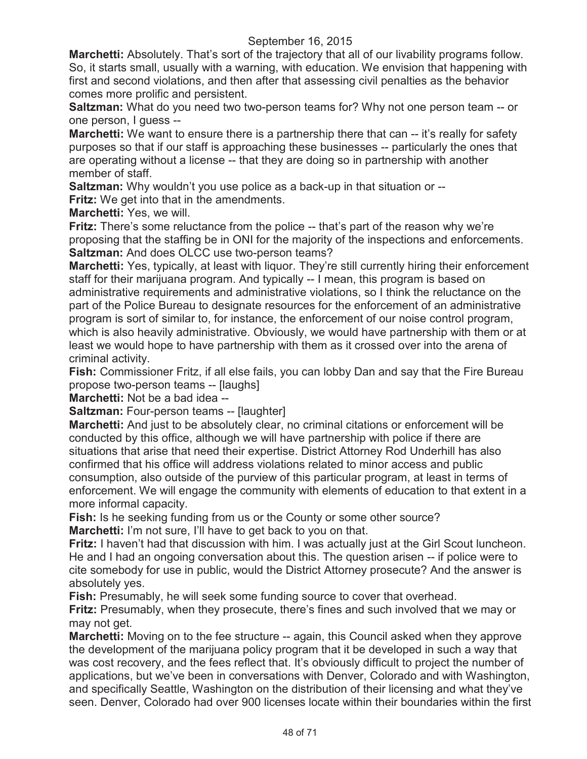**Marchetti:** Absolutely. That's sort of the trajectory that all of our livability programs follow. So, it starts small, usually with a warning, with education. We envision that happening with first and second violations, and then after that assessing civil penalties as the behavior comes more prolific and persistent.

**Saltzman:** What do you need two two-person teams for? Why not one person team -- or one person, I guess --

**Marchetti:** We want to ensure there is a partnership there that can -- it's really for safety purposes so that if our staff is approaching these businesses -- particularly the ones that are operating without a license -- that they are doing so in partnership with another member of staff.

**Saltzman:** Why wouldn't you use police as a back-up in that situation or --

**Fritz:** We get into that in the amendments.

**Marchetti:** Yes, we will.

**Fritz:** There's some reluctance from the police -- that's part of the reason why we're proposing that the staffing be in ONI for the majority of the inspections and enforcements. **Saltzman:** And does OLCC use two-person teams?

**Marchetti:** Yes, typically, at least with liquor. They're still currently hiring their enforcement staff for their marijuana program. And typically -- I mean, this program is based on administrative requirements and administrative violations, so I think the reluctance on the part of the Police Bureau to designate resources for the enforcement of an administrative program is sort of similar to, for instance, the enforcement of our noise control program, which is also heavily administrative. Obviously, we would have partnership with them or at least we would hope to have partnership with them as it crossed over into the arena of criminal activity.

**Fish:** Commissioner Fritz, if all else fails, you can lobby Dan and say that the Fire Bureau propose two-person teams -- [laughs]

**Marchetti:** Not be a bad idea --

**Saltzman: Four-person teams -- [laughter]** 

**Marchetti:** And just to be absolutely clear, no criminal citations or enforcement will be conducted by this office, although we will have partnership with police if there are situations that arise that need their expertise. District Attorney Rod Underhill has also confirmed that his office will address violations related to minor access and public consumption, also outside of the purview of this particular program, at least in terms of enforcement. We will engage the community with elements of education to that extent in a more informal capacity.

**Fish:** Is he seeking funding from us or the County or some other source? **Marchetti:** I'm not sure, I'll have to get back to you on that.

**Fritz:** I haven't had that discussion with him. I was actually just at the Girl Scout luncheon. He and I had an ongoing conversation about this. The question arisen -- if police were to cite somebody for use in public, would the District Attorney prosecute? And the answer is absolutely yes.

**Fish:** Presumably, he will seek some funding source to cover that overhead.

**Fritz:** Presumably, when they prosecute, there's fines and such involved that we may or may not get.

**Marchetti:** Moving on to the fee structure -- again, this Council asked when they approve the development of the marijuana policy program that it be developed in such a way that was cost recovery, and the fees reflect that. It's obviously difficult to project the number of applications, but we've been in conversations with Denver, Colorado and with Washington, and specifically Seattle, Washington on the distribution of their licensing and what they've seen. Denver, Colorado had over 900 licenses locate within their boundaries within the first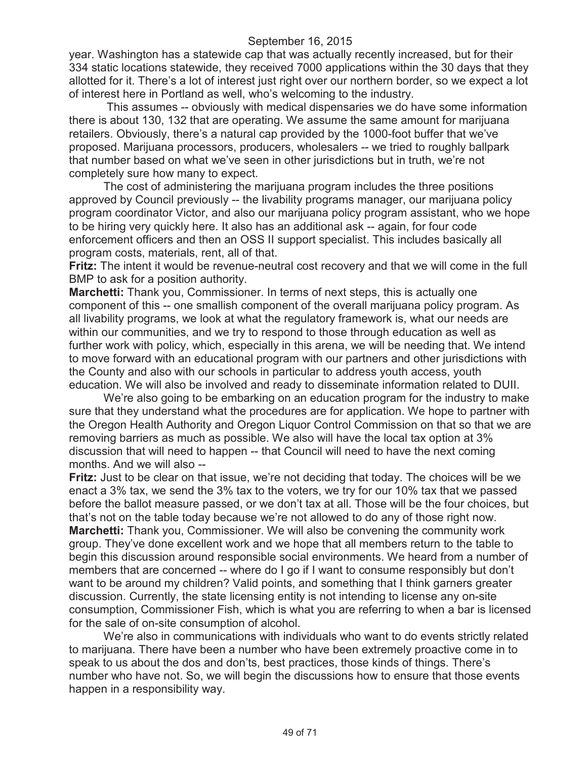year. Washington has a statewide cap that was actually recently increased, but for their 334 static locations statewide, they received 7000 applications within the 30 days that they allotted for it. There's a lot of interest just right over our northern border, so we expect a lot of interest here in Portland as well, who's welcoming to the industry.

This assumes -- obviously with medical dispensaries we do have some information there is about 130, 132 that are operating. We assume the same amount for marijuana retailers. Obviously, there's a natural cap provided by the 1000-foot buffer that we've proposed. Marijuana processors, producers, wholesalers -- we tried to roughly ballpark that number based on what we've seen in other jurisdictions but in truth, we're not completely sure how many to expect.

The cost of administering the marijuana program includes the three positions approved by Council previously -- the livability programs manager, our marijuana policy program coordinator Victor, and also our marijuana policy program assistant, who we hope to be hiring very quickly here. It also has an additional ask -- again, for four code enforcement officers and then an OSS II support specialist. This includes basically all program costs, materials, rent, all of that.

**Fritz:** The intent it would be revenue-neutral cost recovery and that we will come in the full BMP to ask for a position authority.

**Marchetti:** Thank you, Commissioner. In terms of next steps, this is actually one component of this -- one smallish component of the overall marijuana policy program. As all livability programs, we look at what the regulatory framework is, what our needs are within our communities, and we try to respond to those through education as well as further work with policy, which, especially in this arena, we will be needing that. We intend to move forward with an educational program with our partners and other jurisdictions with the County and also with our schools in particular to address youth access, youth education. We will also be involved and ready to disseminate information related to DUII.

We're also going to be embarking on an education program for the industry to make sure that they understand what the procedures are for application. We hope to partner with the Oregon Health Authority and Oregon Liquor Control Commission on that so that we are removing barriers as much as possible. We also will have the local tax option at 3% discussion that will need to happen -- that Council will need to have the next coming months. And we will also --

**Fritz:** Just to be clear on that issue, we're not deciding that today. The choices will be we enact a 3% tax, we send the 3% tax to the voters, we try for our 10% tax that we passed before the ballot measure passed, or we don't tax at all. Those will be the four choices, but that's not on the table today because we're not allowed to do any of those right now. **Marchetti:** Thank you, Commissioner. We will also be convening the community work group. They've done excellent work and we hope that all members return to the table to begin this discussion around responsible social environments. We heard from a number of members that are concerned -- where do I go if I want to consume responsibly but don't want to be around my children? Valid points, and something that I think garners greater discussion. Currently, the state licensing entity is not intending to license any on-site consumption, Commissioner Fish, which is what you are referring to when a bar is licensed for the sale of on-site consumption of alcohol.

We're also in communications with individuals who want to do events strictly related to marijuana. There have been a number who have been extremely proactive come in to speak to us about the dos and don'ts, best practices, those kinds of things. There's number who have not. So, we will begin the discussions how to ensure that those events happen in a responsibility way.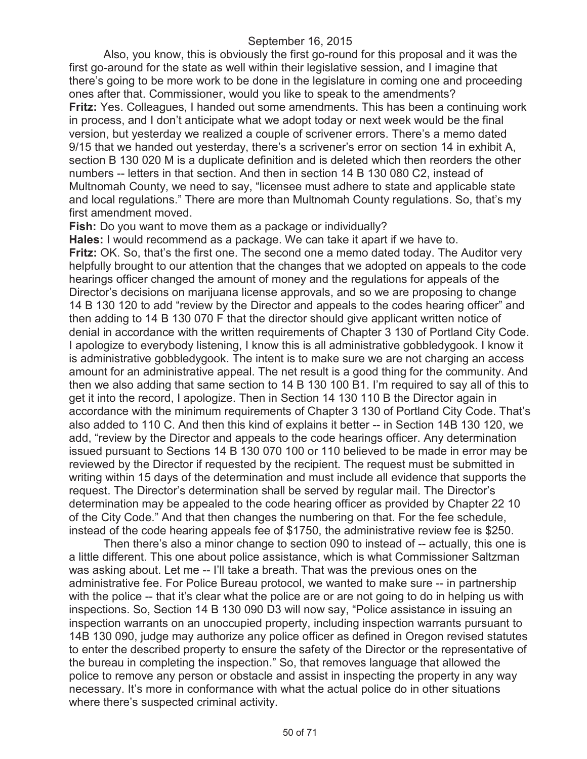Also, you know, this is obviously the first go-round for this proposal and it was the first go-around for the state as well within their legislative session, and I imagine that there's going to be more work to be done in the legislature in coming one and proceeding ones after that. Commissioner, would you like to speak to the amendments? **Fritz:** Yes. Colleagues, I handed out some amendments. This has been a continuing work in process, and I don't anticipate what we adopt today or next week would be the final version, but yesterday we realized a couple of scrivener errors. There's a memo dated 9/15 that we handed out yesterday, there's a scrivener's error on section 14 in exhibit A, section B 130 020 M is a duplicate definition and is deleted which then reorders the other numbers -- letters in that section. And then in section 14 B 130 080 C2, instead of Multnomah County, we need to say, "licensee must adhere to state and applicable state and local regulations." There are more than Multnomah County regulations. So, that's my first amendment moved.

**Fish:** Do you want to move them as a package or individually?

**Hales:** I would recommend as a package. We can take it apart if we have to. **Fritz:** OK. So, that's the first one. The second one a memo dated today. The Auditor very helpfully brought to our attention that the changes that we adopted on appeals to the code hearings officer changed the amount of money and the regulations for appeals of the Director's decisions on marijuana license approvals, and so we are proposing to change 14 B 130 120 to add "review by the Director and appeals to the codes hearing officer" and then adding to 14 B 130 070 F that the director should give applicant written notice of denial in accordance with the written requirements of Chapter 3 130 of Portland City Code. I apologize to everybody listening, I know this is all administrative gobbledygook. I know it is administrative gobbledygook. The intent is to make sure we are not charging an access amount for an administrative appeal. The net result is a good thing for the community. And then we also adding that same section to 14 B 130 100 B1. I'm required to say all of this to get it into the record, I apologize. Then in Section 14 130 110 B the Director again in accordance with the minimum requirements of Chapter 3 130 of Portland City Code. That's also added to 110 C. And then this kind of explains it better -- in Section 14B 130 120, we add, "review by the Director and appeals to the code hearings officer. Any determination issued pursuant to Sections 14 B 130 070 100 or 110 believed to be made in error may be reviewed by the Director if requested by the recipient. The request must be submitted in writing within 15 days of the determination and must include all evidence that supports the request. The Director's determination shall be served by regular mail. The Director's determination may be appealed to the code hearing officer as provided by Chapter 22 10 of the City Code." And that then changes the numbering on that. For the fee schedule, instead of the code hearing appeals fee of \$1750, the administrative review fee is \$250.

Then there's also a minor change to section 090 to instead of -- actually, this one is a little different. This one about police assistance, which is what Commissioner Saltzman was asking about. Let me -- I'll take a breath. That was the previous ones on the administrative fee. For Police Bureau protocol, we wanted to make sure -- in partnership with the police -- that it's clear what the police are or are not going to do in helping us with inspections. So, Section 14 B 130 090 D3 will now say, "Police assistance in issuing an inspection warrants on an unoccupied property, including inspection warrants pursuant to 14B 130 090, judge may authorize any police officer as defined in Oregon revised statutes to enter the described property to ensure the safety of the Director or the representative of the bureau in completing the inspection." So, that removes language that allowed the police to remove any person or obstacle and assist in inspecting the property in any way necessary. It's more in conformance with what the actual police do in other situations where there's suspected criminal activity.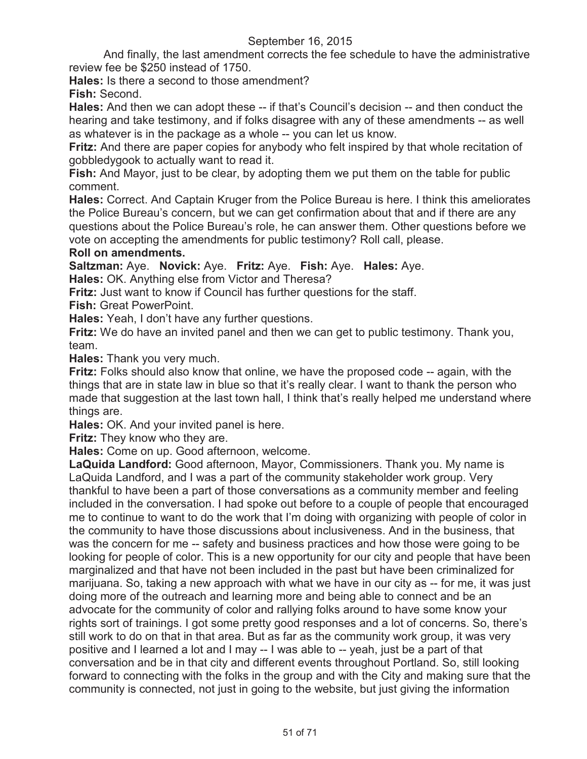And finally, the last amendment corrects the fee schedule to have the administrative review fee be \$250 instead of 1750.

**Hales:** Is there a second to those amendment? **Fish:** Second.

**Hales:** And then we can adopt these -- if that's Council's decision -- and then conduct the hearing and take testimony, and if folks disagree with any of these amendments -- as well as whatever is in the package as a whole -- you can let us know.

**Fritz:** And there are paper copies for anybody who felt inspired by that whole recitation of gobbledygook to actually want to read it.

**Fish:** And Mayor, just to be clear, by adopting them we put them on the table for public comment.

**Hales:** Correct. And Captain Kruger from the Police Bureau is here. I think this ameliorates the Police Bureau's concern, but we can get confirmation about that and if there are any questions about the Police Bureau's role, he can answer them. Other questions before we vote on accepting the amendments for public testimony? Roll call, please.

# **Roll on amendments.**

**Saltzman:** Aye. **Novick:** Aye. **Fritz:** Aye. **Fish:** Aye. **Hales:** Aye. **Hales:** OK. Anything else from Victor and Theresa?

**Fritz:** Just want to know if Council has further questions for the staff.

**Fish:** Great PowerPoint.

**Hales:** Yeah, I don't have any further questions.

**Fritz:** We do have an invited panel and then we can get to public testimony. Thank you, team.

**Hales:** Thank you very much.

**Fritz:** Folks should also know that online, we have the proposed code -- again, with the things that are in state law in blue so that it's really clear. I want to thank the person who made that suggestion at the last town hall, I think that's really helped me understand where things are.

**Hales:** OK. And your invited panel is here.

**Fritz:** They know who they are.

**Hales:** Come on up. Good afternoon, welcome.

**LaQuida Landford:** Good afternoon, Mayor, Commissioners. Thank you. My name is LaQuida Landford, and I was a part of the community stakeholder work group. Very thankful to have been a part of those conversations as a community member and feeling included in the conversation. I had spoke out before to a couple of people that encouraged me to continue to want to do the work that I'm doing with organizing with people of color in the community to have those discussions about inclusiveness. And in the business, that was the concern for me -- safety and business practices and how those were going to be looking for people of color. This is a new opportunity for our city and people that have been marginalized and that have not been included in the past but have been criminalized for marijuana. So, taking a new approach with what we have in our city as -- for me, it was just doing more of the outreach and learning more and being able to connect and be an advocate for the community of color and rallying folks around to have some know your rights sort of trainings. I got some pretty good responses and a lot of concerns. So, there's still work to do on that in that area. But as far as the community work group, it was very positive and I learned a lot and I may -- I was able to -- yeah, just be a part of that conversation and be in that city and different events throughout Portland. So, still looking forward to connecting with the folks in the group and with the City and making sure that the community is connected, not just in going to the website, but just giving the information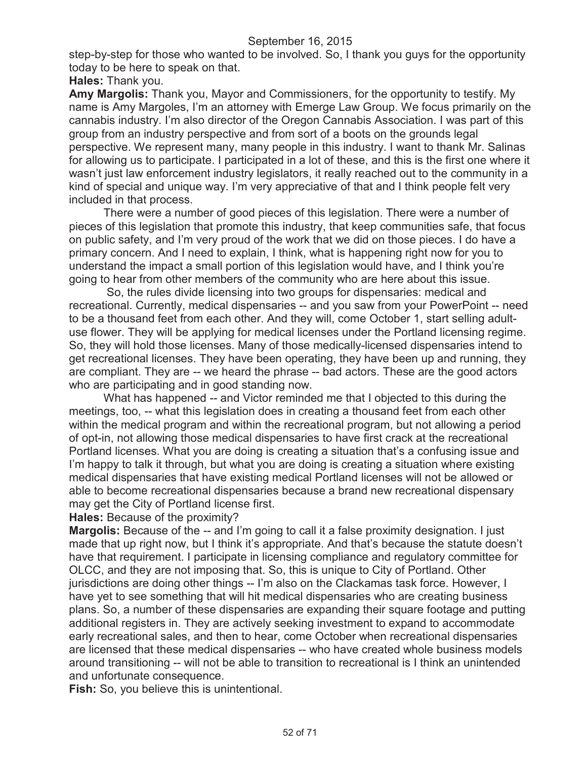step-by-step for those who wanted to be involved. So, I thank you guys for the opportunity today to be here to speak on that.

**Hales:** Thank you.

**Amy Margolis:** Thank you, Mayor and Commissioners, for the opportunity to testify. My name is Amy Margoles, I'm an attorney with Emerge Law Group. We focus primarily on the cannabis industry. I'm also director of the Oregon Cannabis Association. I was part of this group from an industry perspective and from sort of a boots on the grounds legal perspective. We represent many, many people in this industry. I want to thank Mr. Salinas for allowing us to participate. I participated in a lot of these, and this is the first one where it wasn't just law enforcement industry legislators, it really reached out to the community in a kind of special and unique way. I'm very appreciative of that and I think people felt very included in that process.

There were a number of good pieces of this legislation. There were a number of pieces of this legislation that promote this industry, that keep communities safe, that focus on public safety, and I'm very proud of the work that we did on those pieces. I do have a primary concern. And I need to explain, I think, what is happening right now for you to understand the impact a small portion of this legislation would have, and I think you're going to hear from other members of the community who are here about this issue.

So, the rules divide licensing into two groups for dispensaries: medical and recreational. Currently, medical dispensaries -- and you saw from your PowerPoint -- need to be a thousand feet from each other. And they will, come October 1, start selling adultuse flower. They will be applying for medical licenses under the Portland licensing regime. So, they will hold those licenses. Many of those medically-licensed dispensaries intend to get recreational licenses. They have been operating, they have been up and running, they are compliant. They are -- we heard the phrase -- bad actors. These are the good actors who are participating and in good standing now.

What has happened -- and Victor reminded me that I objected to this during the meetings, too, -- what this legislation does in creating a thousand feet from each other within the medical program and within the recreational program, but not allowing a period of opt-in, not allowing those medical dispensaries to have first crack at the recreational Portland licenses. What you are doing is creating a situation that's a confusing issue and I'm happy to talk it through, but what you are doing is creating a situation where existing medical dispensaries that have existing medical Portland licenses will not be allowed or able to become recreational dispensaries because a brand new recreational dispensary may get the City of Portland license first.

**Hales:** Because of the proximity?

**Margolis:** Because of the -- and I'm going to call it a false proximity designation. I just made that up right now, but I think it's appropriate. And that's because the statute doesn't have that requirement. I participate in licensing compliance and regulatory committee for OLCC, and they are not imposing that. So, this is unique to City of Portland. Other jurisdictions are doing other things -- I'm also on the Clackamas task force. However, I have yet to see something that will hit medical dispensaries who are creating business plans. So, a number of these dispensaries are expanding their square footage and putting additional registers in. They are actively seeking investment to expand to accommodate early recreational sales, and then to hear, come October when recreational dispensaries are licensed that these medical dispensaries -- who have created whole business models around transitioning -- will not be able to transition to recreational is I think an unintended and unfortunate consequence.

**Fish:** So, you believe this is unintentional.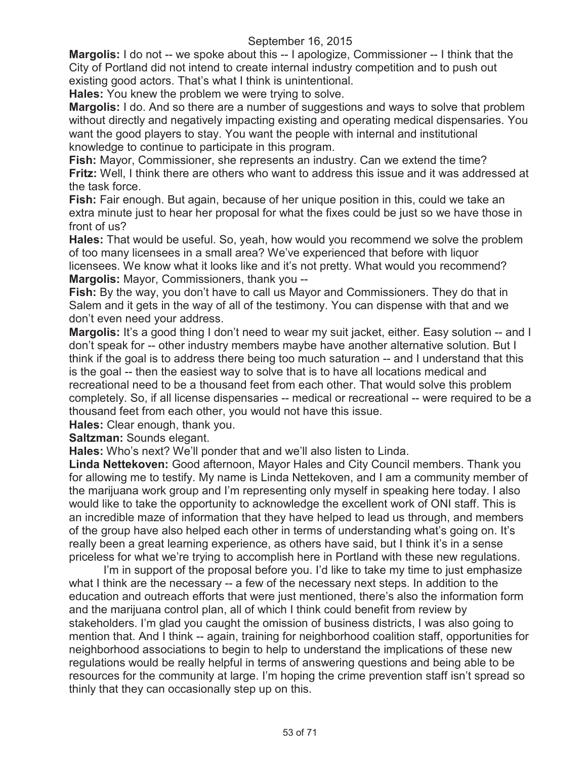**Margolis:** I do not -- we spoke about this -- I apologize, Commissioner -- I think that the City of Portland did not intend to create internal industry competition and to push out existing good actors. That's what I think is unintentional.

**Hales:** You knew the problem we were trying to solve.

**Margolis:** I do. And so there are a number of suggestions and ways to solve that problem without directly and negatively impacting existing and operating medical dispensaries. You want the good players to stay. You want the people with internal and institutional knowledge to continue to participate in this program.

**Fish:** Mayor, Commissioner, she represents an industry. Can we extend the time? **Fritz:** Well, I think there are others who want to address this issue and it was addressed at the task force.

**Fish:** Fair enough. But again, because of her unique position in this, could we take an extra minute just to hear her proposal for what the fixes could be just so we have those in front of us?

**Hales:** That would be useful. So, yeah, how would you recommend we solve the problem of too many licensees in a small area? We've experienced that before with liquor licensees. We know what it looks like and it's not pretty. What would you recommend? **Margolis:** Mayor, Commissioners, thank you --

**Fish:** By the way, you don't have to call us Mayor and Commissioners. They do that in Salem and it gets in the way of all of the testimony. You can dispense with that and we don't even need your address.

**Margolis:** It's a good thing I don't need to wear my suit jacket, either. Easy solution -- and I don't speak for -- other industry members maybe have another alternative solution. But I think if the goal is to address there being too much saturation -- and I understand that this is the goal -- then the easiest way to solve that is to have all locations medical and recreational need to be a thousand feet from each other. That would solve this problem completely. So, if all license dispensaries -- medical or recreational -- were required to be a thousand feet from each other, you would not have this issue.

**Hales:** Clear enough, thank you.

**Saltzman:** Sounds elegant.

**Hales:** Who's next? We'll ponder that and we'll also listen to Linda.

**Linda Nettekoven:** Good afternoon, Mayor Hales and City Council members. Thank you for allowing me to testify. My name is Linda Nettekoven, and I am a community member of the marijuana work group and I'm representing only myself in speaking here today. I also would like to take the opportunity to acknowledge the excellent work of ONI staff. This is an incredible maze of information that they have helped to lead us through, and members of the group have also helped each other in terms of understanding what's going on. It's really been a great learning experience, as others have said, but I think it's in a sense priceless for what we're trying to accomplish here in Portland with these new regulations.

I'm in support of the proposal before you. I'd like to take my time to just emphasize what I think are the necessary -- a few of the necessary next steps. In addition to the education and outreach efforts that were just mentioned, there's also the information form and the marijuana control plan, all of which I think could benefit from review by stakeholders. I'm glad you caught the omission of business districts, I was also going to mention that. And I think -- again, training for neighborhood coalition staff, opportunities for neighborhood associations to begin to help to understand the implications of these new regulations would be really helpful in terms of answering questions and being able to be resources for the community at large. I'm hoping the crime prevention staff isn't spread so thinly that they can occasionally step up on this.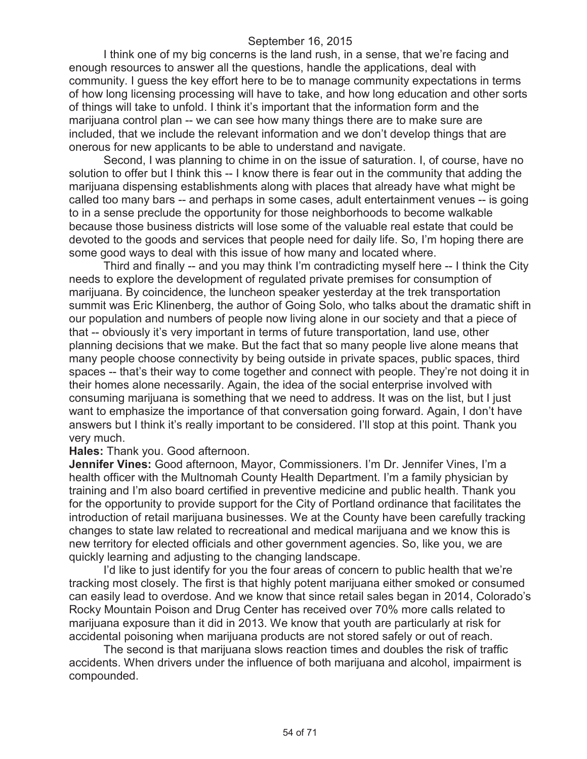I think one of my big concerns is the land rush, in a sense, that we're facing and enough resources to answer all the questions, handle the applications, deal with community. I guess the key effort here to be to manage community expectations in terms of how long licensing processing will have to take, and how long education and other sorts of things will take to unfold. I think it's important that the information form and the marijuana control plan -- we can see how many things there are to make sure are included, that we include the relevant information and we don't develop things that are onerous for new applicants to be able to understand and navigate.

Second, I was planning to chime in on the issue of saturation. I, of course, have no solution to offer but I think this -- I know there is fear out in the community that adding the marijuana dispensing establishments along with places that already have what might be called too many bars -- and perhaps in some cases, adult entertainment venues -- is going to in a sense preclude the opportunity for those neighborhoods to become walkable because those business districts will lose some of the valuable real estate that could be devoted to the goods and services that people need for daily life. So, I'm hoping there are some good ways to deal with this issue of how many and located where.

Third and finally -- and you may think I'm contradicting myself here -- I think the City needs to explore the development of regulated private premises for consumption of marijuana. By coincidence, the luncheon speaker yesterday at the trek transportation summit was Eric Klinenberg, the author of Going Solo, who talks about the dramatic shift in our population and numbers of people now living alone in our society and that a piece of that -- obviously it's very important in terms of future transportation, land use, other planning decisions that we make. But the fact that so many people live alone means that many people choose connectivity by being outside in private spaces, public spaces, third spaces -- that's their way to come together and connect with people. They're not doing it in their homes alone necessarily. Again, the idea of the social enterprise involved with consuming marijuana is something that we need to address. It was on the list, but I just want to emphasize the importance of that conversation going forward. Again, I don't have answers but I think it's really important to be considered. I'll stop at this point. Thank you very much.

#### **Hales:** Thank you. Good afternoon.

**Jennifer Vines:** Good afternoon, Mayor, Commissioners. I'm Dr. Jennifer Vines, I'm a health officer with the Multnomah County Health Department. I'm a family physician by training and I'm also board certified in preventive medicine and public health. Thank you for the opportunity to provide support for the City of Portland ordinance that facilitates the introduction of retail marijuana businesses. We at the County have been carefully tracking changes to state law related to recreational and medical marijuana and we know this is new territory for elected officials and other government agencies. So, like you, we are quickly learning and adjusting to the changing landscape.

I'd like to just identify for you the four areas of concern to public health that we're tracking most closely. The first is that highly potent marijuana either smoked or consumed can easily lead to overdose. And we know that since retail sales began in 2014, Colorado's Rocky Mountain Poison and Drug Center has received over 70% more calls related to marijuana exposure than it did in 2013. We know that youth are particularly at risk for accidental poisoning when marijuana products are not stored safely or out of reach.

The second is that marijuana slows reaction times and doubles the risk of traffic accidents. When drivers under the influence of both marijuana and alcohol, impairment is compounded.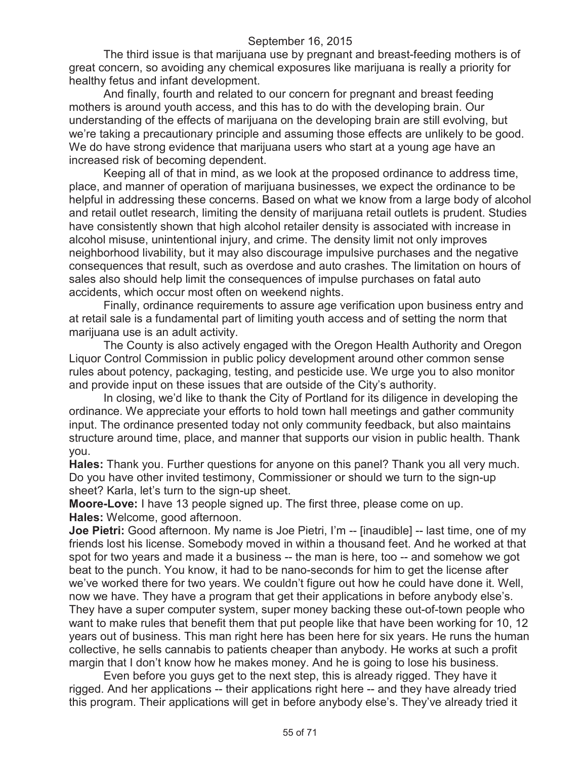The third issue is that marijuana use by pregnant and breast-feeding mothers is of great concern, so avoiding any chemical exposures like marijuana is really a priority for healthy fetus and infant development.

And finally, fourth and related to our concern for pregnant and breast feeding mothers is around youth access, and this has to do with the developing brain. Our understanding of the effects of marijuana on the developing brain are still evolving, but we're taking a precautionary principle and assuming those effects are unlikely to be good. We do have strong evidence that marijuana users who start at a young age have an increased risk of becoming dependent.

Keeping all of that in mind, as we look at the proposed ordinance to address time, place, and manner of operation of marijuana businesses, we expect the ordinance to be helpful in addressing these concerns. Based on what we know from a large body of alcohol and retail outlet research, limiting the density of marijuana retail outlets is prudent. Studies have consistently shown that high alcohol retailer density is associated with increase in alcohol misuse, unintentional injury, and crime. The density limit not only improves neighborhood livability, but it may also discourage impulsive purchases and the negative consequences that result, such as overdose and auto crashes. The limitation on hours of sales also should help limit the consequences of impulse purchases on fatal auto accidents, which occur most often on weekend nights.

Finally, ordinance requirements to assure age verification upon business entry and at retail sale is a fundamental part of limiting youth access and of setting the norm that marijuana use is an adult activity.

The County is also actively engaged with the Oregon Health Authority and Oregon Liquor Control Commission in public policy development around other common sense rules about potency, packaging, testing, and pesticide use. We urge you to also monitor and provide input on these issues that are outside of the City's authority.

In closing, we'd like to thank the City of Portland for its diligence in developing the ordinance. We appreciate your efforts to hold town hall meetings and gather community input. The ordinance presented today not only community feedback, but also maintains structure around time, place, and manner that supports our vision in public health. Thank you.

**Hales:** Thank you. Further questions for anyone on this panel? Thank you all very much. Do you have other invited testimony, Commissioner or should we turn to the sign-up sheet? Karla, let's turn to the sign-up sheet.

**Moore-Love:** I have 13 people signed up. The first three, please come on up. **Hales:** Welcome, good afternoon.

**Joe Pietri:** Good afternoon. My name is Joe Pietri, I'm -- [inaudible] -- last time, one of my friends lost his license. Somebody moved in within a thousand feet. And he worked at that spot for two years and made it a business -- the man is here, too -- and somehow we got beat to the punch. You know, it had to be nano-seconds for him to get the license after we've worked there for two years. We couldn't figure out how he could have done it. Well, now we have. They have a program that get their applications in before anybody else's. They have a super computer system, super money backing these out-of-town people who want to make rules that benefit them that put people like that have been working for 10, 12 years out of business. This man right here has been here for six years. He runs the human collective, he sells cannabis to patients cheaper than anybody. He works at such a profit margin that I don't know how he makes money. And he is going to lose his business.

Even before you guys get to the next step, this is already rigged. They have it rigged. And her applications -- their applications right here -- and they have already tried this program. Their applications will get in before anybody else's. They've already tried it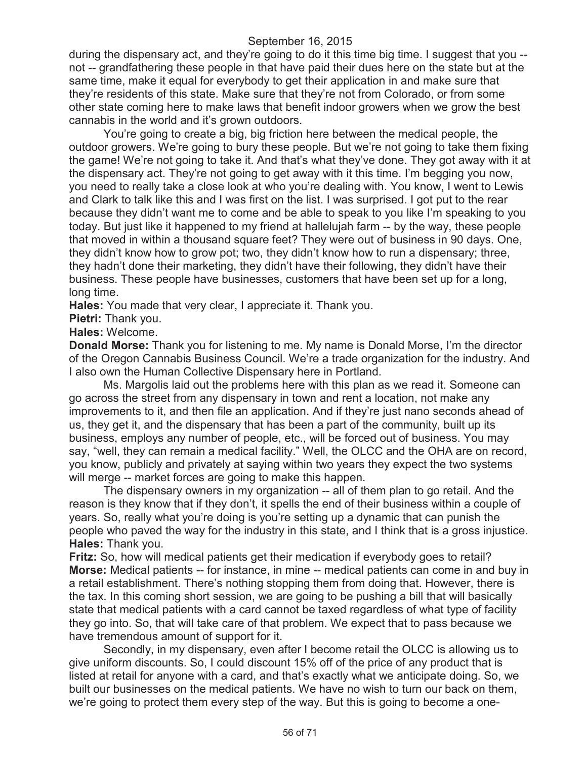during the dispensary act, and they're going to do it this time big time. I suggest that you - not -- grandfathering these people in that have paid their dues here on the state but at the same time, make it equal for everybody to get their application in and make sure that they're residents of this state. Make sure that they're not from Colorado, or from some other state coming here to make laws that benefit indoor growers when we grow the best cannabis in the world and it's grown outdoors.

You're going to create a big, big friction here between the medical people, the outdoor growers. We're going to bury these people. But we're not going to take them fixing the game! We're not going to take it. And that's what they've done. They got away with it at the dispensary act. They're not going to get away with it this time. I'm begging you now, you need to really take a close look at who you're dealing with. You know, I went to Lewis and Clark to talk like this and I was first on the list. I was surprised. I got put to the rear because they didn't want me to come and be able to speak to you like I'm speaking to you today. But just like it happened to my friend at hallelujah farm -- by the way, these people that moved in within a thousand square feet? They were out of business in 90 days. One, they didn't know how to grow pot; two, they didn't know how to run a dispensary; three, they hadn't done their marketing, they didn't have their following, they didn't have their business. These people have businesses, customers that have been set up for a long, long time.

**Hales:** You made that very clear, I appreciate it. Thank you.

**Pietri:** Thank you.

### **Hales:** Welcome.

**Donald Morse:** Thank you for listening to me. My name is Donald Morse, I'm the director of the Oregon Cannabis Business Council. We're a trade organization for the industry. And I also own the Human Collective Dispensary here in Portland.

Ms. Margolis laid out the problems here with this plan as we read it. Someone can go across the street from any dispensary in town and rent a location, not make any improvements to it, and then file an application. And if they're just nano seconds ahead of us, they get it, and the dispensary that has been a part of the community, built up its business, employs any number of people, etc., will be forced out of business. You may say, "well, they can remain a medical facility." Well, the OLCC and the OHA are on record, you know, publicly and privately at saying within two years they expect the two systems will merge -- market forces are going to make this happen.

The dispensary owners in my organization -- all of them plan to go retail. And the reason is they know that if they don't, it spells the end of their business within a couple of years. So, really what you're doing is you're setting up a dynamic that can punish the people who paved the way for the industry in this state, and I think that is a gross injustice. **Hales:** Thank you.

**Fritz:** So, how will medical patients get their medication if everybody goes to retail? **Morse:** Medical patients -- for instance, in mine -- medical patients can come in and buy in a retail establishment. There's nothing stopping them from doing that. However, there is the tax. In this coming short session, we are going to be pushing a bill that will basically state that medical patients with a card cannot be taxed regardless of what type of facility they go into. So, that will take care of that problem. We expect that to pass because we have tremendous amount of support for it.

Secondly, in my dispensary, even after I become retail the OLCC is allowing us to give uniform discounts. So, I could discount 15% off of the price of any product that is listed at retail for anyone with a card, and that's exactly what we anticipate doing. So, we built our businesses on the medical patients. We have no wish to turn our back on them, we're going to protect them every step of the way. But this is going to become a one-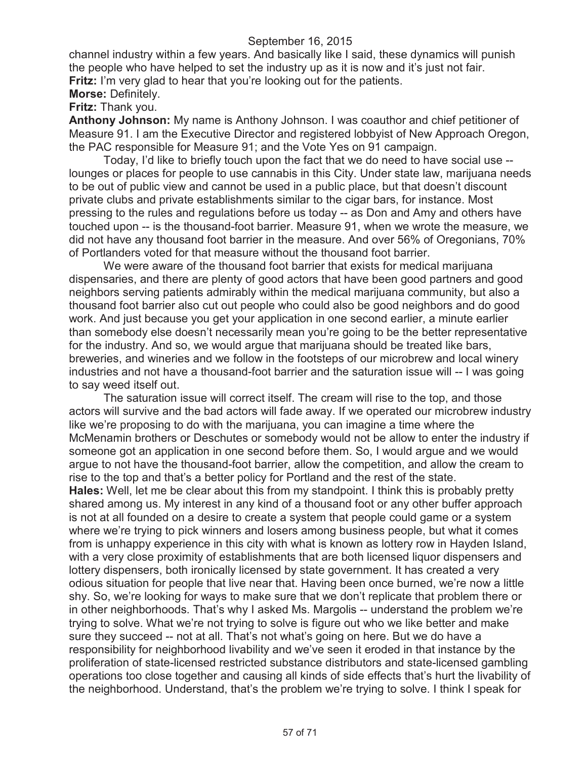channel industry within a few years. And basically like I said, these dynamics will punish the people who have helped to set the industry up as it is now and it's just not fair. **Fritz:** I'm very glad to hear that you're looking out for the patients. **Morse:** Definitely.

**Fritz:** Thank you.

**Anthony Johnson:** My name is Anthony Johnson. I was coauthor and chief petitioner of Measure 91. I am the Executive Director and registered lobbyist of New Approach Oregon, the PAC responsible for Measure 91; and the Vote Yes on 91 campaign.

Today, I'd like to briefly touch upon the fact that we do need to have social use - lounges or places for people to use cannabis in this City. Under state law, marijuana needs to be out of public view and cannot be used in a public place, but that doesn't discount private clubs and private establishments similar to the cigar bars, for instance. Most pressing to the rules and regulations before us today -- as Don and Amy and others have touched upon -- is the thousand-foot barrier. Measure 91, when we wrote the measure, we did not have any thousand foot barrier in the measure. And over 56% of Oregonians, 70% of Portlanders voted for that measure without the thousand foot barrier.

We were aware of the thousand foot barrier that exists for medical marijuana dispensaries, and there are plenty of good actors that have been good partners and good neighbors serving patients admirably within the medical marijuana community, but also a thousand foot barrier also cut out people who could also be good neighbors and do good work. And just because you get your application in one second earlier, a minute earlier than somebody else doesn't necessarily mean you're going to be the better representative for the industry. And so, we would argue that marijuana should be treated like bars, breweries, and wineries and we follow in the footsteps of our microbrew and local winery industries and not have a thousand-foot barrier and the saturation issue will -- I was going to say weed itself out.

The saturation issue will correct itself. The cream will rise to the top, and those actors will survive and the bad actors will fade away. If we operated our microbrew industry like we're proposing to do with the marijuana, you can imagine a time where the McMenamin brothers or Deschutes or somebody would not be allow to enter the industry if someone got an application in one second before them. So, I would argue and we would argue to not have the thousand-foot barrier, allow the competition, and allow the cream to rise to the top and that's a better policy for Portland and the rest of the state. **Hales:** Well, let me be clear about this from my standpoint. I think this is probably pretty shared among us. My interest in any kind of a thousand foot or any other buffer approach is not at all founded on a desire to create a system that people could game or a system where we're trying to pick winners and losers among business people, but what it comes from is unhappy experience in this city with what is known as lottery row in Hayden Island, with a very close proximity of establishments that are both licensed liquor dispensers and lottery dispensers, both ironically licensed by state government. It has created a very odious situation for people that live near that. Having been once burned, we're now a little shy. So, we're looking for ways to make sure that we don't replicate that problem there or in other neighborhoods. That's why I asked Ms. Margolis -- understand the problem we're trying to solve. What we're not trying to solve is figure out who we like better and make sure they succeed -- not at all. That's not what's going on here. But we do have a responsibility for neighborhood livability and we've seen it eroded in that instance by the proliferation of state-licensed restricted substance distributors and state-licensed gambling operations too close together and causing all kinds of side effects that's hurt the livability of the neighborhood. Understand, that's the problem we're trying to solve. I think I speak for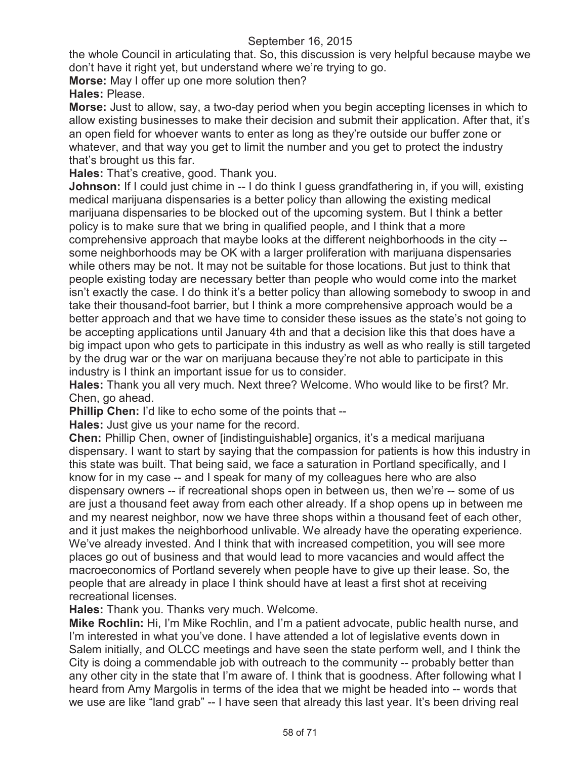the whole Council in articulating that. So, this discussion is very helpful because maybe we don't have it right yet, but understand where we're trying to go.

**Morse:** May I offer up one more solution then?

**Hales:** Please.

**Morse:** Just to allow, say, a two-day period when you begin accepting licenses in which to allow existing businesses to make their decision and submit their application. After that, it's an open field for whoever wants to enter as long as they're outside our buffer zone or whatever, and that way you get to limit the number and you get to protect the industry that's brought us this far.

**Hales:** That's creative, good. Thank you.

**Johnson:** If I could just chime in -- I do think I guess grandfathering in, if you will, existing medical marijuana dispensaries is a better policy than allowing the existing medical marijuana dispensaries to be blocked out of the upcoming system. But I think a better policy is to make sure that we bring in qualified people, and I think that a more comprehensive approach that maybe looks at the different neighborhoods in the city - some neighborhoods may be OK with a larger proliferation with marijuana dispensaries while others may be not. It may not be suitable for those locations. But just to think that people existing today are necessary better than people who would come into the market isn't exactly the case. I do think it's a better policy than allowing somebody to swoop in and take their thousand-foot barrier, but I think a more comprehensive approach would be a better approach and that we have time to consider these issues as the state's not going to be accepting applications until January 4th and that a decision like this that does have a big impact upon who gets to participate in this industry as well as who really is still targeted by the drug war or the war on marijuana because they're not able to participate in this industry is I think an important issue for us to consider.

**Hales:** Thank you all very much. Next three? Welcome. Who would like to be first? Mr. Chen, go ahead.

**Phillip Chen:** I'd like to echo some of the points that --

**Hales:** Just give us your name for the record.

**Chen:** Phillip Chen, owner of [indistinguishable] organics, it's a medical marijuana dispensary. I want to start by saying that the compassion for patients is how this industry in this state was built. That being said, we face a saturation in Portland specifically, and I know for in my case -- and I speak for many of my colleagues here who are also dispensary owners -- if recreational shops open in between us, then we're -- some of us are just a thousand feet away from each other already. If a shop opens up in between me and my nearest neighbor, now we have three shops within a thousand feet of each other, and it just makes the neighborhood unlivable. We already have the operating experience. We've already invested. And I think that with increased competition, you will see more places go out of business and that would lead to more vacancies and would affect the macroeconomics of Portland severely when people have to give up their lease. So, the people that are already in place I think should have at least a first shot at receiving recreational licenses.

**Hales:** Thank you. Thanks very much. Welcome.

**Mike Rochlin:** Hi, I'm Mike Rochlin, and I'm a patient advocate, public health nurse, and I'm interested in what you've done. I have attended a lot of legislative events down in Salem initially, and OLCC meetings and have seen the state perform well, and I think the City is doing a commendable job with outreach to the community -- probably better than any other city in the state that I'm aware of. I think that is goodness. After following what I heard from Amy Margolis in terms of the idea that we might be headed into -- words that we use are like "land grab" -- I have seen that already this last year. It's been driving real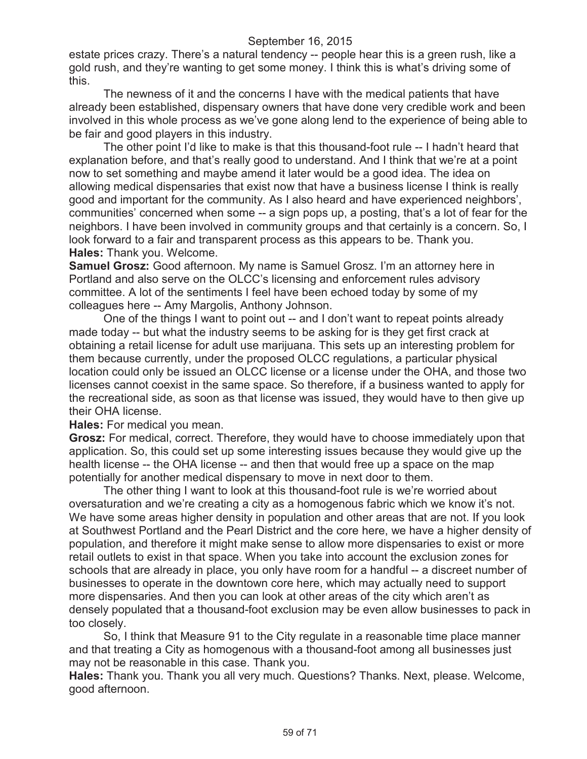estate prices crazy. There's a natural tendency -- people hear this is a green rush, like a gold rush, and they're wanting to get some money. I think this is what's driving some of this.

The newness of it and the concerns I have with the medical patients that have already been established, dispensary owners that have done very credible work and been involved in this whole process as we've gone along lend to the experience of being able to be fair and good players in this industry.

The other point I'd like to make is that this thousand-foot rule -- I hadn't heard that explanation before, and that's really good to understand. And I think that we're at a point now to set something and maybe amend it later would be a good idea. The idea on allowing medical dispensaries that exist now that have a business license I think is really good and important for the community. As I also heard and have experienced neighbors', communities' concerned when some -- a sign pops up, a posting, that's a lot of fear for the neighbors. I have been involved in community groups and that certainly is a concern. So, I look forward to a fair and transparent process as this appears to be. Thank you. **Hales:** Thank you. Welcome.

**Samuel Grosz:** Good afternoon. My name is Samuel Grosz. I'm an attorney here in Portland and also serve on the OLCC's licensing and enforcement rules advisory committee. A lot of the sentiments I feel have been echoed today by some of my colleagues here -- Amy Margolis, Anthony Johnson.

One of the things I want to point out -- and I don't want to repeat points already made today -- but what the industry seems to be asking for is they get first crack at obtaining a retail license for adult use marijuana. This sets up an interesting problem for them because currently, under the proposed OLCC regulations, a particular physical location could only be issued an OLCC license or a license under the OHA, and those two licenses cannot coexist in the same space. So therefore, if a business wanted to apply for the recreational side, as soon as that license was issued, they would have to then give up their OHA license.

**Hales:** For medical you mean.

**Grosz:** For medical, correct. Therefore, they would have to choose immediately upon that application. So, this could set up some interesting issues because they would give up the health license -- the OHA license -- and then that would free up a space on the map potentially for another medical dispensary to move in next door to them.

The other thing I want to look at this thousand-foot rule is we're worried about oversaturation and we're creating a city as a homogenous fabric which we know it's not. We have some areas higher density in population and other areas that are not. If you look at Southwest Portland and the Pearl District and the core here, we have a higher density of population, and therefore it might make sense to allow more dispensaries to exist or more retail outlets to exist in that space. When you take into account the exclusion zones for schools that are already in place, you only have room for a handful -- a discreet number of businesses to operate in the downtown core here, which may actually need to support more dispensaries. And then you can look at other areas of the city which aren't as densely populated that a thousand-foot exclusion may be even allow businesses to pack in too closely.

So, I think that Measure 91 to the City regulate in a reasonable time place manner and that treating a City as homogenous with a thousand-foot among all businesses just may not be reasonable in this case. Thank you.

**Hales:** Thank you. Thank you all very much. Questions? Thanks. Next, please. Welcome, good afternoon.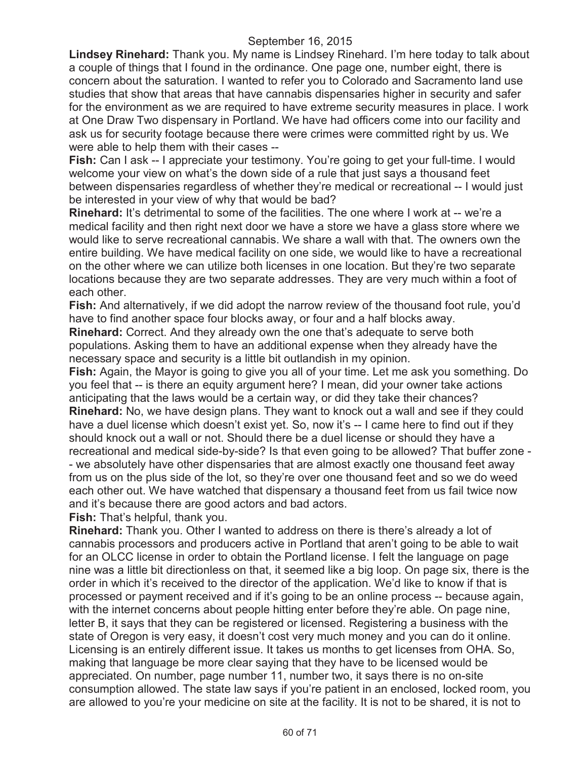**Lindsey Rinehard:** Thank you. My name is Lindsey Rinehard. I'm here today to talk about a couple of things that I found in the ordinance. One page one, number eight, there is concern about the saturation. I wanted to refer you to Colorado and Sacramento land use studies that show that areas that have cannabis dispensaries higher in security and safer for the environment as we are required to have extreme security measures in place. I work at One Draw Two dispensary in Portland. We have had officers come into our facility and ask us for security footage because there were crimes were committed right by us. We were able to help them with their cases --

**Fish:** Can I ask -- I appreciate your testimony. You're going to get your full-time. I would welcome your view on what's the down side of a rule that just says a thousand feet between dispensaries regardless of whether they're medical or recreational -- I would just be interested in your view of why that would be bad?

**Rinehard:** It's detrimental to some of the facilities. The one where I work at -- we're a medical facility and then right next door we have a store we have a glass store where we would like to serve recreational cannabis. We share a wall with that. The owners own the entire building. We have medical facility on one side, we would like to have a recreational on the other where we can utilize both licenses in one location. But they're two separate locations because they are two separate addresses. They are very much within a foot of each other.

**Fish:** And alternatively, if we did adopt the narrow review of the thousand foot rule, you'd have to find another space four blocks away, or four and a half blocks away.

**Rinehard:** Correct. And they already own the one that's adequate to serve both populations. Asking them to have an additional expense when they already have the necessary space and security is a little bit outlandish in my opinion.

**Fish:** Again, the Mayor is going to give you all of your time. Let me ask you something. Do you feel that -- is there an equity argument here? I mean, did your owner take actions anticipating that the laws would be a certain way, or did they take their chances? **Rinehard:** No, we have design plans. They want to knock out a wall and see if they could have a duel license which doesn't exist yet. So, now it's -- I came here to find out if they should knock out a wall or not. Should there be a duel license or should they have a recreational and medical side-by-side? Is that even going to be allowed? That buffer zone - - we absolutely have other dispensaries that are almost exactly one thousand feet away from us on the plus side of the lot, so they're over one thousand feet and so we do weed each other out. We have watched that dispensary a thousand feet from us fail twice now and it's because there are good actors and bad actors.

**Fish:** That's helpful, thank you.

**Rinehard:** Thank you. Other I wanted to address on there is there's already a lot of cannabis processors and producers active in Portland that aren't going to be able to wait for an OLCC license in order to obtain the Portland license. I felt the language on page nine was a little bit directionless on that, it seemed like a big loop. On page six, there is the order in which it's received to the director of the application. We'd like to know if that is processed or payment received and if it's going to be an online process -- because again, with the internet concerns about people hitting enter before they're able. On page nine, letter B, it says that they can be registered or licensed. Registering a business with the state of Oregon is very easy, it doesn't cost very much money and you can do it online. Licensing is an entirely different issue. It takes us months to get licenses from OHA. So, making that language be more clear saying that they have to be licensed would be appreciated. On number, page number 11, number two, it says there is no on-site consumption allowed. The state law says if you're patient in an enclosed, locked room, you are allowed to you're your medicine on site at the facility. It is not to be shared, it is not to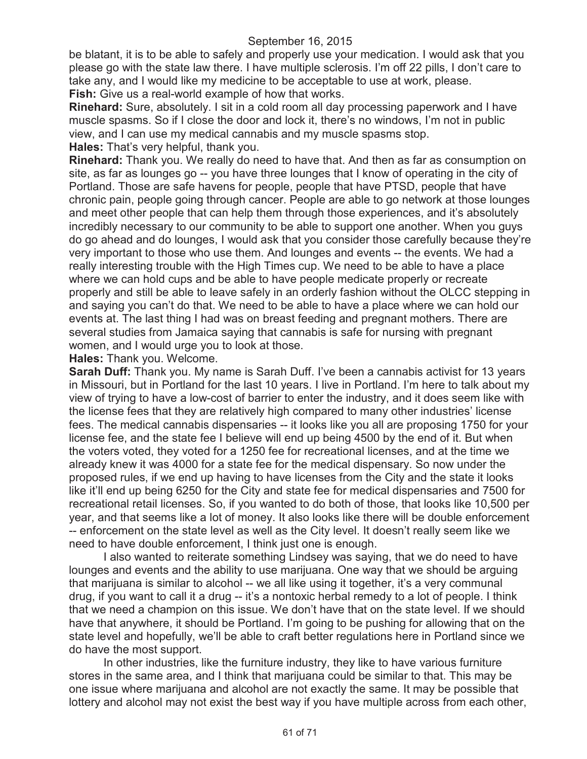be blatant, it is to be able to safely and properly use your medication. I would ask that you please go with the state law there. I have multiple sclerosis. I'm off 22 pills, I don't care to take any, and I would like my medicine to be acceptable to use at work, please. Fish: Give us a real-world example of how that works.

**Rinehard:** Sure, absolutely. I sit in a cold room all day processing paperwork and I have muscle spasms. So if I close the door and lock it, there's no windows, I'm not in public view, and I can use my medical cannabis and my muscle spasms stop. **Hales:** That's very helpful, thank you.

**Rinehard:** Thank you. We really do need to have that. And then as far as consumption on site, as far as lounges go -- you have three lounges that I know of operating in the city of Portland. Those are safe havens for people, people that have PTSD, people that have chronic pain, people going through cancer. People are able to go network at those lounges and meet other people that can help them through those experiences, and it's absolutely incredibly necessary to our community to be able to support one another. When you guys do go ahead and do lounges, I would ask that you consider those carefully because they're very important to those who use them. And lounges and events -- the events. We had a really interesting trouble with the High Times cup. We need to be able to have a place where we can hold cups and be able to have people medicate properly or recreate properly and still be able to leave safely in an orderly fashion without the OLCC stepping in and saying you can't do that. We need to be able to have a place where we can hold our events at. The last thing I had was on breast feeding and pregnant mothers. There are several studies from Jamaica saying that cannabis is safe for nursing with pregnant women, and I would urge you to look at those.

**Hales:** Thank you. Welcome.

**Sarah Duff:** Thank you. My name is Sarah Duff. I've been a cannabis activist for 13 years in Missouri, but in Portland for the last 10 years. I live in Portland. I'm here to talk about my view of trying to have a low-cost of barrier to enter the industry, and it does seem like with the license fees that they are relatively high compared to many other industries' license fees. The medical cannabis dispensaries -- it looks like you all are proposing 1750 for your license fee, and the state fee I believe will end up being 4500 by the end of it. But when the voters voted, they voted for a 1250 fee for recreational licenses, and at the time we already knew it was 4000 for a state fee for the medical dispensary. So now under the proposed rules, if we end up having to have licenses from the City and the state it looks like it'll end up being 6250 for the City and state fee for medical dispensaries and 7500 for recreational retail licenses. So, if you wanted to do both of those, that looks like 10,500 per year, and that seems like a lot of money. It also looks like there will be double enforcement -- enforcement on the state level as well as the City level. It doesn't really seem like we need to have double enforcement, I think just one is enough.

I also wanted to reiterate something Lindsey was saying, that we do need to have lounges and events and the ability to use marijuana. One way that we should be arguing that marijuana is similar to alcohol -- we all like using it together, it's a very communal drug, if you want to call it a drug -- it's a nontoxic herbal remedy to a lot of people. I think that we need a champion on this issue. We don't have that on the state level. If we should have that anywhere, it should be Portland. I'm going to be pushing for allowing that on the state level and hopefully, we'll be able to craft better regulations here in Portland since we do have the most support.

In other industries, like the furniture industry, they like to have various furniture stores in the same area, and I think that marijuana could be similar to that. This may be one issue where marijuana and alcohol are not exactly the same. It may be possible that lottery and alcohol may not exist the best way if you have multiple across from each other,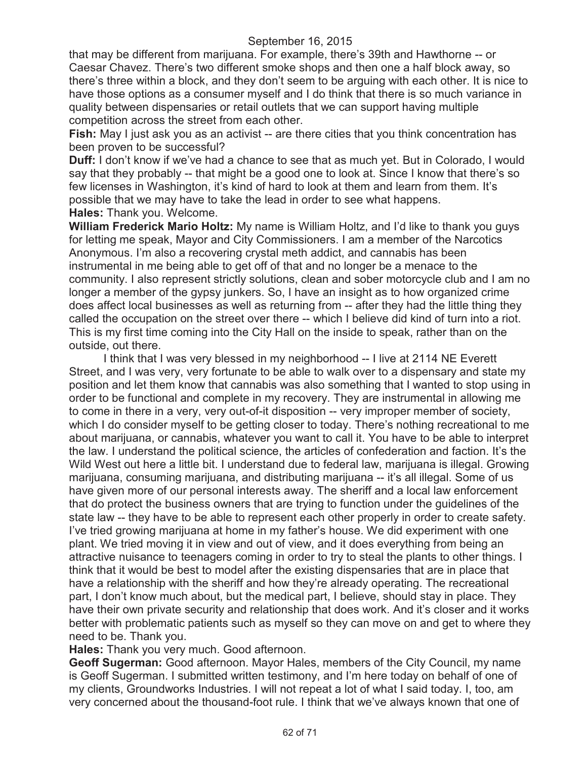that may be different from marijuana. For example, there's 39th and Hawthorne -- or Caesar Chavez. There's two different smoke shops and then one a half block away, so there's three within a block, and they don't seem to be arguing with each other. It is nice to have those options as a consumer myself and I do think that there is so much variance in quality between dispensaries or retail outlets that we can support having multiple competition across the street from each other.

**Fish:** May I just ask you as an activist -- are there cities that you think concentration has been proven to be successful?

**Duff:** I don't know if we've had a chance to see that as much yet. But in Colorado, I would say that they probably -- that might be a good one to look at. Since I know that there's so few licenses in Washington, it's kind of hard to look at them and learn from them. It's possible that we may have to take the lead in order to see what happens. **Hales:** Thank you. Welcome.

**William Frederick Mario Holtz:** My name is William Holtz, and I'd like to thank you guys for letting me speak, Mayor and City Commissioners. I am a member of the Narcotics Anonymous. I'm also a recovering crystal meth addict, and cannabis has been instrumental in me being able to get off of that and no longer be a menace to the community. I also represent strictly solutions, clean and sober motorcycle club and I am no longer a member of the gypsy junkers. So, I have an insight as to how organized crime does affect local businesses as well as returning from -- after they had the little thing they called the occupation on the street over there -- which I believe did kind of turn into a riot. This is my first time coming into the City Hall on the inside to speak, rather than on the outside, out there.

I think that I was very blessed in my neighborhood -- I live at 2114 NE Everett Street, and I was very, very fortunate to be able to walk over to a dispensary and state my position and let them know that cannabis was also something that I wanted to stop using in order to be functional and complete in my recovery. They are instrumental in allowing me to come in there in a very, very out-of-it disposition -- very improper member of society, which I do consider myself to be getting closer to today. There's nothing recreational to me about marijuana, or cannabis, whatever you want to call it. You have to be able to interpret the law. I understand the political science, the articles of confederation and faction. It's the Wild West out here a little bit. I understand due to federal law, marijuana is illegal. Growing marijuana, consuming marijuana, and distributing marijuana -- it's all illegal. Some of us have given more of our personal interests away. The sheriff and a local law enforcement that do protect the business owners that are trying to function under the guidelines of the state law -- they have to be able to represent each other properly in order to create safety. I've tried growing marijuana at home in my father's house. We did experiment with one plant. We tried moving it in view and out of view, and it does everything from being an attractive nuisance to teenagers coming in order to try to steal the plants to other things. I think that it would be best to model after the existing dispensaries that are in place that have a relationship with the sheriff and how they're already operating. The recreational part, I don't know much about, but the medical part, I believe, should stay in place. They have their own private security and relationship that does work. And it's closer and it works better with problematic patients such as myself so they can move on and get to where they need to be. Thank you.

**Hales:** Thank you very much. Good afternoon.

**Geoff Sugerman:** Good afternoon. Mayor Hales, members of the City Council, my name is Geoff Sugerman. I submitted written testimony, and I'm here today on behalf of one of my clients, Groundworks Industries. I will not repeat a lot of what I said today. I, too, am very concerned about the thousand-foot rule. I think that we've always known that one of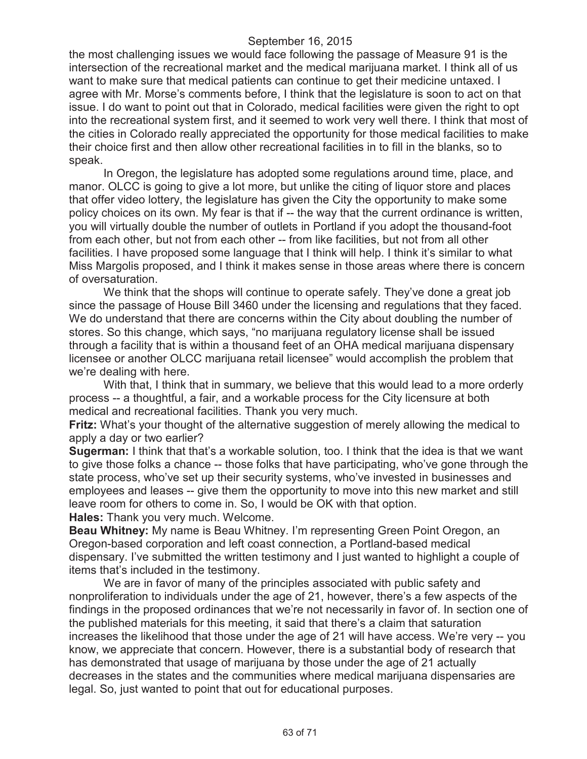the most challenging issues we would face following the passage of Measure 91 is the intersection of the recreational market and the medical marijuana market. I think all of us want to make sure that medical patients can continue to get their medicine untaxed. I agree with Mr. Morse's comments before, I think that the legislature is soon to act on that issue. I do want to point out that in Colorado, medical facilities were given the right to opt into the recreational system first, and it seemed to work very well there. I think that most of the cities in Colorado really appreciated the opportunity for those medical facilities to make their choice first and then allow other recreational facilities in to fill in the blanks, so to speak.

In Oregon, the legislature has adopted some regulations around time, place, and manor. OLCC is going to give a lot more, but unlike the citing of liquor store and places that offer video lottery, the legislature has given the City the opportunity to make some policy choices on its own. My fear is that if -- the way that the current ordinance is written, you will virtually double the number of outlets in Portland if you adopt the thousand-foot from each other, but not from each other -- from like facilities, but not from all other facilities. I have proposed some language that I think will help. I think it's similar to what Miss Margolis proposed, and I think it makes sense in those areas where there is concern of oversaturation.

We think that the shops will continue to operate safely. They've done a great job since the passage of House Bill 3460 under the licensing and regulations that they faced. We do understand that there are concerns within the City about doubling the number of stores. So this change, which says, "no marijuana regulatory license shall be issued through a facility that is within a thousand feet of an OHA medical marijuana dispensary licensee or another OLCC marijuana retail licensee" would accomplish the problem that we're dealing with here.

With that, I think that in summary, we believe that this would lead to a more orderly process -- a thoughtful, a fair, and a workable process for the City licensure at both medical and recreational facilities. Thank you very much.

**Fritz:** What's your thought of the alternative suggestion of merely allowing the medical to apply a day or two earlier?

**Sugerman:** I think that that's a workable solution, too. I think that the idea is that we want to give those folks a chance -- those folks that have participating, who've gone through the state process, who've set up their security systems, who've invested in businesses and employees and leases -- give them the opportunity to move into this new market and still leave room for others to come in. So, I would be OK with that option. **Hales:** Thank you very much. Welcome.

**Beau Whitney:** My name is Beau Whitney. I'm representing Green Point Oregon, an Oregon-based corporation and left coast connection, a Portland-based medical dispensary. I've submitted the written testimony and I just wanted to highlight a couple of items that's included in the testimony.

We are in favor of many of the principles associated with public safety and nonproliferation to individuals under the age of 21, however, there's a few aspects of the findings in the proposed ordinances that we're not necessarily in favor of. In section one of the published materials for this meeting, it said that there's a claim that saturation increases the likelihood that those under the age of 21 will have access. We're very -- you know, we appreciate that concern. However, there is a substantial body of research that has demonstrated that usage of marijuana by those under the age of 21 actually decreases in the states and the communities where medical marijuana dispensaries are legal. So, just wanted to point that out for educational purposes.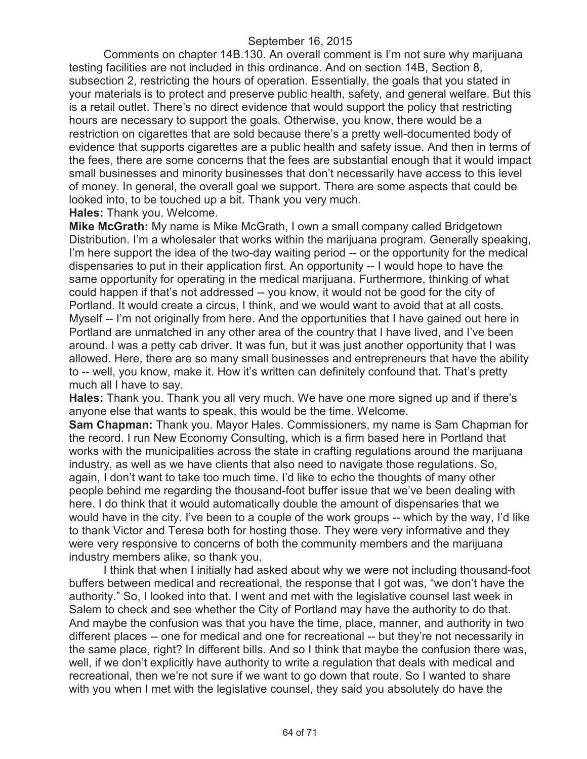Comments on chapter 14B.130. An overall comment is I'm not sure why marijuana testing facilities are not included in this ordinance. And on section 14B, Section 8, subsection 2, restricting the hours of operation. Essentially, the goals that you stated in your materials is to protect and preserve public health, safety, and general welfare. But this is a retail outlet. There's no direct evidence that would support the policy that restricting hours are necessary to support the goals. Otherwise, you know, there would be a restriction on cigarettes that are sold because there's a pretty well-documented body of evidence that supports cigarettes are a public health and safety issue. And then in terms of the fees, there are some concerns that the fees are substantial enough that it would impact small businesses and minority businesses that don't necessarily have access to this level of money. In general, the overall goal we support. There are some aspects that could be looked into, to be touched up a bit. Thank you very much.

**Hales:** Thank you. Welcome.

**Mike McGrath:** My name is Mike McGrath, I own a small company called Bridgetown Distribution. I'm a wholesaler that works within the marijuana program. Generally speaking, I'm here support the idea of the two-day waiting period -- or the opportunity for the medical dispensaries to put in their application first. An opportunity -- I would hope to have the same opportunity for operating in the medical marijuana. Furthermore, thinking of what could happen if that's not addressed -- you know, it would not be good for the city of Portland. It would create a circus, I think, and we would want to avoid that at all costs. Myself -- I'm not originally from here. And the opportunities that I have gained out here in Portland are unmatched in any other area of the country that I have lived, and I've been around. I was a petty cab driver. It was fun, but it was just another opportunity that I was allowed. Here, there are so many small businesses and entrepreneurs that have the ability to -- well, you know, make it. How it's written can definitely confound that. That's pretty much all I have to say.

**Hales:** Thank you. Thank you all very much. We have one more signed up and if there's anyone else that wants to speak, this would be the time. Welcome.

**Sam Chapman:** Thank you. Mayor Hales. Commissioners, my name is Sam Chapman for the record. I run New Economy Consulting, which is a firm based here in Portland that works with the municipalities across the state in crafting regulations around the marijuana industry, as well as we have clients that also need to navigate those regulations. So, again, I don't want to take too much time. I'd like to echo the thoughts of many other people behind me regarding the thousand-foot buffer issue that we've been dealing with here. I do think that it would automatically double the amount of dispensaries that we would have in the city. I've been to a couple of the work groups -- which by the way, I'd like to thank Victor and Teresa both for hosting those. They were very informative and they were very responsive to concerns of both the community members and the marijuana industry members alike, so thank you.

I think that when I initially had asked about why we were not including thousand-foot buffers between medical and recreational, the response that I got was, "we don't have the authority." So, I looked into that. I went and met with the legislative counsel last week in Salem to check and see whether the City of Portland may have the authority to do that. And maybe the confusion was that you have the time, place, manner, and authority in two different places -- one for medical and one for recreational -- but they're not necessarily in the same place, right? In different bills. And so I think that maybe the confusion there was, well, if we don't explicitly have authority to write a regulation that deals with medical and recreational, then we're not sure if we want to go down that route. So I wanted to share with you when I met with the legislative counsel, they said you absolutely do have the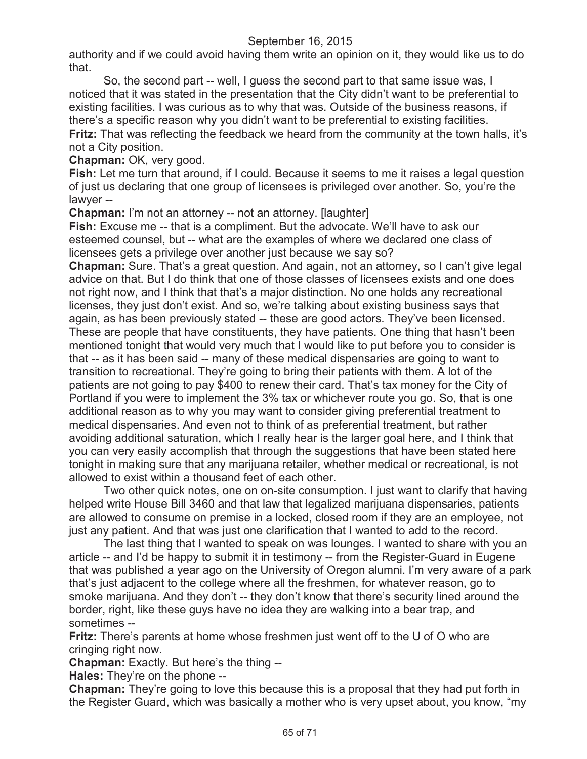authority and if we could avoid having them write an opinion on it, they would like us to do that.

So, the second part -- well, I guess the second part to that same issue was, I noticed that it was stated in the presentation that the City didn't want to be preferential to existing facilities. I was curious as to why that was. Outside of the business reasons, if there's a specific reason why you didn't want to be preferential to existing facilities. **Fritz:** That was reflecting the feedback we heard from the community at the town halls, it's not a City position.

**Chapman:** OK, very good.

**Fish:** Let me turn that around, if I could. Because it seems to me it raises a legal question of just us declaring that one group of licensees is privileged over another. So, you're the lawyer --

**Chapman:** I'm not an attorney -- not an attorney. [laughter]

**Fish:** Excuse me -- that is a compliment. But the advocate. We'll have to ask our esteemed counsel, but -- what are the examples of where we declared one class of licensees gets a privilege over another just because we say so?

**Chapman:** Sure. That's a great question. And again, not an attorney, so I can't give legal advice on that. But I do think that one of those classes of licensees exists and one does not right now, and I think that that's a major distinction. No one holds any recreational licenses, they just don't exist. And so, we're talking about existing business says that again, as has been previously stated -- these are good actors. They've been licensed. These are people that have constituents, they have patients. One thing that hasn't been mentioned tonight that would very much that I would like to put before you to consider is that -- as it has been said -- many of these medical dispensaries are going to want to transition to recreational. They're going to bring their patients with them. A lot of the patients are not going to pay \$400 to renew their card. That's tax money for the City of Portland if you were to implement the 3% tax or whichever route you go. So, that is one additional reason as to why you may want to consider giving preferential treatment to medical dispensaries. And even not to think of as preferential treatment, but rather avoiding additional saturation, which I really hear is the larger goal here, and I think that you can very easily accomplish that through the suggestions that have been stated here tonight in making sure that any marijuana retailer, whether medical or recreational, is not allowed to exist within a thousand feet of each other.

Two other quick notes, one on on-site consumption. I just want to clarify that having helped write House Bill 3460 and that law that legalized marijuana dispensaries, patients are allowed to consume on premise in a locked, closed room if they are an employee, not just any patient. And that was just one clarification that I wanted to add to the record.

The last thing that I wanted to speak on was lounges. I wanted to share with you an article -- and I'd be happy to submit it in testimony -- from the Register-Guard in Eugene that was published a year ago on the University of Oregon alumni. I'm very aware of a park that's just adjacent to the college where all the freshmen, for whatever reason, go to smoke marijuana. And they don't -- they don't know that there's security lined around the border, right, like these guys have no idea they are walking into a bear trap, and sometimes --

**Fritz:** There's parents at home whose freshmen just went off to the U of O who are cringing right now.

**Chapman:** Exactly. But here's the thing --

**Hales:** They're on the phone --

**Chapman:** They're going to love this because this is a proposal that they had put forth in the Register Guard, which was basically a mother who is very upset about, you know, "my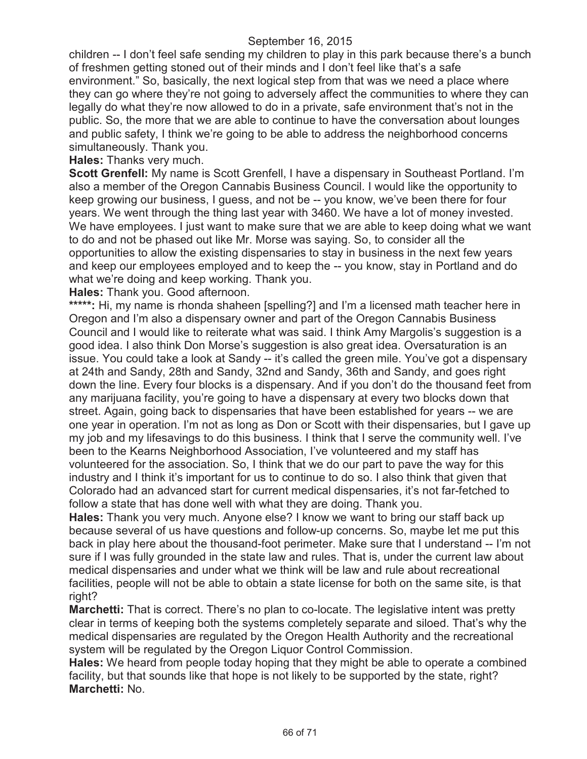children -- I don't feel safe sending my children to play in this park because there's a bunch of freshmen getting stoned out of their minds and I don't feel like that's a safe environment." So, basically, the next logical step from that was we need a place where they can go where they're not going to adversely affect the communities to where they can legally do what they're now allowed to do in a private, safe environment that's not in the public. So, the more that we are able to continue to have the conversation about lounges and public safety, I think we're going to be able to address the neighborhood concerns simultaneously. Thank you.

**Hales:** Thanks very much.

**Scott Grenfell:** My name is Scott Grenfell, I have a dispensary in Southeast Portland. I'm also a member of the Oregon Cannabis Business Council. I would like the opportunity to keep growing our business, I guess, and not be -- you know, we've been there for four years. We went through the thing last year with 3460. We have a lot of money invested. We have employees. I just want to make sure that we are able to keep doing what we want to do and not be phased out like Mr. Morse was saying. So, to consider all the opportunities to allow the existing dispensaries to stay in business in the next few years and keep our employees employed and to keep the -- you know, stay in Portland and do what we're doing and keep working. Thank you.

**Hales:** Thank you. Good afternoon.

**\*\*\*\*\*:** Hi, my name is rhonda shaheen [spelling?] and I'm a licensed math teacher here in Oregon and I'm also a dispensary owner and part of the Oregon Cannabis Business Council and I would like to reiterate what was said. I think Amy Margolis's suggestion is a good idea. I also think Don Morse's suggestion is also great idea. Oversaturation is an issue. You could take a look at Sandy -- it's called the green mile. You've got a dispensary at 24th and Sandy, 28th and Sandy, 32nd and Sandy, 36th and Sandy, and goes right down the line. Every four blocks is a dispensary. And if you don't do the thousand feet from any marijuana facility, you're going to have a dispensary at every two blocks down that street. Again, going back to dispensaries that have been established for years -- we are one year in operation. I'm not as long as Don or Scott with their dispensaries, but I gave up my job and my lifesavings to do this business. I think that I serve the community well. I've been to the Kearns Neighborhood Association, I've volunteered and my staff has volunteered for the association. So, I think that we do our part to pave the way for this industry and I think it's important for us to continue to do so. I also think that given that Colorado had an advanced start for current medical dispensaries, it's not far-fetched to follow a state that has done well with what they are doing. Thank you.

**Hales:** Thank you very much. Anyone else? I know we want to bring our staff back up because several of us have questions and follow-up concerns. So, maybe let me put this back in play here about the thousand-foot perimeter. Make sure that I understand -- I'm not sure if I was fully grounded in the state law and rules. That is, under the current law about medical dispensaries and under what we think will be law and rule about recreational facilities, people will not be able to obtain a state license for both on the same site, is that right?

**Marchetti:** That is correct. There's no plan to co-locate. The legislative intent was pretty clear in terms of keeping both the systems completely separate and siloed. That's why the medical dispensaries are regulated by the Oregon Health Authority and the recreational system will be regulated by the Oregon Liquor Control Commission.

**Hales:** We heard from people today hoping that they might be able to operate a combined facility, but that sounds like that hope is not likely to be supported by the state, right? **Marchetti:** No.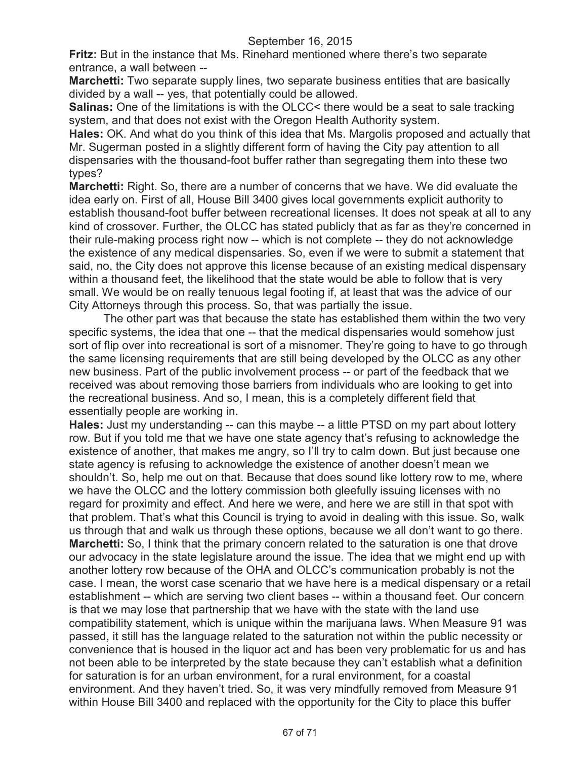**Fritz:** But in the instance that Ms. Rinehard mentioned where there's two separate entrance, a wall between --

**Marchetti:** Two separate supply lines, two separate business entities that are basically divided by a wall -- yes, that potentially could be allowed.

**Salinas:** One of the limitations is with the OLCC< there would be a seat to sale tracking system, and that does not exist with the Oregon Health Authority system.

**Hales:** OK. And what do you think of this idea that Ms. Margolis proposed and actually that Mr. Sugerman posted in a slightly different form of having the City pay attention to all dispensaries with the thousand-foot buffer rather than segregating them into these two types?

**Marchetti:** Right. So, there are a number of concerns that we have. We did evaluate the idea early on. First of all, House Bill 3400 gives local governments explicit authority to establish thousand-foot buffer between recreational licenses. It does not speak at all to any kind of crossover. Further, the OLCC has stated publicly that as far as they're concerned in their rule-making process right now -- which is not complete -- they do not acknowledge the existence of any medical dispensaries. So, even if we were to submit a statement that said, no, the City does not approve this license because of an existing medical dispensary within a thousand feet, the likelihood that the state would be able to follow that is very small. We would be on really tenuous legal footing if, at least that was the advice of our City Attorneys through this process. So, that was partially the issue.

The other part was that because the state has established them within the two very specific systems, the idea that one -- that the medical dispensaries would somehow just sort of flip over into recreational is sort of a misnomer. They're going to have to go through the same licensing requirements that are still being developed by the OLCC as any other new business. Part of the public involvement process -- or part of the feedback that we received was about removing those barriers from individuals who are looking to get into the recreational business. And so, I mean, this is a completely different field that essentially people are working in.

**Hales:** Just my understanding -- can this maybe -- a little PTSD on my part about lottery row. But if you told me that we have one state agency that's refusing to acknowledge the existence of another, that makes me angry, so I'll try to calm down. But just because one state agency is refusing to acknowledge the existence of another doesn't mean we shouldn't. So, help me out on that. Because that does sound like lottery row to me, where we have the OLCC and the lottery commission both gleefully issuing licenses with no regard for proximity and effect. And here we were, and here we are still in that spot with that problem. That's what this Council is trying to avoid in dealing with this issue. So, walk us through that and walk us through these options, because we all don't want to go there. **Marchetti:** So, I think that the primary concern related to the saturation is one that drove our advocacy in the state legislature around the issue. The idea that we might end up with another lottery row because of the OHA and OLCC's communication probably is not the case. I mean, the worst case scenario that we have here is a medical dispensary or a retail establishment -- which are serving two client bases -- within a thousand feet. Our concern is that we may lose that partnership that we have with the state with the land use compatibility statement, which is unique within the marijuana laws. When Measure 91 was passed, it still has the language related to the saturation not within the public necessity or convenience that is housed in the liquor act and has been very problematic for us and has not been able to be interpreted by the state because they can't establish what a definition for saturation is for an urban environment, for a rural environment, for a coastal environment. And they haven't tried. So, it was very mindfully removed from Measure 91 within House Bill 3400 and replaced with the opportunity for the City to place this buffer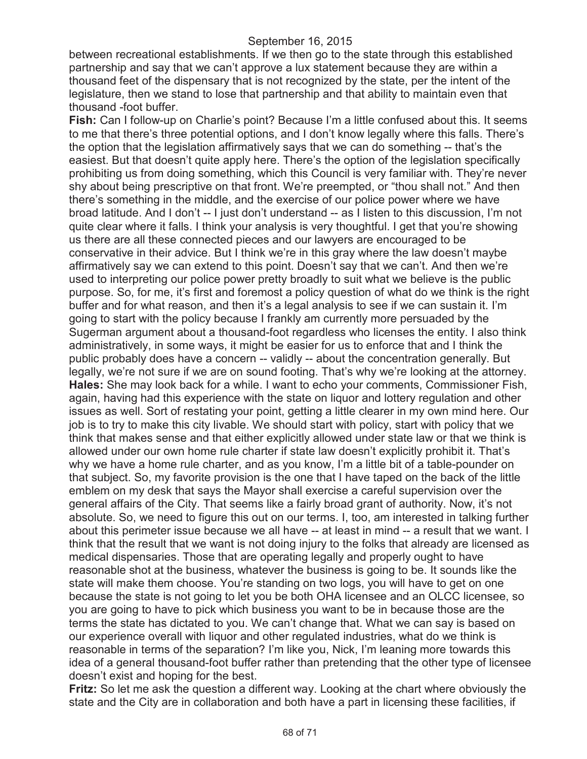between recreational establishments. If we then go to the state through this established partnership and say that we can't approve a lux statement because they are within a thousand feet of the dispensary that is not recognized by the state, per the intent of the legislature, then we stand to lose that partnership and that ability to maintain even that thousand -foot buffer.

**Fish:** Can I follow-up on Charlie's point? Because I'm a little confused about this. It seems to me that there's three potential options, and I don't know legally where this falls. There's the option that the legislation affirmatively says that we can do something -- that's the easiest. But that doesn't quite apply here. There's the option of the legislation specifically prohibiting us from doing something, which this Council is very familiar with. They're never shy about being prescriptive on that front. We're preempted, or "thou shall not." And then there's something in the middle, and the exercise of our police power where we have broad latitude. And I don't -- I just don't understand -- as I listen to this discussion, I'm not quite clear where it falls. I think your analysis is very thoughtful. I get that you're showing us there are all these connected pieces and our lawyers are encouraged to be conservative in their advice. But I think we're in this gray where the law doesn't maybe affirmatively say we can extend to this point. Doesn't say that we can't. And then we're used to interpreting our police power pretty broadly to suit what we believe is the public purpose. So, for me, it's first and foremost a policy question of what do we think is the right buffer and for what reason, and then it's a legal analysis to see if we can sustain it. I'm going to start with the policy because I frankly am currently more persuaded by the Sugerman argument about a thousand-foot regardless who licenses the entity. I also think administratively, in some ways, it might be easier for us to enforce that and I think the public probably does have a concern -- validly -- about the concentration generally. But legally, we're not sure if we are on sound footing. That's why we're looking at the attorney. **Hales:** She may look back for a while. I want to echo your comments, Commissioner Fish, again, having had this experience with the state on liquor and lottery regulation and other issues as well. Sort of restating your point, getting a little clearer in my own mind here. Our job is to try to make this city livable. We should start with policy, start with policy that we think that makes sense and that either explicitly allowed under state law or that we think is allowed under our own home rule charter if state law doesn't explicitly prohibit it. That's why we have a home rule charter, and as you know, I'm a little bit of a table-pounder on that subject. So, my favorite provision is the one that I have taped on the back of the little emblem on my desk that says the Mayor shall exercise a careful supervision over the general affairs of the City. That seems like a fairly broad grant of authority. Now, it's not absolute. So, we need to figure this out on our terms. I, too, am interested in talking further about this perimeter issue because we all have -- at least in mind -- a result that we want. I think that the result that we want is not doing injury to the folks that already are licensed as medical dispensaries. Those that are operating legally and properly ought to have reasonable shot at the business, whatever the business is going to be. It sounds like the state will make them choose. You're standing on two logs, you will have to get on one because the state is not going to let you be both OHA licensee and an OLCC licensee, so you are going to have to pick which business you want to be in because those are the terms the state has dictated to you. We can't change that. What we can say is based on our experience overall with liquor and other regulated industries, what do we think is reasonable in terms of the separation? I'm like you, Nick, I'm leaning more towards this idea of a general thousand-foot buffer rather than pretending that the other type of licensee doesn't exist and hoping for the best.

**Fritz:** So let me ask the question a different way. Looking at the chart where obviously the state and the City are in collaboration and both have a part in licensing these facilities, if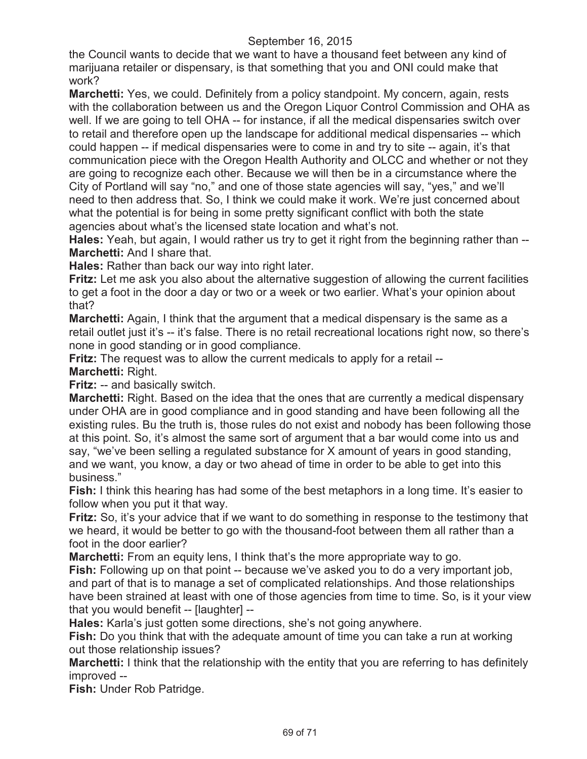the Council wants to decide that we want to have a thousand feet between any kind of marijuana retailer or dispensary, is that something that you and ONI could make that work?

**Marchetti:** Yes, we could. Definitely from a policy standpoint. My concern, again, rests with the collaboration between us and the Oregon Liquor Control Commission and OHA as well. If we are going to tell OHA -- for instance, if all the medical dispensaries switch over to retail and therefore open up the landscape for additional medical dispensaries -- which could happen -- if medical dispensaries were to come in and try to site -- again, it's that communication piece with the Oregon Health Authority and OLCC and whether or not they are going to recognize each other. Because we will then be in a circumstance where the City of Portland will say "no," and one of those state agencies will say, "yes," and we'll need to then address that. So, I think we could make it work. We're just concerned about what the potential is for being in some pretty significant conflict with both the state agencies about what's the licensed state location and what's not.

**Hales:** Yeah, but again, I would rather us try to get it right from the beginning rather than -- **Marchetti:** And I share that.

**Hales:** Rather than back our way into right later.

**Fritz:** Let me ask you also about the alternative suggestion of allowing the current facilities to get a foot in the door a day or two or a week or two earlier. What's your opinion about that?

**Marchetti:** Again, I think that the argument that a medical dispensary is the same as a retail outlet just it's -- it's false. There is no retail recreational locations right now, so there's none in good standing or in good compliance.

**Fritz:** The request was to allow the current medicals to apply for a retail -- **Marchetti:** Right.

**Fritz:** -- and basically switch.

**Marchetti:** Right. Based on the idea that the ones that are currently a medical dispensary under OHA are in good compliance and in good standing and have been following all the existing rules. Bu the truth is, those rules do not exist and nobody has been following those at this point. So, it's almost the same sort of argument that a bar would come into us and say, "we've been selling a regulated substance for X amount of years in good standing, and we want, you know, a day or two ahead of time in order to be able to get into this business."

**Fish:** I think this hearing has had some of the best metaphors in a long time. It's easier to follow when you put it that way.

**Fritz:** So, it's your advice that if we want to do something in response to the testimony that we heard, it would be better to go with the thousand-foot between them all rather than a foot in the door earlier?

**Marchetti:** From an equity lens, I think that's the more appropriate way to go.

**Fish:** Following up on that point -- because we've asked you to do a very important job, and part of that is to manage a set of complicated relationships. And those relationships have been strained at least with one of those agencies from time to time. So, is it your view that you would benefit -- [laughter] --

**Hales:** Karla's just gotten some directions, she's not going anywhere.

**Fish:** Do you think that with the adequate amount of time you can take a run at working out those relationship issues?

**Marchetti:** I think that the relationship with the entity that you are referring to has definitely improved --

**Fish:** Under Rob Patridge.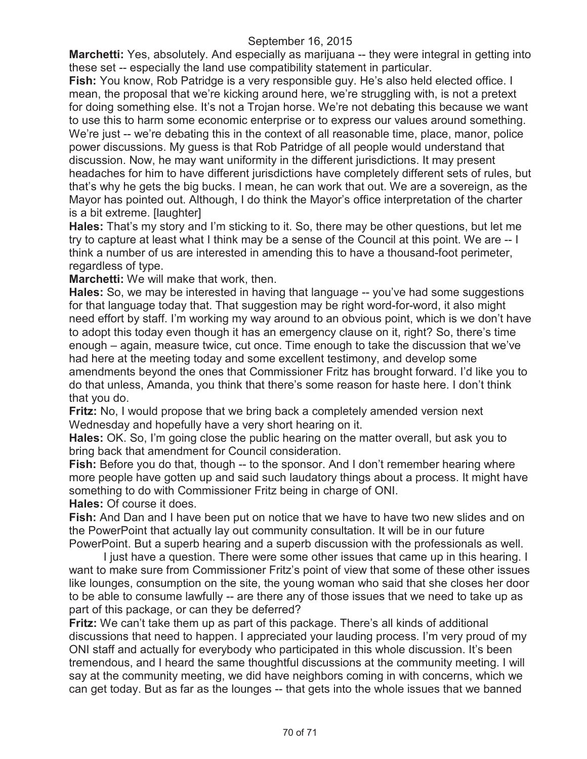**Marchetti:** Yes, absolutely. And especially as marijuana -- they were integral in getting into these set -- especially the land use compatibility statement in particular.

**Fish:** You know, Rob Patridge is a very responsible guy. He's also held elected office. I mean, the proposal that we're kicking around here, we're struggling with, is not a pretext for doing something else. It's not a Trojan horse. We're not debating this because we want to use this to harm some economic enterprise or to express our values around something. We're just -- we're debating this in the context of all reasonable time, place, manor, police power discussions. My guess is that Rob Patridge of all people would understand that discussion. Now, he may want uniformity in the different jurisdictions. It may present headaches for him to have different jurisdictions have completely different sets of rules, but that's why he gets the big bucks. I mean, he can work that out. We are a sovereign, as the Mayor has pointed out. Although, I do think the Mayor's office interpretation of the charter is a bit extreme. [laughter]

**Hales:** That's my story and I'm sticking to it. So, there may be other questions, but let me try to capture at least what I think may be a sense of the Council at this point. We are -- I think a number of us are interested in amending this to have a thousand-foot perimeter, regardless of type.

**Marchetti:** We will make that work, then.

**Hales:** So, we may be interested in having that language -- you've had some suggestions for that language today that. That suggestion may be right word-for-word, it also might need effort by staff. I'm working my way around to an obvious point, which is we don't have to adopt this today even though it has an emergency clause on it, right? So, there's time enough – again, measure twice, cut once. Time enough to take the discussion that we've had here at the meeting today and some excellent testimony, and develop some amendments beyond the ones that Commissioner Fritz has brought forward. I'd like you to do that unless, Amanda, you think that there's some reason for haste here. I don't think that you do.

**Fritz:** No, I would propose that we bring back a completely amended version next Wednesday and hopefully have a very short hearing on it.

**Hales:** OK. So, I'm going close the public hearing on the matter overall, but ask you to bring back that amendment for Council consideration.

**Fish:** Before you do that, though -- to the sponsor. And I don't remember hearing where more people have gotten up and said such laudatory things about a process. It might have something to do with Commissioner Fritz being in charge of ONI.

**Hales:** Of course it does.

Fish: And Dan and I have been put on notice that we have to have two new slides and on the PowerPoint that actually lay out community consultation. It will be in our future PowerPoint. But a superb hearing and a superb discussion with the professionals as well.

I just have a question. There were some other issues that came up in this hearing. I want to make sure from Commissioner Fritz's point of view that some of these other issues like lounges, consumption on the site, the young woman who said that she closes her door to be able to consume lawfully -- are there any of those issues that we need to take up as part of this package, or can they be deferred?

**Fritz:** We can't take them up as part of this package. There's all kinds of additional discussions that need to happen. I appreciated your lauding process. I'm very proud of my ONI staff and actually for everybody who participated in this whole discussion. It's been tremendous, and I heard the same thoughtful discussions at the community meeting. I will say at the community meeting, we did have neighbors coming in with concerns, which we can get today. But as far as the lounges -- that gets into the whole issues that we banned